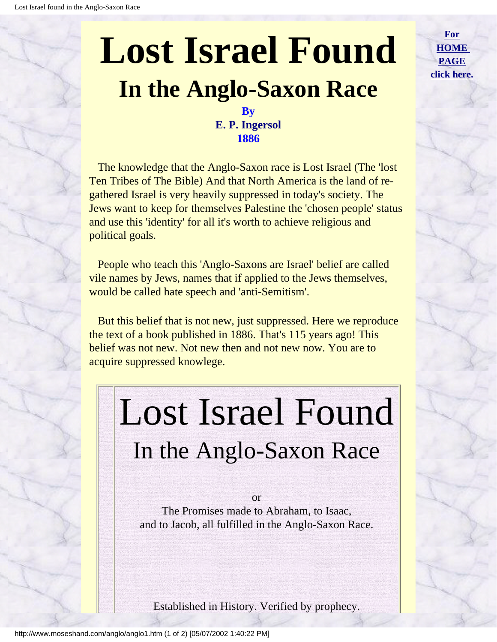**[For](http://www.moseshand.com/index.html) [HOME](http://www.moseshand.com/index.html) [PAGE](http://www.moseshand.com/index.html) [click here.](http://www.moseshand.com/index.html)**

### **By E. P. Ingersol 1886**

<span id="page-0-0"></span> The knowledge that the Anglo-Saxon race is Lost Israel (The 'lost Ten Tribes of The Bible) And that North America is the land of regathered Israel is very heavily suppressed in today's society. The Jews want to keep for themselves Palestine the 'chosen people' status and use this 'identity' for all it's worth to achieve religious and political goals.

 People who teach this 'Anglo-Saxons are Israel' belief are called vile names by Jews, names that if applied to the Jews themselves, would be called hate speech and 'anti-Semitism'.

 But this belief that is not new, just suppressed. Here we reproduce the text of a book published in 1886. That's 115 years ago! This belief was not new. Not new then and not new now. You are to acquire suppressed knowlege.

### Lost Israel Found In the Anglo-Saxon Race

or The Promises made to Abraham, to Isaac, and to Jacob, all fulfilled in the Anglo-Saxon Race.

Established in History. Verified by prophecy.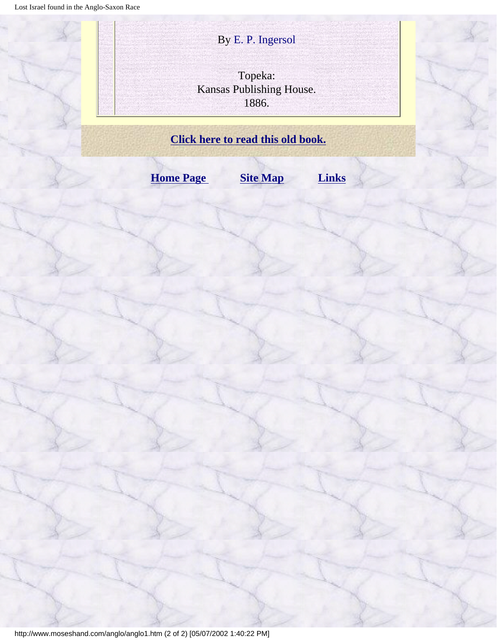# Lost Israel found in the Anglo-Saxon Race By E. P. Ingersol Topeka: Kansas Publishing House. 1886. **[Click here to read this old book.](#page-2-0) [Home Page](http://www.moseshand.com/index.html) [Site Map](#page-88-0) [Links](http://www.moseshand.com/links.htm)**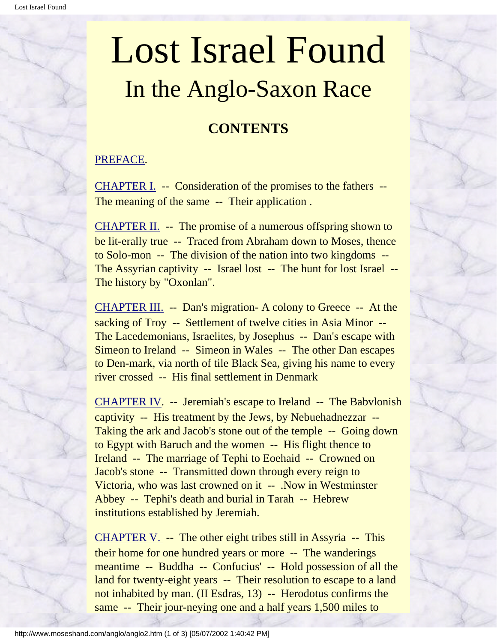### **CONTENTS**

### <span id="page-2-0"></span>[PREFACE](#page-5-0).

[CHAPTER I.](#page-8-0) -- Consideration of the promises to the fathers -- The meaning of the same -- Their application.

[CHAPTER II.](#page-11-0) -- The promise of a numerous offspring shown to be lit-erally true -- Traced from Abraham down to Moses, thence to Solo-mon -- The division of the nation into two kingdoms -- The Assyrian captivity -- Israel lost -- The hunt for lost Israel -- The history by "Oxonlan".

[CHAPTER III.](#page-17-0) -- Dan's migration- A colony to Greece -- At the sacking of Troy -- Settlement of twelve cities in Asia Minor --The Lacedemonians, Israelites, by Josephus -- Dan's escape with Simeon to Ireland -- Simeon in Wales -- The other Dan escapes to Den-mark, via north of tile Black Sea, giving his name to every river crossed -- His final settlement in Denmark

[CHAPTER IV.](#page-21-0) -- Jeremiah's escape to Ireland -- The Babvlonish captivity -- His treatment by the Jews, by Nebuehadnezzar -- Taking the ark and Jacob's stone out of the temple -- Going down to Egypt with Baruch and the women -- His flight thence to Ireland -- The marriage of Tephi to Eoehaid -- Crowned on Jacob's stone -- Transmitted down through every reign to Victoria, who was last crowned on it -- .Now in Westminster Abbey -- Tephi's death and burial in Tarah -- Hebrew institutions established by Jeremiah.

[CHAPTER V.](#page-28-0) -- The other eight tribes still in Assyria -- This their home for one hundred years or more -- The wanderings meantime -- Buddha -- Confucius' -- Hold possession of all the land for twenty-eight years -- Their resolution to escape to a land not inhabited by man. (II Esdras, 13) -- Herodotus confirms the same -- Their jour-neying one and a half years 1,500 miles to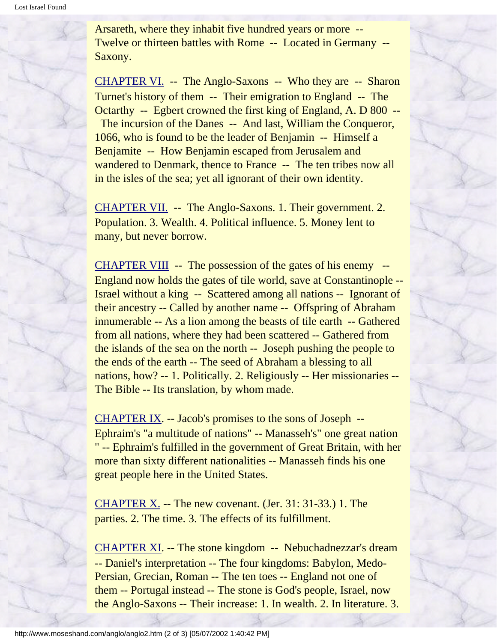Arsareth, where they inhabit five hundred years or more -- Twelve or thirteen battles with Rome -- Located in Germany -- Saxony.

[CHAPTER VI.](#page-41-0) -- The Anglo-Saxons -- Who they are -- Sharon Turnet's history of them -- Their emigration to England -- The Octarthy -- Egbert crowned the first king of England, A. D 800 -- The incursion of the Danes -- And last, William the Conqueror, 1066, who is found to be the leader of Benjamin -- Himself a Benjamite -- How Benjamin escaped from Jerusalem and wandered to Denmark, thence to France -- The ten tribes now all in the isles of the sea; yet all ignorant of their own identity.

[CHAPTER VII.](#page-47-0) -- The Anglo-Saxons. 1. Their government. 2. Population. 3. Wealth. 4. Political influence. 5. Money lent to many, but never borrow.

[CHAPTER VIII](#page-28-0) -- The possession of the gates of his enemy -- England now holds the gates of tile world, save at Constantinople -- Israel without a king -- Scattered among all nations -- Ignorant of their ancestry -- Called by another name -- Offspring of Abraham innumerable -- As a lion among the beasts of tile earth -- Gathered from all nations, where they had been scattered -- Gathered from the islands of the sea on the north -- Joseph pushing the people to the ends of the earth -- The seed of Abraham a blessing to all nations, how? -- 1. Politically. 2. Religiously -- Her missionaries -- The Bible -- Its translation, by whom made.

[CHAPTER IX.](#page-61-0) -- Jacob's promises to the sons of Joseph -- Ephraim's "a multitude of nations" -- Manasseh's" one great nation " -- Ephraim's fulfilled in the government of Great Britain, with her more than sixty different nationalities -- Manasseh finds his one great people here in the United States.

[CHAPTER X.](#page-68-0) -- The new covenant. (Jer. 31: 31-33.) 1. The parties. 2. The time. 3. The effects of its fulfillment.

[CHAPTER XI.](#page-75-0) -- The stone kingdom -- Nebuchadnezzar's dream -- Daniel's interpretation -- The four kingdoms: Babylon, Medo-Persian, Grecian, Roman -- The ten toes -- England not one of them -- Portugal instead -- The stone is God's people, Israel, now the Anglo-Saxons -- Their increase: 1. In wealth. 2. In literature. 3.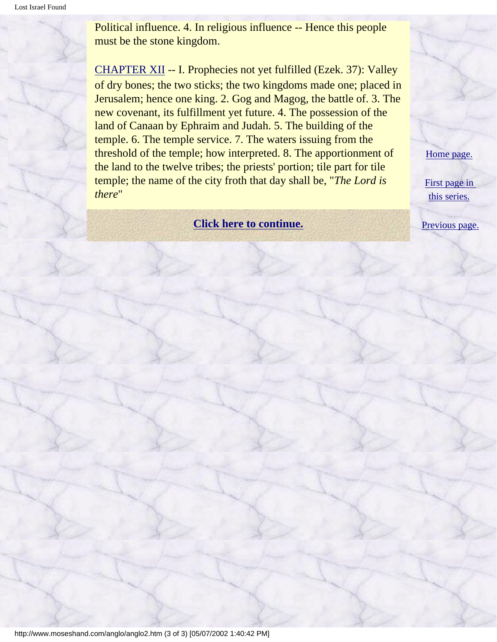Political influence. 4. In religious influence -- Hence this people must be the stone kingdom.

[CHAPTER XII](#page-80-0) -- I. Prophecies not yet fulfilled (Ezek. 37): Valley of dry bones; the two sticks; the two kingdoms made one; placed in Jerusalem; hence one king. 2. Gog and Magog, the battle of. 3. The new covenant, its fulfillment yet future. 4. The possession of the land of Canaan by Ephraim and Judah. 5. The building of the temple. 6. The temple service. 7. The waters issuing from the threshold of the temple; how interpreted. 8. The apportionment of the land to the twelve tribes; the priests' portion; tile part for tile temple; the name of the city froth that day shall be, "*The Lord is there*"

### **[Click here to continue.](#page-5-0)** [Previous page.](#page-0-0)

[Home page.](http://www.moseshand.com/index.html)

[First page in](#page-0-0)  [this series.](#page-0-0)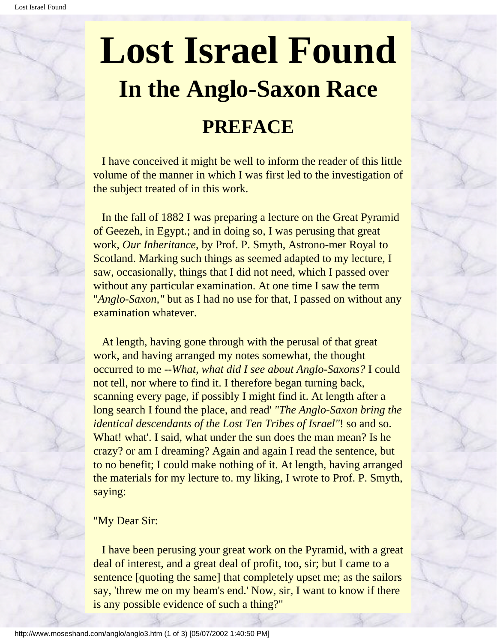<span id="page-5-0"></span> I have conceived it might be well to inform the reader of this little volume of the manner in which I was first led to the investigation of the subject treated of in this work.

 In the fall of 1882 I was preparing a lecture on the Great Pyramid of Geezeh, in Egypt.; and in doing so, I was perusing that great work, *Our Inheritance*, by Prof. P. Smyth, Astrono-mer Royal to Scotland. Marking such things as seemed adapted to my lecture, I saw, occasionally, things that I did not need, which I passed over without any particular examination. At one time I saw the term "*Anglo-Saxon,"* but as I had no use for that, I passed on without any examination whatever.

 At length, having gone through with the perusal of that great work, and having arranged my notes somewhat, the thought occurred to me --*What, what did I see about Anglo-Saxons?* I could not tell, nor where to find it. I therefore began turning back, scanning every page, if possibly I might find it. At length after a long search I found the place, and read' *"The Anglo-Saxon bring the identical descendants of the Lost Ten Tribes of Israel"*! so and so. What! what'. I said, what under the sun does the man mean? Is he crazy? or am I dreaming? Again and again I read the sentence, but to no benefit; I could make nothing of it. At length, having arranged the materials for my lecture to. my liking, I wrote to Prof. P. Smyth, saying:

### "My Dear Sir:

 I have been perusing your great work on the Pyramid, with a great deal of interest, and a great deal of profit, too, sir; but I came to a sentence [quoting the same] that completely upset me; as the sailors say, 'threw me on my beam's end.' Now, sir, I want to know if there is any possible evidence of such a thing?"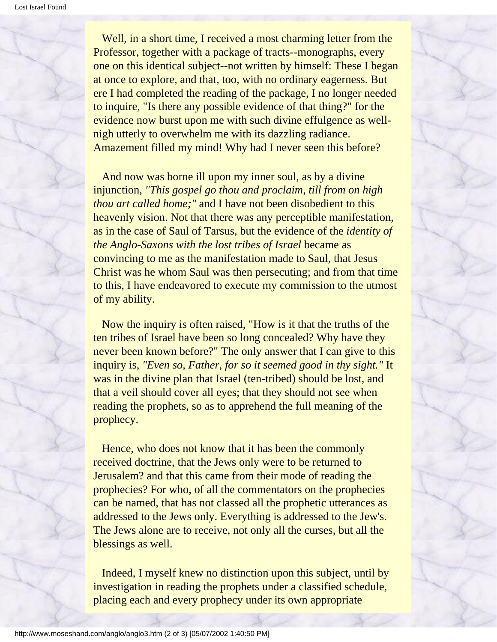Well, in a short time, I received a most charming letter from the Professor, together with a package of tracts--monographs, every one on this identical subject--not written by himself: These I began at once to explore, and that, too, with no ordinary eagerness. But ere I had completed the reading of the package, I no longer needed to inquire, "Is there any possible evidence of that thing?" for the evidence now burst upon me with such divine effulgence as wellnigh utterly to overwhelm me with its dazzling radiance. Amazement filled my mind! Why had I never seen this before?

 And now was borne ill upon my inner soul, as by a divine injunction, *"This gospel go thou and proclaim, till from on high thou art called home;"* and I have not been disobedient to this heavenly vision. Not that there was any perceptible manifestation, as in the case of Saul of Tarsus, but the evidence of the *identity of the Anglo-Saxons with the lost tribes of Israel* became as convincing to me as the manifestation made to Saul, that Jesus Christ was he whom Saul was then persecuting; and from that time to this, I have endeavored to execute my commission to the utmost of my ability.

 Now the inquiry is often raised, "How is it that the truths of the ten tribes of Israel have been so long concealed? Why have they never been known before?" The only answer that I can give to this inquiry is, *"Even so, Father, for so it seemed good in thy sight."* It was in the divine plan that Israel (ten-tribed) should be lost, and that a veil should cover all eyes; that they should not see when reading the prophets, so as to apprehend the full meaning of the prophecy.

 Hence, who does not know that it has been the commonly received doctrine, that the Jews only were to be returned to Jerusalem? and that this came from their mode of reading the prophecies? For who, of all the commentators on the prophecies can be named, that has not classed all the prophetic utterances as addressed to the Jews only. Everything is addressed to the Jew's. The Jews alone are to receive, not only all the curses, but all the blessings as well.

 Indeed, I myself knew no distinction upon this subject, until by investigation in reading the prophets under a classified schedule, placing each and every prophecy under its own appropriate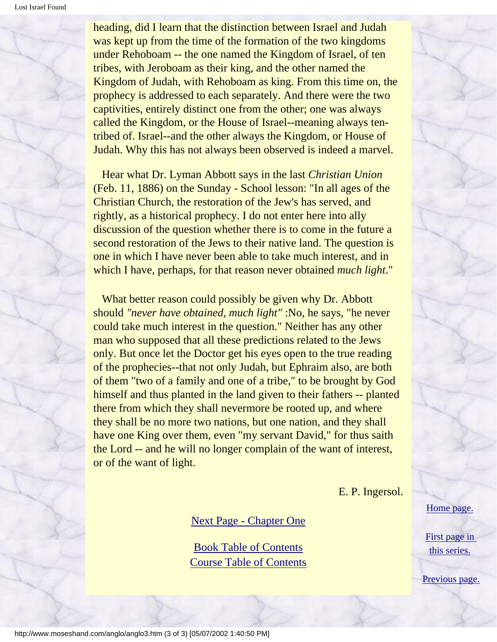heading, did I learn that the distinction between Israel and Judah was kept up from the time of the formation of the two kingdoms under Rehoboam -- the one named the Kingdom of Israel, of ten tribes, with Jeroboam as their king, and the other named the Kingdom of Judah, with Rehoboam as king. From this time on, the prophecy is addressed to each separately. And there were the two captivities, entirely distinct one from the other; one was always called the Kingdom, or the House of Israel--meaning always tentribed of. Israel--and the other always the Kingdom, or House of Judah. Why this has not always been observed is indeed a marvel.

 Hear what Dr. Lyman Abbott says in the last *Christian Union*  (Feb. 11, 1886) on the Sunday - School lesson: "In all ages of the Christian Church, the restoration of the Jew's has served, and rightly, as a historical prophecy. I do not enter here into ally discussion of the question whether there is to come in the future a second restoration of the Jews to their native land. The question is one in which I have never been able to take much interest, and in which I have, perhaps, for that reason never obtained *much light*."

What better reason could possibly be given why Dr. Abbott should *"never have obtained, much light"* :No, he says, "he never could take much interest in the question." Neither has any other man who supposed that all these predictions related to the Jews only. But once let the Doctor get his eyes open to the true reading of the prophecies--that not only Judah, but Ephraim also, are both of them "two of a family and one of a tribe," to be brought by God himself and thus planted in the land given to their fathers -- planted there from which they shall nevermore be rooted up, and where they shall be no more two nations, but one nation, and they shall have one King over them, even "my servant David," for thus saith the Lord -- and he will no longer complain of the want of interest, or of the want of light.

E. P. Ingersol.

[Next Page - Chapter One](#page-8-0)

[Book Table of Contents](#page-2-0) [Course Table of Contents](#page-88-0) [Home page.](http://www.moseshand.com/index.html)

[First page in](#page-0-0) [this series.](#page-0-0)

[Previous page.](#page-2-0)

http://www.moseshand.com/anglo/anglo3.htm (3 of 3) [05/07/2002 1:40:50 PM]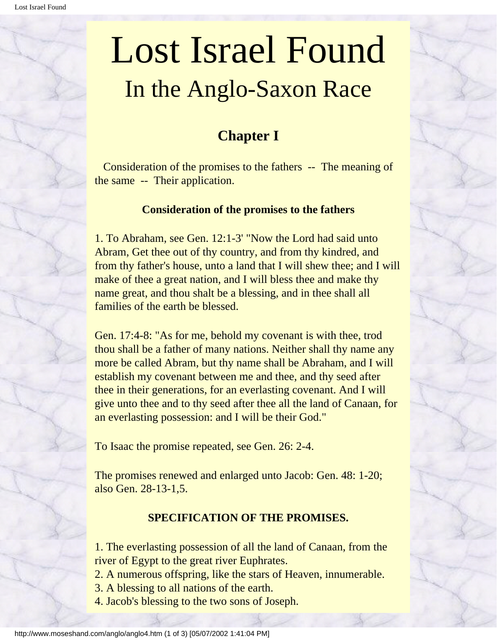### **Chapter I**

<span id="page-8-0"></span> Consideration of the promises to the fathers -- The meaning of the same -- Their application.

### **Consideration of the promises to the fathers**

1. To Abraham, see Gen. 12:1-3' "Now the Lord had said unto Abram, Get thee out of thy country, and from thy kindred, and from thy father's house, unto a land that I will shew thee; and I will make of thee a great nation, and I will bless thee and make thy name great, and thou shalt be a blessing, and in thee shall all families of the earth be blessed.

Gen. 17:4-8: "As for me, behold my covenant is with thee, trod thou shall be a father of many nations. Neither shall thy name any more be called Abram, but thy name shall be Abraham, and I will establish my covenant between me and thee, and thy seed after thee in their generations, for an everlasting covenant. And I will give unto thee and to thy seed after thee all the land of Canaan, for an everlasting possession: and I will be their God."

To Isaac the promise repeated, see Gen. 26: 2-4.

The promises renewed and enlarged unto Jacob: Gen. 48: 1-20; also Gen. 28-13-1,5.

### **SPECIFICATION OF THE PROMISES.**

1. The everlasting possession of all the land of Canaan, from the river of Egypt to the great river Euphrates.

2. A numerous offspring, like the stars of Heaven, innumerable.

3. A blessing to all nations of the earth.

4. Jacob's blessing to the two sons of Joseph.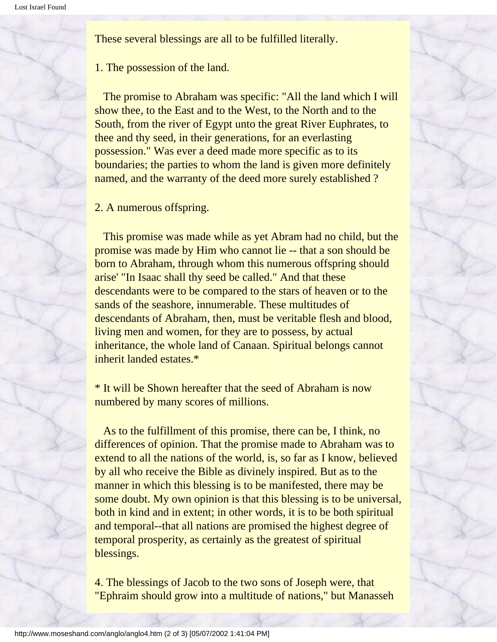These several blessings are all to be fulfilled literally.

### 1. The possession of the land.

 The promise to Abraham was specific: "All the land which I will show thee, to the East and to the West, to the North and to the South, from the river of Egypt unto the great River Euphrates, to thee and thy seed, in their generations, for an everlasting possession." Was ever a deed made more specific as to its boundaries; the parties to whom the land is given more definitely named, and the warranty of the deed more surely established ?

2. A numerous offspring.

 This promise was made while as yet Abram had no child, but the promise was made by Him who cannot lie -- that a son should be born to Abraham, through whom this numerous offspring should arise' "In Isaac shall thy seed be called." And that these descendants were to be compared to the stars of heaven or to the sands of the seashore, innumerable. These multitudes of descendants of Abraham, then, must be veritable flesh and blood, living men and women, for they are to possess, by actual inheritance, the whole land of Canaan. Spiritual belongs cannot inherit landed estates.\*

\* It will be Shown hereafter that the seed of Abraham is now numbered by many scores of millions.

 As to the fulfillment of this promise, there can be, I think, no differences of opinion. That the promise made to Abraham was to extend to all the nations of the world, is, so far as I know, believed by all who receive the Bible as divinely inspired. But as to the manner in which this blessing is to be manifested, there may be some doubt. My own opinion is that this blessing is to be universal, both in kind and in extent; in other words, it is to be both spiritual and temporal--that all nations are promised the highest degree of temporal prosperity, as certainly as the greatest of spiritual blessings.

4. The blessings of Jacob to the two sons of Joseph were, that "Ephraim should grow into a multitude of nations," but Manasseh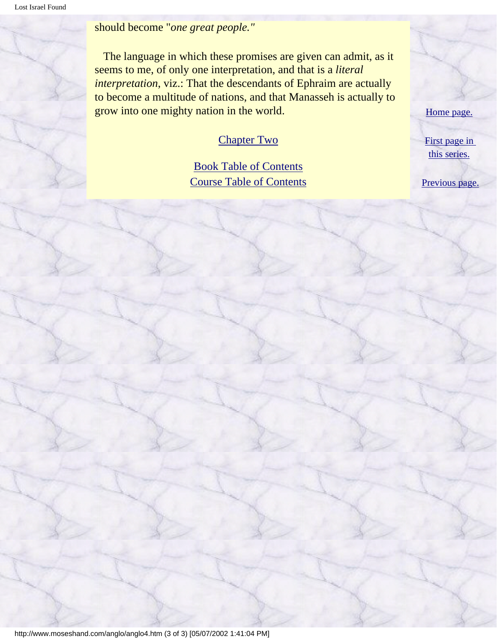should become "*one great people."*

 The language in which these promises are given can admit, as it seems to me, of only one interpretation, and that is a *literal interpretation*, viz.: That the descendants of Ephraim are actually to become a multitude of nations, and that Manasseh is actually to grow into one mighty nation in the world.

### [Chapter Two](#page-11-0)

### [Book Table of Contents](#page-2-0) [Course Table of Contents](#page-88-0)

[Home page.](http://www.moseshand.com/index.html)

[First page in](#page-0-0)  [this series.](#page-0-0)

[Previous page.](#page-5-0)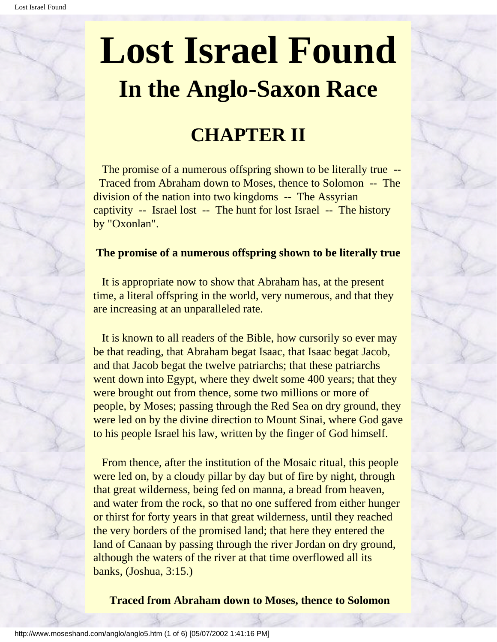### **CHAPTER II**

<span id="page-11-0"></span>The promise of a numerous offspring shown to be literally true -- Traced from Abraham down to Moses, thence to Solomon -- The division of the nation into two kingdoms -- The Assyrian captivity -- Israel lost -- The hunt for lost Israel -- The history by "Oxonlan".

### **The promise of a numerous offspring shown to be literally true**

 It is appropriate now to show that Abraham has, at the present time, a literal offspring in the world, very numerous, and that they are increasing at an unparalleled rate.

 It is known to all readers of the Bible, how cursorily so ever may be that reading, that Abraham begat Isaac, that Isaac begat Jacob, and that Jacob begat the twelve patriarchs; that these patriarchs went down into Egypt, where they dwelt some 400 years; that they were brought out from thence, some two millions or more of people, by Moses; passing through the Red Sea on dry ground, they were led on by the divine direction to Mount Sinai, where God gave to his people Israel his law, written by the finger of God himself.

 From thence, after the institution of the Mosaic ritual, this people were led on, by a cloudy pillar by day but of fire by night, through that great wilderness, being fed on manna, a bread from heaven, and water from the rock, so that no one suffered from either hunger or thirst for forty years in that great wilderness, until they reached the very borders of the promised land; that here they entered the land of Canaan by passing through the river Jordan on dry ground, although the waters of the river at that time overflowed all its banks, (Joshua, 3:15.)

**Traced from Abraham down to Moses, thence to Solomon**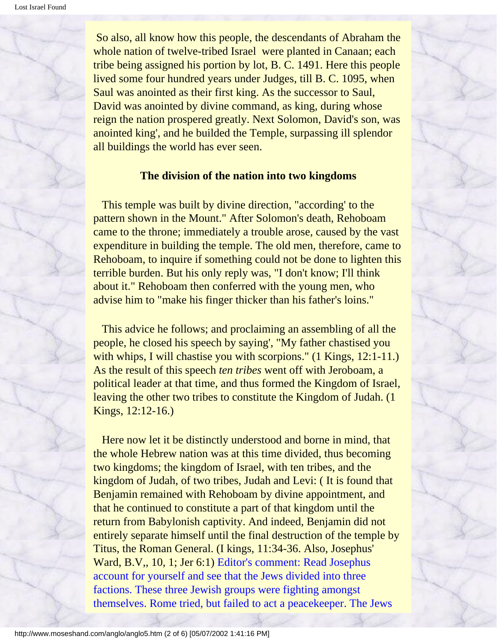So also, all know how this people, the descendants of Abraham the whole nation of twelve-tribed Israel were planted in Canaan; each tribe being assigned his portion by lot, B. C. 1491. Here this people lived some four hundred years under Judges, till B. C. 1095, when Saul was anointed as their first king. As the successor to Saul, David was anointed by divine command, as king, during whose reign the nation prospered greatly. Next Solomon, David's son, was anointed king', and he builded the Temple, surpassing ill splendor all buildings the world has ever seen.

### **The division of the nation into two kingdoms**

 This temple was built by divine direction, "according' to the pattern shown in the Mount." After Solomon's death, Rehoboam came to the throne; immediately a trouble arose, caused by the vast expenditure in building the temple. The old men, therefore, came to Rehoboam, to inquire if something could not be done to lighten this terrible burden. But his only reply was, "I don't know; I'll think about it." Rehoboam then conferred with the young men, who advise him to "make his finger thicker than his father's loins."

 This advice he follows; and proclaiming an assembling of all the people, he closed his speech by saying', "My father chastised you with whips, I will chastise you with scorpions." (1 Kings, 12:1-11.) As the result of this speech *ten tribes* went off with Jeroboam, a political leader at that time, and thus formed the Kingdom of Israel, leaving the other two tribes to constitute the Kingdom of Judah. (1 Kings, 12:12-16.)

 Here now let it be distinctly understood and borne in mind, that the whole Hebrew nation was at this time divided, thus becoming two kingdoms; the kingdom of Israel, with ten tribes, and the kingdom of Judah, of two tribes, Judah and Levi: ( It is found that Benjamin remained with Rehoboam by divine appointment, and that he continued to constitute a part of that kingdom until the return from Babylonish captivity. And indeed, Benjamin did not entirely separate himself until the final destruction of the temple by Titus, the Roman General. (I kings, 11:34-36. Also, Josephus' Ward, B.V,, 10, 1; Jer 6:1) Editor's comment: Read Josephus account for yourself and see that the Jews divided into three factions. These three Jewish groups were fighting amongst themselves. Rome tried, but failed to act a peacekeeper. The Jews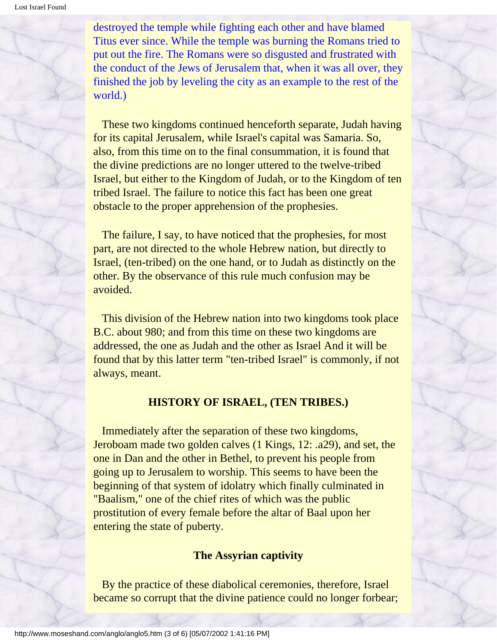destroyed the temple while fighting each other and have blamed Titus ever since. While the temple was burning the Romans tried to put out the fire. The Romans were so disgusted and frustrated with the conduct of the Jews of Jerusalem that, when it was all over, they finished the job by leveling the city as an example to the rest of the world.)

 These two kingdoms continued henceforth separate, Judah having for its capital Jerusalem, while Israel's capital was Samaria. So, also, from this time on to the final consummation, it is found that the divine predictions are no longer uttered to the twelve-tribed Israel, but either to the Kingdom of Judah, or to the Kingdom of ten tribed Israel. The failure to notice this fact has been one great obstacle to the proper apprehension of the prophesies.

 The failure, I say, to have noticed that the prophesies, for most part, are not directed to the whole Hebrew nation, but directly to Israel, (ten-tribed) on the one hand, or to Judah as distinctly on the other. By the observance of this rule much confusion may be avoided.

 This division of the Hebrew nation into two kingdoms took place B.C. about 980; and from this time on these two kingdoms are addressed, the one as Judah and the other as Israel And it will be found that by this latter term "ten-tribed Israel" is commonly, if not always, meant.

### **HISTORY OF ISRAEL, (TEN TRIBES.)**

 Immediately after the separation of these two kingdoms, Jeroboam made two golden calves (1 Kings, 12: .a29), and set, the one in Dan and the other in Bethel, to prevent his people from going up to Jerusalem to worship. This seems to have been the beginning of that system of idolatry which finally culminated in "Baalism," one of the chief rites of which was the public prostitution of every female before the altar of Baal upon her entering the state of puberty.

#### **The Assyrian captivity**

 By the practice of these diabolical ceremonies, therefore, Israel became so corrupt that the divine patience could no longer forbear;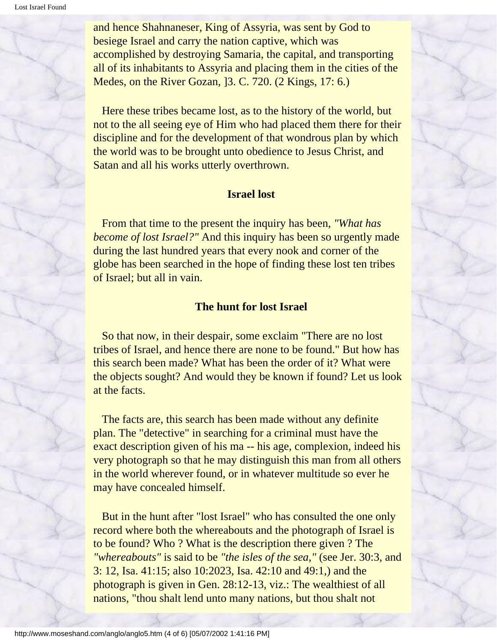and hence Shahnaneser, King of Assyria, was sent by God to besiege Israel and carry the nation captive, which was accomplished by destroying Samaria, the capital, and transporting all of its inhabitants to Assyria and placing them in the cities of the Medes, on the River Gozan, ]3. C. 720. (2 Kings, 17: 6.)

 Here these tribes became lost, as to the history of the world, but not to the all seeing eye of Him who had placed them there for their discipline and for the development of that wondrous plan by which the world was to be brought unto obedience to Jesus Christ, and Satan and all his works utterly overthrown.

### **Israel lost**

 From that time to the present the inquiry has been, *"What has become of lost Israel?"* And this inquiry has been so urgently made during the last hundred years that every nook and corner of the globe has been searched in the hope of finding these lost ten tribes of Israel; but all in vain.

#### **The hunt for lost Israel**

 So that now, in their despair, some exclaim "There are no lost tribes of Israel, and hence there are none to be found." But how has this search been made? What has been the order of it? What were the objects sought? And would they be known if found? Let us look at the facts.

 The facts are, this search has been made without any definite plan. The "detective" in searching for a criminal must have the exact description given of his ma -- his age, complexion, indeed his very photograph so that he may distinguish this man from all others in the world wherever found, or in whatever multitude so ever he may have concealed himself.

 But in the hunt after "lost Israel" who has consulted the one only record where both the whereabouts and the photograph of Israel is to be found? Who ? What is the description there given ? The *"whereabouts"* is said to be *"the isles of the sea,"* (see Jer. 30:3, and 3: 12, Isa. 41:15; also 10:2023, Isa. 42:10 and 49:1,) and the photograph is given in Gen. 28:12-13, viz.: The wealthiest of all nations, "thou shalt lend unto many nations, but thou shalt not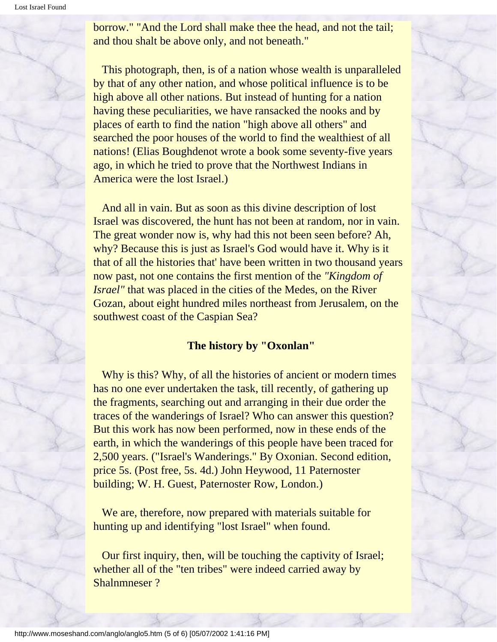borrow." "And the Lord shall make thee the head, and not the tail; and thou shalt be above only, and not beneath."

 This photograph, then, is of a nation whose wealth is unparalleled by that of any other nation, and whose political influence is to be high above all other nations. But instead of hunting for a nation having these peculiarities, we have ransacked the nooks and by places of earth to find the nation "high above all others" and searched the poor houses of the world to find the wealthiest of all nations! (Elias Boughdenot wrote a book some seventy-five years ago, in which he tried to prove that the Northwest Indians in America were the lost Israel.)

 And all in vain. But as soon as this divine description of lost Israel was discovered, the hunt has not been at random, nor in vain. The great wonder now is, why had this not been seen before? Ah, why? Because this is just as Israel's God would have it. Why is it that of all the histories that' have been written in two thousand years now past, not one contains the first mention of the *"Kingdom of Israel"* that was placed in the cities of the Medes, on the River Gozan, about eight hundred miles northeast from Jerusalem, on the southwest coast of the Caspian Sea?

### **The history by "Oxonlan"**

 Why is this? Why, of all the histories of ancient or modern times has no one ever undertaken the task, till recently, of gathering up the fragments, searching out and arranging in their due order the traces of the wanderings of Israel? Who can answer this question? But this work has now been performed, now in these ends of the earth, in which the wanderings of this people have been traced for 2,500 years. ("Israel's Wanderings." By Oxonian. Second edition, price 5s. (Post free, 5s. 4d.) John Heywood, 11 Paternoster building; W. H. Guest, Paternoster Row, London.)

 We are, therefore, now prepared with materials suitable for hunting up and identifying "lost Israel" when found.

 Our first inquiry, then, will be touching the captivity of Israel; whether all of the "ten tribes" were indeed carried away by Shalnmneser ?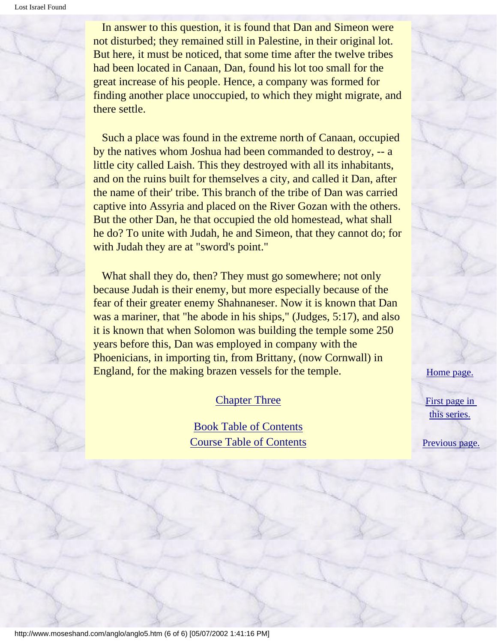In answer to this question, it is found that Dan and Simeon were not disturbed; they remained still in Palestine, in their original lot. But here, it must be noticed, that some time after the twelve tribes had been located in Canaan, Dan, found his lot too small for the great increase of his people. Hence, a company was formed for finding another place unoccupied, to which they might migrate, and there settle.

 Such a place was found in the extreme north of Canaan, occupied by the natives whom Joshua had been commanded to destroy, -- a little city called Laish. This they destroyed with all its inhabitants, and on the ruins built for themselves a city, and called it Dan, after the name of their' tribe. This branch of the tribe of Dan was carried captive into Assyria and placed on the River Gozan with the others. But the other Dan, he that occupied the old homestead, what shall he do? To unite with Judah, he and Simeon, that they cannot do; for with Judah they are at "sword's point."

 What shall they do, then? They must go somewhere; not only because Judah is their enemy, but more especially because of the fear of their greater enemy Shahnaneser. Now it is known that Dan was a mariner, that "he abode in his ships," (Judges, 5:17), and also it is known that when Solomon was building the temple some 250 years before this, Dan was employed in company with the Phoenicians, in importing tin, from Brittany, (now Cornwall) in England, for the making brazen vessels for the temple.

### [Chapter Three](#page-17-0)

[Book Table of Contents](#page-2-0) [Course Table of Contents](#page-88-0) [Home page.](http://www.moseshand.com/index.html)

[First page in](#page-0-0) [this series.](#page-0-0)

[Previous page.](#page-8-0)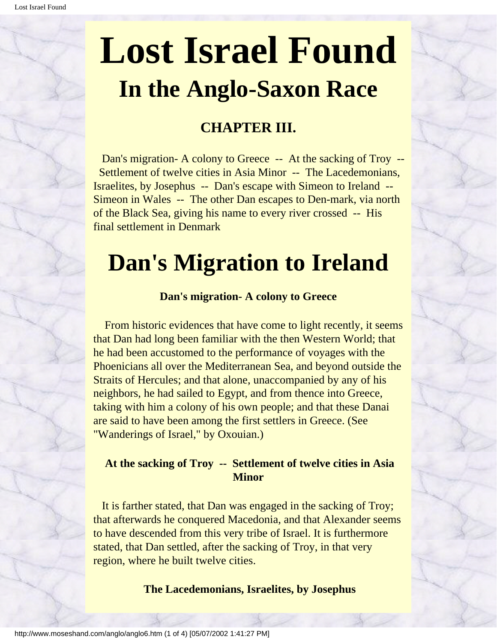### **CHAPTER III.**

<span id="page-17-0"></span>Dan's migration- A colony to Greece -- At the sacking of Troy -- Settlement of twelve cities in Asia Minor -- The Lacedemonians, Israelites, by Josephus -- Dan's escape with Simeon to Ireland -- Simeon in Wales -- The other Dan escapes to Den-mark, via north of the Black Sea, giving his name to every river crossed -- His final settlement in Denmark

### **Dan's Migration to Ireland**

### **Dan's migration- A colony to Greece**

 From historic evidences that have come to light recently, it seems that Dan had long been familiar with the then Western World; that he had been accustomed to the performance of voyages with the Phoenicians all over the Mediterranean Sea, and beyond outside the Straits of Hercules; and that alone, unaccompanied by any of his neighbors, he had sailed to Egypt, and from thence into Greece, taking with him a colony of his own people; and that these Danai are said to have been among the first settlers in Greece. (See "Wanderings of Israel," by Oxouian.)

### **At the sacking of Troy -- Settlement of twelve cities in Asia Minor**

 It is farther stated, that Dan was engaged in the sacking of Troy; that afterwards he conquered Macedonia, and that Alexander seems to have descended from this very tribe of Israel. It is furthermore stated, that Dan settled, after the sacking of Troy, in that very region, where he built twelve cities.

 **The Lacedemonians, Israelites, by Josephus**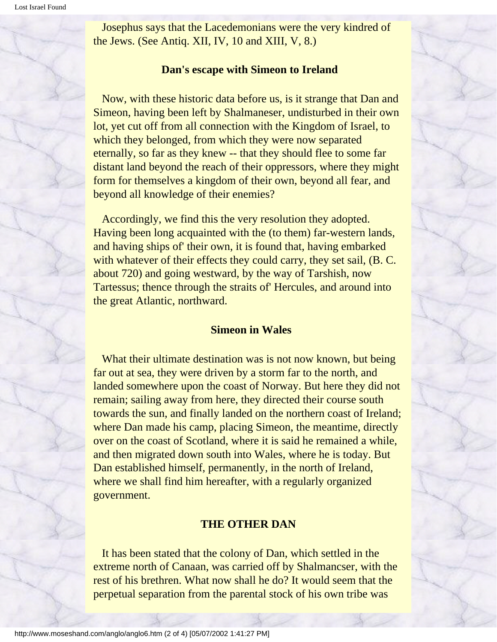Josephus says that the Lacedemonians were the very kindred of the Jews. (See Antiq. XII, IV, 10 and XIII, V, 8.)

#### **Dan's escape with Simeon to Ireland**

 Now, with these historic data before us, is it strange that Dan and Simeon, having been left by Shalmaneser, undisturbed in their own lot, yet cut off from all connection with the Kingdom of Israel, to which they belonged, from which they were now separated eternally, so far as they knew -- that they should flee to some far distant land beyond the reach of their oppressors, where they might form for themselves a kingdom of their own, beyond all fear, and beyond all knowledge of their enemies?

 Accordingly, we find this the very resolution they adopted. Having been long acquainted with the (to them) far-western lands, and having ships of' their own, it is found that, having embarked with whatever of their effects they could carry, they set sail, (B. C. about 720) and going westward, by the way of Tarshish, now Tartessus; thence through the straits of' Hercules, and around into the great Atlantic, northward.

#### **Simeon in Wales**

What their ultimate destination was is not now known, but being far out at sea, they were driven by a storm far to the north, and landed somewhere upon the coast of Norway. But here they did not remain; sailing away from here, they directed their course south towards the sun, and finally landed on the northern coast of Ireland; where Dan made his camp, placing Simeon, the meantime, directly over on the coast of Scotland, where it is said he remained a while, and then migrated down south into Wales, where he is today. But Dan established himself, permanently, in the north of Ireland, where we shall find him hereafter, with a regularly organized government.

### **THE OTHER DAN**

 It has been stated that the colony of Dan, which settled in the extreme north of Canaan, was carried off by Shalmancser, with the rest of his brethren. What now shall he do? It would seem that the perpetual separation from the parental stock of his own tribe was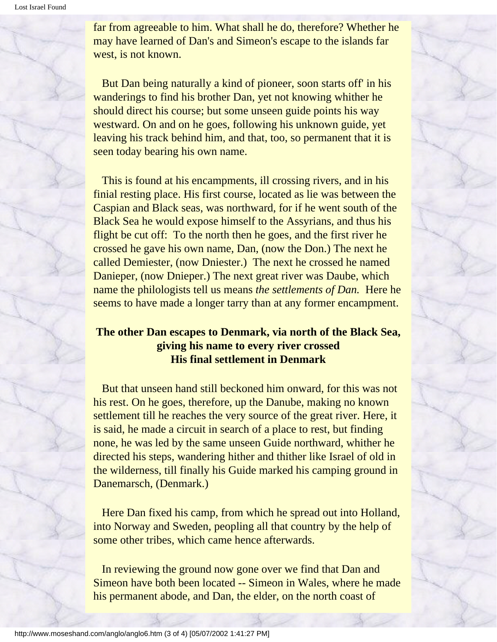far from agreeable to him. What shall he do, therefore? Whether he may have learned of Dan's and Simeon's escape to the islands far west, is not known.

 But Dan being naturally a kind of pioneer, soon starts off' in his wanderings to find his brother Dan, yet not knowing whither he should direct his course; but some unseen guide points his way westward. On and on he goes, following his unknown guide, yet leaving his track behind him, and that, too, so permanent that it is seen today bearing his own name.

 This is found at his encampments, ill crossing rivers, and in his finial resting place. His first course, located as lie was between the Caspian and Black seas, was northward, for if he went south of the Black Sea he would expose himself to the Assyrians, and thus his flight be cut off: To the north then he goes, and the first river he crossed he gave his own name, Dan, (now the Don.) The next he called Demiester, (now Dniester.) The next he crossed he named Danieper, (now Dnieper.) The next great river was Daube, which name the philologists tell us means *the settlements of Dan.* Here he seems to have made a longer tarry than at any former encampment.

### **The other Dan escapes to Denmark, via north of the Black Sea, giving his name to every river crossed His final settlement in Denmark**

 But that unseen hand still beckoned him onward, for this was not his rest. On he goes, therefore, up the Danube, making no known settlement till he reaches the very source of the great river. Here, it is said, he made a circuit in search of a place to rest, but finding none, he was led by the same unseen Guide northward, whither he directed his steps, wandering hither and thither like Israel of old in the wilderness, till finally his Guide marked his camping ground in Danemarsch, (Denmark.)

 Here Dan fixed his camp, from which he spread out into Holland, into Norway and Sweden, peopling all that country by the help of some other tribes, which came hence afterwards.

 In reviewing the ground now gone over we find that Dan and Simeon have both been located -- Simeon in Wales, where he made his permanent abode, and Dan, the elder, on the north coast of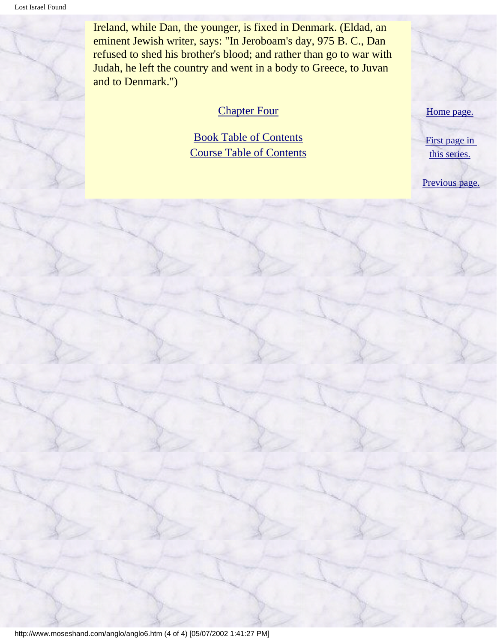Ireland, while Dan, the younger, is fixed in Denmark. (Eldad, an eminent Jewish writer, says: "In Jeroboam's day, 975 B. C., Dan refused to shed his brother's blood; and rather than go to war with Judah, he left the country and went in a body to Greece, to Juvan and to Denmark.")

### [Chapter Four](#page-21-0)

[Book Table of Contents](#page-2-0) [Course Table of Contents](#page-88-0)



[First page in](#page-0-0) [this series.](#page-0-0)

[Previous page.](#page-11-0)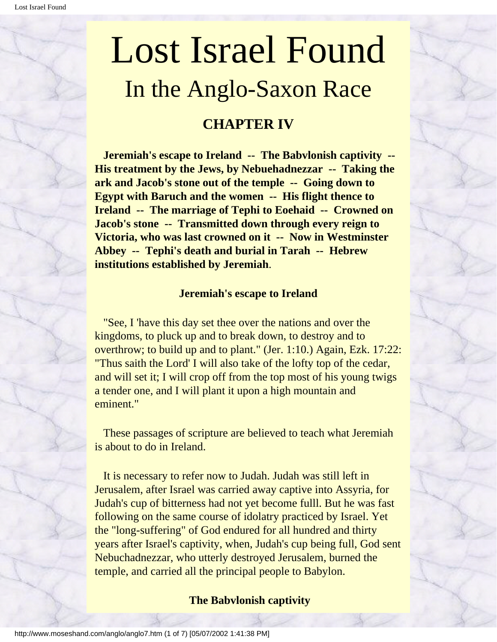### **CHAPTER IV**

<span id="page-21-0"></span> **Jeremiah's escape to Ireland -- The Babvlonish captivity -- His treatment by the Jews, by Nebuehadnezzar -- Taking the ark and Jacob's stone out of the temple -- Going down to Egypt with Baruch and the women -- His flight thence to Ireland -- The marriage of Tephi to Eoehaid -- Crowned on Jacob's stone -- Transmitted down through every reign to Victoria, who was last crowned on it -- Now in Westminster Abbey -- Tephi's death and burial in Tarah -- Hebrew institutions established by Jeremiah**.

### **Jeremiah's escape to Ireland**

 "See, I 'have this day set thee over the nations and over the kingdoms, to pluck up and to break down, to destroy and to overthrow; to build up and to plant." (Jer. 1:10.) Again, Ezk. 17:22: "Thus saith the Lord' I will also take of the lofty top of the cedar, and will set it; I will crop off from the top most of his young twigs a tender one, and I will plant it upon a high mountain and eminent."

 These passages of scripture are believed to teach what Jeremiah is about to do in Ireland.

 It is necessary to refer now to Judah. Judah was still left in Jerusalem, after Israel was carried away captive into Assyria, for Judah's cup of bitterness had not yet become fulll. But he was fast following on the same course of idolatry practiced by Israel. Yet the "long-suffering" of God endured for all hundred and thirty years after Israel's captivity, when, Judah's cup being full, God sent Nebuchadnezzar, who utterly destroyed Jerusalem, burned the temple, and carried all the principal people to Babylon.

### **The Babvlonish captivity**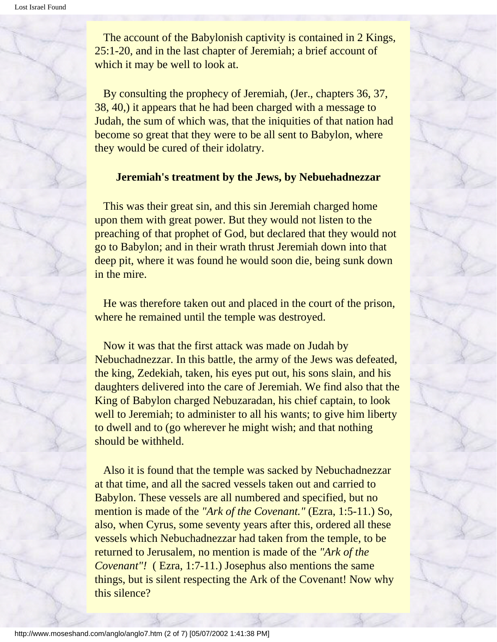The account of the Babylonish captivity is contained in 2 Kings, 25:1-20, and in the last chapter of Jeremiah; a brief account of which it may be well to look at.

 By consulting the prophecy of Jeremiah, (Jer., chapters 36, 37, 38, 40,) it appears that he had been charged with a message to Judah, the sum of which was, that the iniquities of that nation had become so great that they were to be all sent to Babylon, where they would be cured of their idolatry.

### **Jeremiah's treatment by the Jews, by Nebuehadnezzar**

 This was their great sin, and this sin Jeremiah charged home upon them with great power. But they would not listen to the preaching of that prophet of God, but declared that they would not go to Babylon; and in their wrath thrust Jeremiah down into that deep pit, where it was found he would soon die, being sunk down in the mire.

 He was therefore taken out and placed in the court of the prison, where he remained until the temple was destroyed.

 Now it was that the first attack was made on Judah by Nebuchadnezzar. In this battle, the army of the Jews was defeated, the king, Zedekiah, taken, his eyes put out, his sons slain, and his daughters delivered into the care of Jeremiah. We find also that the King of Babylon charged Nebuzaradan, his chief captain, to look well to Jeremiah; to administer to all his wants; to give him liberty to dwell and to (go wherever he might wish; and that nothing should be withheld.

 Also it is found that the temple was sacked by Nebuchadnezzar at that time, and all the sacred vessels taken out and carried to Babylon. These vessels are all numbered and specified, but no mention is made of the *"Ark of the Covenant."* (Ezra, 1:5-11.) So, also, when Cyrus, some seventy years after this, ordered all these vessels which Nebuchadnezzar had taken from the temple, to be returned to Jerusalem, no mention is made of the *"Ark of the Covenant"!* (Ezra, 1:7-11.) Josephus also mentions the same things, but is silent respecting the Ark of the Covenant! Now why this silence?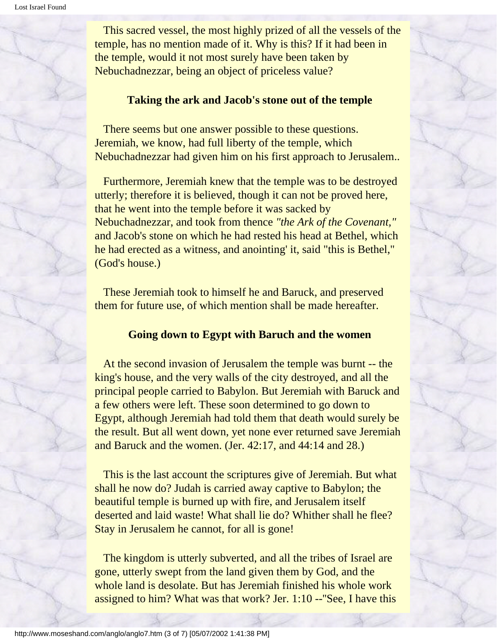This sacred vessel, the most highly prized of all the vessels of the temple, has no mention made of it. Why is this? If it had been in the temple, would it not most surely have been taken by Nebuchadnezzar, being an object of priceless value?

### **Taking the ark and Jacob's stone out of the temple**

 There seems but one answer possible to these questions. Jeremiah, we know, had full liberty of the temple, which Nebuchadnezzar had given him on his first approach to Jerusalem..

 Furthermore, Jeremiah knew that the temple was to be destroyed utterly; therefore it is believed, though it can not be proved here, that he went into the temple before it was sacked by Nebuchadnezzar, and took from thence *"the Ark of the Covenant,"* and Jacob's stone on which he had rested his head at Bethel, which he had erected as a witness, and anointing' it, said "this is Bethel," (God's house.)

 These Jeremiah took to himself he and Baruck, and preserved them for future use, of which mention shall be made hereafter.

### **Going down to Egypt with Baruch and the women**

 At the second invasion of Jerusalem the temple was burnt -- the king's house, and the very walls of the city destroyed, and all the principal people carried to Babylon. But Jeremiah with Baruck and a few others were left. These soon determined to go down to Egypt, although Jeremiah had told them that death would surely be the result. But all went down, yet none ever returned save Jeremiah and Baruck and the women. (Jer. 42:17, and 44:14 and 28.)

 This is the last account the scriptures give of Jeremiah. But what shall he now do? Judah is carried away captive to Babylon; the beautiful temple is burned up with fire, and Jerusalem itself deserted and laid waste! What shall lie do? Whither shall he flee? Stay in Jerusalem he cannot, for all is gone!

 The kingdom is utterly subverted, and all the tribes of Israel are gone, utterly swept from the land given them by God, and the whole land is desolate. But has Jeremiah finished his whole work assigned to him? What was that work? Jer. 1:10 --''See, I have this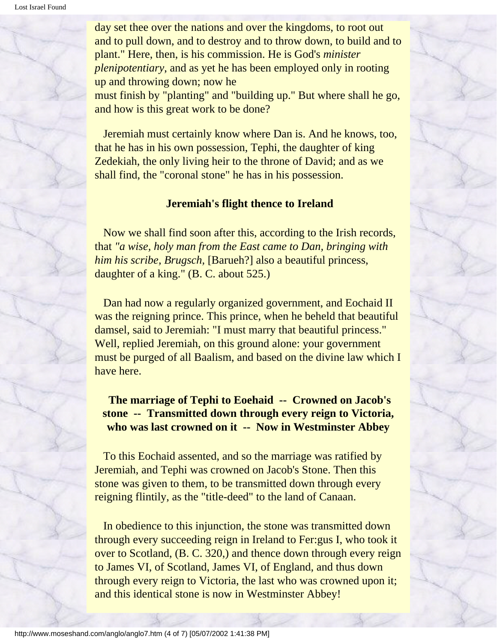day set thee over the nations and over the kingdoms, to root out and to pull down, and to destroy and to throw down, to build and to plant." Here, then, is his commission. He is God's *minister plenipotentiary*, and as yet he has been employed only in rooting up and throwing down; now he must finish by "planting" and "building up." But where shall he go, and how is this great work to be done?

 Jeremiah must certainly know where Dan is. And he knows, too, that he has in his own possession, Tephi, the daughter of king Zedekiah, the only living heir to the throne of David; and as we shall find, the "coronal stone" he has in his possession.

#### **Jeremiah's flight thence to Ireland**

 Now we shall find soon after this, according to the Irish records, that *"a wise, holy man from the East came to Dan, bringing with him his scribe, Brugsch,* [Barueh?] also a beautiful princess, daughter of a king." (B. C. about 525.)

 Dan had now a regularly organized government, and Eochaid II was the reigning prince. This prince, when he beheld that beautiful damsel, said to Jeremiah: "I must marry that beautiful princess." Well, replied Jeremiah, on this ground alone: your government must be purged of all Baalism, and based on the divine law which I have here.

**The marriage of Tephi to Eoehaid -- Crowned on Jacob's stone -- Transmitted down through every reign to Victoria, who was last crowned on it -- Now in Westminster Abbey**

 To this Eochaid assented, and so the marriage was ratified by Jeremiah, and Tephi was crowned on Jacob's Stone. Then this stone was given to them, to be transmitted down through every reigning flintily, as the "title-deed" to the land of Canaan.

 In obedience to this injunction, the stone was transmitted down through every succeeding reign in Ireland to Fer:gus I, who took it over to Scotland, (B. C. 320,) and thence down through every reign to James VI, of Scotland, James VI, of England, and thus down through every reign to Victoria, the last who was crowned upon it; and this identical stone is now in Westminster Abbey!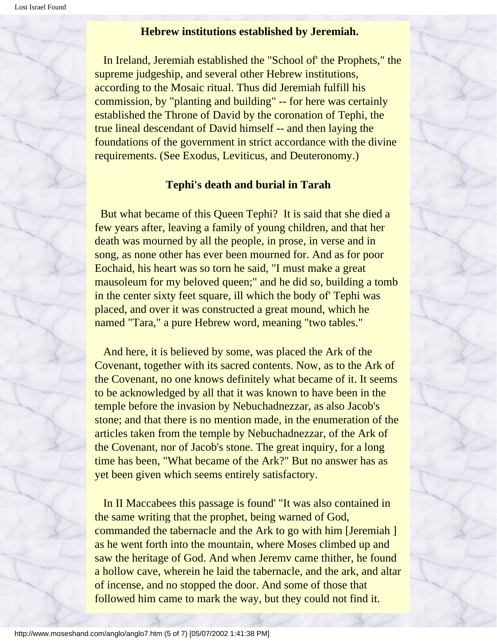#### **Hebrew institutions established by Jeremiah.**

 In Ireland, Jeremiah established the "School of' the Prophets," the supreme judgeship, and several other Hebrew institutions, according to the Mosaic ritual. Thus did Jeremiah fulfill his commission, by "planting and building" -- for here was certainly established the Throne of David by the coronation of Tephi, the true lineal descendant of David himself -- and then laying the foundations of the government in strict accordance with the divine requirements. (See Exodus, Leviticus, and Deuteronomy.)

### **Tephi's death and burial in Tarah**

 But what became of this Queen Tephi? It is said that she died a few years after, leaving a family of young children, and that her death was mourned by all the people, in prose, in verse and in song, as none other has ever been mourned for. And as for poor Eochaid, his heart was so torn he said, "I must make a great mausoleum for my beloved queen;" and he did so, building a tomb in the center sixty feet square, ill which the body of' Tephi was placed, and over it was constructed a great mound, which he named "Tara," a pure Hebrew word, meaning "two tables."

 And here, it is believed by some, was placed the Ark of the Covenant, together with its sacred contents. Now, as to the Ark of the Covenant, no one knows definitely what became of it. It seems to be acknowledged by all that it was known to have been in the temple before the invasion by Nebuchadnezzar, as also Jacob's stone; and that there is no mention made, in the enumeration of the articles taken from the temple by Nebuchadnezzar, of the Ark of the Covenant, nor of Jacob's stone. The great inquiry, for a long time has been, "What became of the Ark?" But no answer has as yet been given which seems entirely satisfactory.

 In II Maccabees this passage is found' "It was also contained in the same writing that the prophet, being warned of God, commanded the tabernacle and the Ark to go with him [Jeremiah ] as he went forth into the mountain, where Moses climbed up and saw the heritage of God. And when Jeremv came thither, he found a hollow cave, wherein he laid the tabernacle, and the ark, and altar of incense, and no stopped the door. And some of those that followed him came to mark the way, but they could not find it.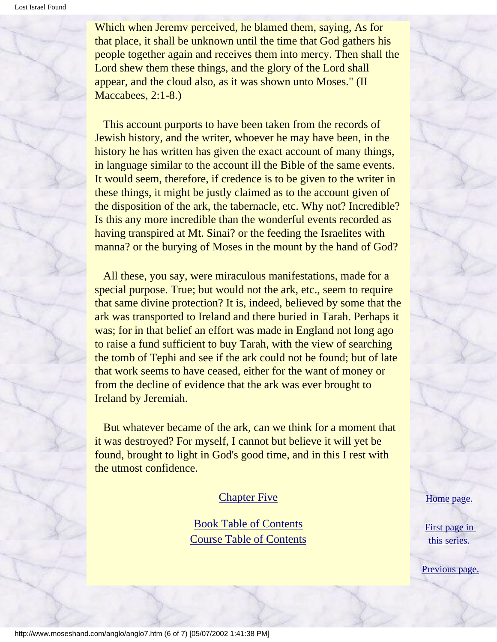Which when Jeremv perceived, he blamed them, saying, As for that place, it shall be unknown until the time that God gathers his people together again and receives them into mercy. Then shall the Lord shew them these things, and the glory of the Lord shall appear, and the cloud also, as it was shown unto Moses." (II Maccabees, 2:1-8.)

 This account purports to have been taken from the records of Jewish history, and the writer, whoever he may have been, in the history he has written has given the exact account of many things, in language similar to the account ill the Bible of the same events. It would seem, therefore, if credence is to be given to the writer in these things, it might be justly claimed as to the account given of the disposition of the ark, the tabernacle, etc. Why not? Incredible? Is this any more incredible than the wonderful events recorded as having transpired at Mt. Sinai? or the feeding the Israelites with manna? or the burying of Moses in the mount by the hand of God?

 All these, you say, were miraculous manifestations, made for a special purpose. True; but would not the ark, etc., seem to require that same divine protection? It is, indeed, believed by some that the ark was transported to Ireland and there buried in Tarah. Perhaps it was; for in that belief an effort was made in England not long ago to raise a fund sufficient to buy Tarah, with the view of searching the tomb of Tephi and see if the ark could not be found; but of late that work seems to have ceased, either for the want of money or from the decline of evidence that the ark was ever brought to Ireland by Jeremiah.

 But whatever became of the ark, can we think for a moment that it was destroyed? For myself, I cannot but believe it will yet be found, brought to light in God's good time, and in this I rest with the utmost confidence.

#### **[Chapter Five](#page-28-0)**

[Book Table of Contents](#page-2-0) [Course Table of Contents](#page-88-0) [Home page.](http://www.moseshand.com/index.html)

[First page in](#page-0-0)  [this series.](#page-0-0)

[Previous page.](#page-21-0)

http://www.moseshand.com/anglo/anglo7.htm (6 of 7) [05/07/2002 1:41:38 PM]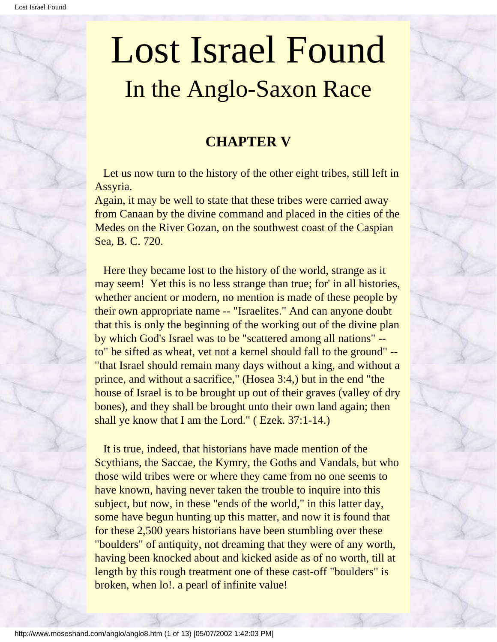### **CHAPTER V**

<span id="page-28-0"></span> Let us now turn to the history of the other eight tribes, still left in Assyria.

Again, it may be well to state that these tribes were carried away from Canaan by the divine command and placed in the cities of the Medes on the River Gozan, on the southwest coast of the Caspian Sea, B. C. 720.

 Here they became lost to the history of the world, strange as it may seem! Yet this is no less strange than true; for' in all histories, whether ancient or modern, no mention is made of these people by their own appropriate name -- "Israelites." And can anyone doubt that this is only the beginning of the working out of the divine plan by which God's Israel was to be "scattered among all nations" - to" be sifted as wheat, vet not a kernel should fall to the ground" -- "that Israel should remain many days without a king, and without a prince, and without a sacrifice," (Hosea 3:4,) but in the end "the house of Israel is to be brought up out of their graves (valley of dry bones), and they shall be brought unto their own land again; then shall ye know that I am the Lord." ( Ezek. 37:1-14.)

 It is true, indeed, that historians have made mention of the Scythians, the Saccae, the Kymry, the Goths and Vandals, but who those wild tribes were or where they came from no one seems to have known, having never taken the trouble to inquire into this subject, but now, in these "ends of the world," in this latter day, some have begun hunting up this matter, and now it is found that for these 2,500 years historians have been stumbling over these "boulders" of antiquity, not dreaming that they were of any worth, having been knocked about and kicked aside as of no worth, till at length by this rough treatment one of these cast-off "boulders" is broken, when lo!. a pearl of infinite value!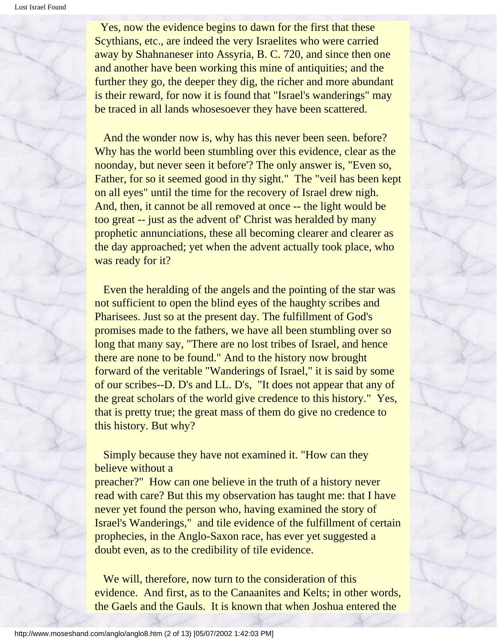Yes, now the evidence begins to dawn for the first that these Scythians, etc., are indeed the very Israelites who were carried away by Shahnaneser into Assyria, B. C. 720, and since then one and another have been working this mine of antiquities; and the further they go, the deeper they dig, the richer and more abundant is their reward, for now it is found that "Israel's wanderings" may be traced in all lands whosesoever they have been scattered.

 And the wonder now is, why has this never been seen. before? Why has the world been stumbling over this evidence, clear as the noonday, but never seen it before'? The only answer is, "Even so, Father, for so it seemed good in thy sight." The "veil has been kept on all eyes" until the time for the recovery of Israel drew nigh. And, then, it cannot be all removed at once -- the light would be too great -- just as the advent of' Christ was heralded by many prophetic annunciations, these all becoming clearer and clearer as the day approached; yet when the advent actually took place, who was ready for it?

 Even the heralding of the angels and the pointing of the star was not sufficient to open the blind eyes of the haughty scribes and Pharisees. Just so at the present day. The fulfillment of God's promises made to the fathers, we have all been stumbling over so long that many say, "There are no lost tribes of Israel, and hence there are none to be found." And to the history now brought forward of the veritable "Wanderings of Israel," it is said by some of our scribes--D. D's and LL. D's, "It does not appear that any of the great scholars of the world give credence to this history." Yes, that is pretty true; the great mass of them do give no credence to this history. But why?

 Simply because they have not examined it. "How can they believe without a

preacher?" How can one believe in the truth of a history never read with care? But this my observation has taught me: that I have never yet found the person who, having examined the story of Israel's Wanderings," and tile evidence of the fulfillment of certain prophecies, in the Anglo-Saxon race, has ever yet suggested a doubt even, as to the credibility of tile evidence.

We will, therefore, now turn to the consideration of this evidence. And first, as to the Canaanites and Kelts; in other words, the Gaels and the Gauls. It is known that when Joshua entered the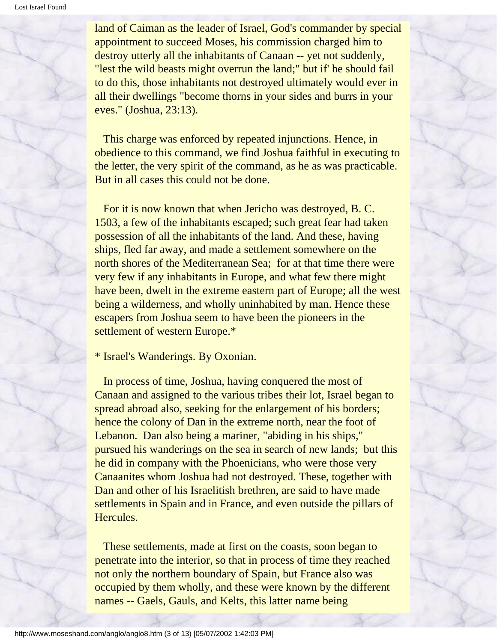land of Caiman as the leader of Israel, God's commander by special appointment to succeed Moses, his commission charged him to destroy utterly all the inhabitants of Canaan -- yet not suddenly, "lest the wild beasts might overrun the land;" but if' he should fail to do this, those inhabitants not destroyed ultimately would ever in all their dwellings "become thorns in your sides and burrs in your eves." (Joshua, 23:13).

 This charge was enforced by repeated injunctions. Hence, in obedience to this command, we find Joshua faithful in executing to the letter, the very spirit of the command, as he as was practicable. But in all cases this could not be done.

 For it is now known that when Jericho was destroyed, B. C. 1503, a few of the inhabitants escaped; such great fear had taken possession of all the inhabitants of the land. And these, having ships, fled far away, and made a settlement somewhere on the north shores of the Mediterranean Sea; for at that time there were very few if any inhabitants in Europe, and what few there might have been, dwelt in the extreme eastern part of Europe; all the west being a wilderness, and wholly uninhabited by man. Hence these escapers from Joshua seem to have been the pioneers in the settlement of western Europe.\*

\* Israel's Wanderings. By Oxonian.

 In process of time, Joshua, having conquered the most of Canaan and assigned to the various tribes their lot, Israel began to spread abroad also, seeking for the enlargement of his borders; hence the colony of Dan in the extreme north, near the foot of Lebanon. Dan also being a mariner, "abiding in his ships," pursued his wanderings on the sea in search of new lands; but this he did in company with the Phoenicians, who were those very Canaanites whom Joshua had not destroyed. These, together with Dan and other of his Israelitish brethren, are said to have made settlements in Spain and in France, and even outside the pillars of Hercules.

 These settlements, made at first on the coasts, soon began to penetrate into the interior, so that in process of time they reached not only the northern boundary of Spain, but France also was occupied by them wholly, and these were known by the different names -- Gaels, Gauls, and Kelts, this latter name being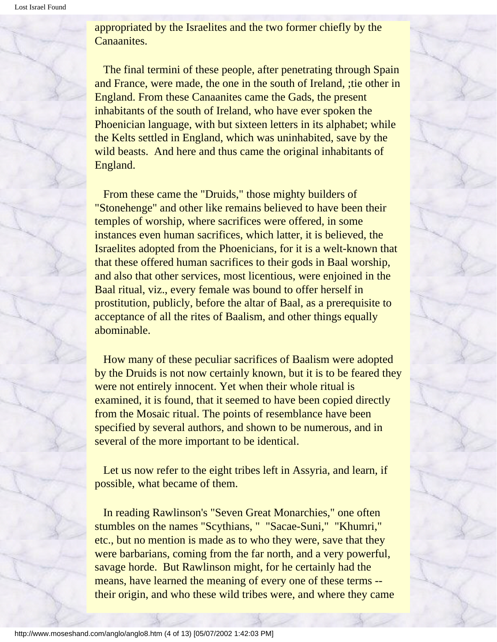appropriated by the Israelites and the two former chiefly by the Canaanites.

 The final termini of these people, after penetrating through Spain and France, were made, the one in the south of Ireland, ;tie other in England. From these Canaanites came the Gads, the present inhabitants of the south of Ireland, who have ever spoken the Phoenician language, with but sixteen letters in its alphabet; while the Kelts settled in England, which was uninhabited, save by the wild beasts. And here and thus came the original inhabitants of England.

 From these came the "Druids," those mighty builders of "Stonehenge" and other like remains believed to have been their temples of worship, where sacrifices were offered, in some instances even human sacrifices, which latter, it is believed, the Israelites adopted from the Phoenicians, for it is a welt-known that that these offered human sacrifices to their gods in Baal worship, and also that other services, most licentious, were enjoined in the Baal ritual, viz., every female was bound to offer herself in prostitution, publicly, before the altar of Baal, as a prerequisite to acceptance of all the rites of Baalism, and other things equally abominable.

 How many of these peculiar sacrifices of Baalism were adopted by the Druids is not now certainly known, but it is to be feared they were not entirely innocent. Yet when their whole ritual is examined, it is found, that it seemed to have been copied directly from the Mosaic ritual. The points of resemblance have been specified by several authors, and shown to be numerous, and in several of the more important to be identical.

Let us now refer to the eight tribes left in Assyria, and learn, if possible, what became of them.

 In reading Rawlinson's "Seven Great Monarchies," one often stumbles on the names "Scythians, " "Sacae-Suni," "Khumri," etc., but no mention is made as to who they were, save that they were barbarians, coming from the far north, and a very powerful, savage horde. But Rawlinson might, for he certainly had the means, have learned the meaning of every one of these terms - their origin, and who these wild tribes were, and where they came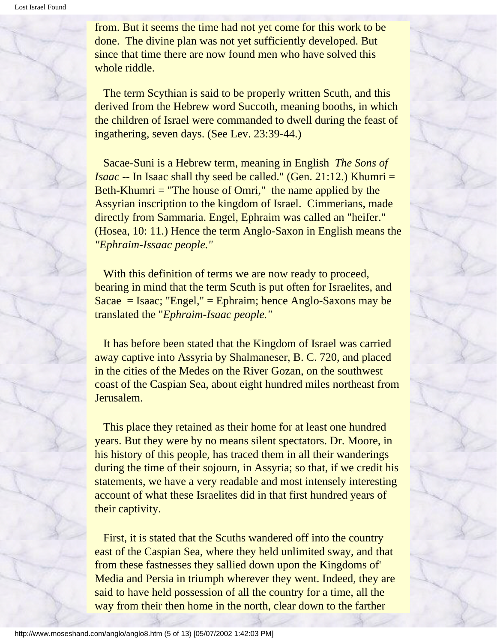from. But it seems the time had not yet come for this work to be done. The divine plan was not yet sufficiently developed. But since that time there are now found men who have solved this whole riddle.

 The term Scythian is said to be properly written Scuth, and this derived from the Hebrew word Succoth, meaning booths, in which the children of Israel were commanded to dwell during the feast of ingathering, seven days. (See Lev. 23:39-44.)

 Sacae-Suni is a Hebrew term, meaning in English *The Sons of Isaac* -- In Isaac shall thy seed be called." (Gen. 21:12.) Khumri = Beth-Khumri = "The house of Omri," the name applied by the Assyrian inscription to the kingdom of Israel. Cimmerians, made directly from Sammaria. Engel, Ephraim was called an "heifer." (Hosea, 10: 11.) Hence the term Anglo-Saxon in English means the *"Ephraim-Issaac people."*

With this definition of terms we are now ready to proceed, bearing in mind that the term Scuth is put often for Israelites, and Sacae = Isaac; "Engel," = Ephraim; hence Anglo-Saxons may be translated the "*Ephraim-Isaac people."*

 It has before been stated that the Kingdom of Israel was carried away captive into Assyria by Shalmaneser, B. C. 720, and placed in the cities of the Medes on the River Gozan, on the southwest coast of the Caspian Sea, about eight hundred miles northeast from Jerusalem.

 This place they retained as their home for at least one hundred years. But they were by no means silent spectators. Dr. Moore, in his history of this people, has traced them in all their wanderings during the time of their sojourn, in Assyria; so that, if we credit his statements, we have a very readable and most intensely interesting account of what these Israelites did in that first hundred years of their captivity.

 First, it is stated that the Scuths wandered off into the country east of the Caspian Sea, where they held unlimited sway, and that from these fastnesses they sallied down upon the Kingdoms of' Media and Persia in triumph wherever they went. Indeed, they are said to have held possession of all the country for a time, all the way from their then home in the north, clear down to the farther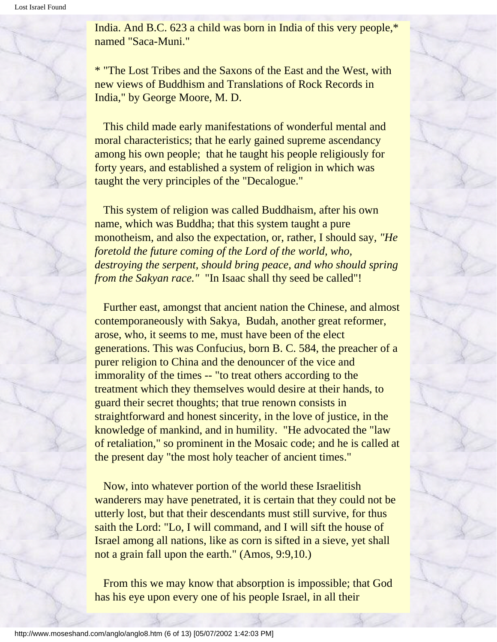India. And B.C. 623 a child was born in India of this very people,\* named "Saca-Muni."

\* "The Lost Tribes and the Saxons of the East and the West, with new views of Buddhism and Translations of Rock Records in India," by George Moore, M. D.

 This child made early manifestations of wonderful mental and moral characteristics; that he early gained supreme ascendancy among his own people; that he taught his people religiously for forty years, and established a system of religion in which was taught the very principles of the "Decalogue."

 This system of religion was called Buddhaism, after his own name, which was Buddha; that this system taught a pure monotheism, and also the expectation, or, rather, I should say, *"He foretold the future coming of the Lord of the world, who, destroying the serpent, should bring peace, and who should spring from the Sakyan race."* "In Isaac shall thy seed be called"!

 Further east, amongst that ancient nation the Chinese, and almost contemporaneously with Sakya, Budah, another great reformer, arose, who, it seems to me, must have been of the elect generations. This was Confucius, born B. C. 584, the preacher of a purer religion to China and the denouncer of the vice and immorality of the times -- "to treat others according to the treatment which they themselves would desire at their hands, to guard their secret thoughts; that true renown consists in straightforward and honest sincerity, in the love of justice, in the knowledge of mankind, and in humility. "He advocated the "law of retaliation," so prominent in the Mosaic code; and he is called at the present day "the most holy teacher of ancient times."

 Now, into whatever portion of the world these Israelitish wanderers may have penetrated, it is certain that they could not be utterly lost, but that their descendants must still survive, for thus saith the Lord: "Lo, I will command, and I will sift the house of Israel among all nations, like as corn is sifted in a sieve, yet shall not a grain fall upon the earth." (Amos, 9:9,10.)

 From this we may know that absorption is impossible; that God has his eye upon every one of his people Israel, in all their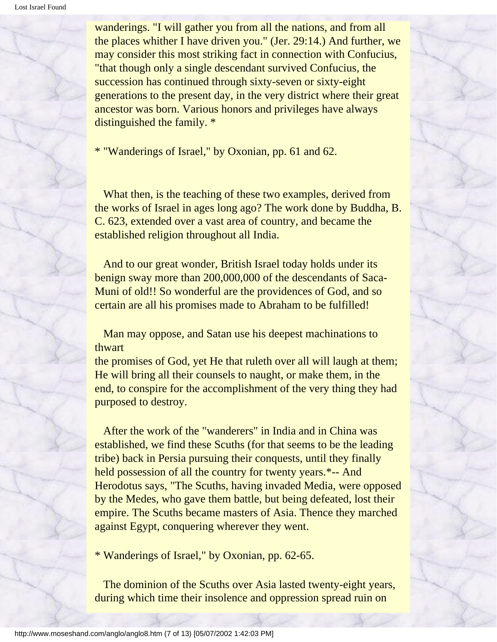wanderings. "I will gather you from all the nations, and from all the places whither I have driven you." (Jer. 29:14.) And further, we may consider this most striking fact in connection with Confucius, "that though only a single descendant survived Confucius, the succession has continued through sixty-seven or sixty-eight generations to the present day, in the very district where their great ancestor was born. Various honors and privileges have always distinguished the family. \*

\* "Wanderings of Israel," by Oxonian, pp. 61 and 62.

 What then, is the teaching of these two examples, derived from the works of Israel in ages long ago? The work done by Buddha, B. C. 623, extended over a vast area of country, and became the established religion throughout all India.

 And to our great wonder, British Israel today holds under its benign sway more than 200,000,000 of the descendants of Saca-Muni of old!! So wonderful are the providences of God, and so certain are all his promises made to Abraham to be fulfilled!

 Man may oppose, and Satan use his deepest machinations to thwart

the promises of God, yet He that ruleth over all will laugh at them; He will bring all their counsels to naught, or make them, in the end, to conspire for the accomplishment of the very thing they had purposed to destroy.

 After the work of the "wanderers" in India and in China was established, we find these Scuths (for that seems to be the leading tribe) back in Persia pursuing their conquests, until they finally held possession of all the country for twenty years.\*-- And Herodotus says, "The Scuths, having invaded Media, were opposed by the Medes, who gave them battle, but being defeated, lost their empire. The Scuths became masters of Asia. Thence they marched against Egypt, conquering wherever they went.

\* Wanderings of Israel," by Oxonian, pp. 62-65.

 The dominion of the Scuths over Asia lasted twenty-eight years, during which time their insolence and oppression spread ruin on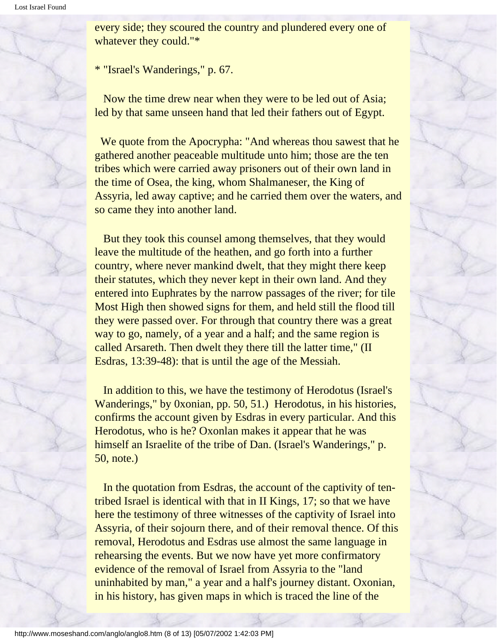every side; they scoured the country and plundered every one of whatever they could."\*

\* "Israel's Wanderings," p. 67.

 Now the time drew near when they were to be led out of Asia; led by that same unseen hand that led their fathers out of Egypt.

 We quote from the Apocrypha: "And whereas thou sawest that he gathered another peaceable multitude unto him; those are the ten tribes which were carried away prisoners out of their own land in the time of Osea, the king, whom Shalmaneser, the King of Assyria, led away captive; and he carried them over the waters, and so came they into another land.

 But they took this counsel among themselves, that they would leave the multitude of the heathen, and go forth into a further country, where never mankind dwelt, that they might there keep their statutes, which they never kept in their own land. And they entered into Euphrates by the narrow passages of the river; for tile Most High then showed signs for them, and held still the flood till they were passed over. For through that country there was a great way to go, namely, of a year and a half; and the same region is called Arsareth. Then dwelt they there till the latter time," (II Esdras, 13:39-48): that is until the age of the Messiah.

 In addition to this, we have the testimony of Herodotus (Israel's Wanderings," by 0xonian, pp. 50, 51.) Herodotus, in his histories, confirms the account given by Esdras in every particular. And this Herodotus, who is he? Oxonlan makes it appear that he was himself an Israelite of the tribe of Dan. (Israel's Wanderings," p. 50, note.)

 In the quotation from Esdras, the account of the captivity of tentribed Israel is identical with that in II Kings, 17; so that we have here the testimony of three witnesses of the captivity of Israel into Assyria, of their sojourn there, and of their removal thence. Of this removal, Herodotus and Esdras use almost the same language in rehearsing the events. But we now have yet more confirmatory evidence of the removal of Israel from Assyria to the "land uninhabited by man," a year and a half's journey distant. Oxonian, in his history, has given maps in which is traced the line of the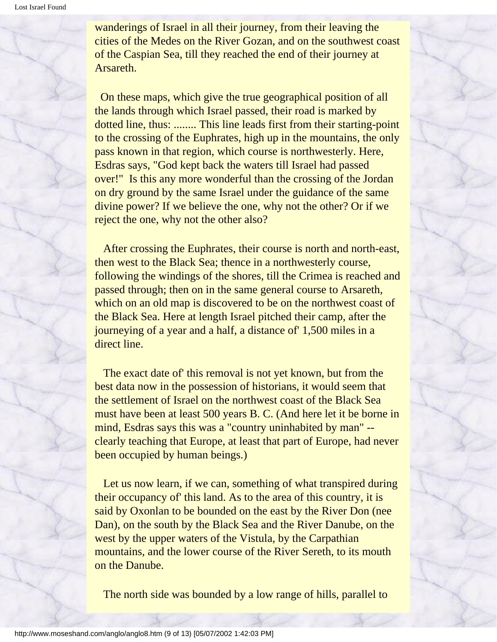wanderings of Israel in all their journey, from their leaving the cities of the Medes on the River Gozan, and on the southwest coast of the Caspian Sea, till they reached the end of their journey at Arsareth.

 On these maps, which give the true geographical position of all the lands through which Israel passed, their road is marked by dotted line, thus: ........ This line leads first from their starting-point to the crossing of the Euphrates, high up in the mountains, the only pass known in that region, which course is northwesterly. Here, Esdras says, "God kept back the waters till Israel had passed over!" Is this any more wonderful than the crossing of the Jordan on dry ground by the same Israel under the guidance of the same divine power? If we believe the one, why not the other? Or if we reject the one, why not the other also?

 After crossing the Euphrates, their course is north and north-east, then west to the Black Sea; thence in a northwesterly course, following the windings of the shores, till the Crimea is reached and passed through; then on in the same general course to Arsareth, which on an old map is discovered to be on the northwest coast of the Black Sea. Here at length Israel pitched their camp, after the journeying of a year and a half, a distance of' 1,500 miles in a direct line.

 The exact date of' this removal is not yet known, but from the best data now in the possession of historians, it would seem that the settlement of Israel on the northwest coast of the Black Sea must have been at least 500 years B. C. (And here let it be borne in mind, Esdras says this was a "country uninhabited by man" - clearly teaching that Europe, at least that part of Europe, had never been occupied by human beings.)

Let us now learn, if we can, something of what transpired during their occupancy of' this land. As to the area of this country, it is said by Oxonlan to be bounded on the east by the River Don (nee Dan), on the south by the Black Sea and the River Danube, on the west by the upper waters of the Vistula, by the Carpathian mountains, and the lower course of the River Sereth, to its mouth on the Danube.

The north side was bounded by a low range of hills, parallel to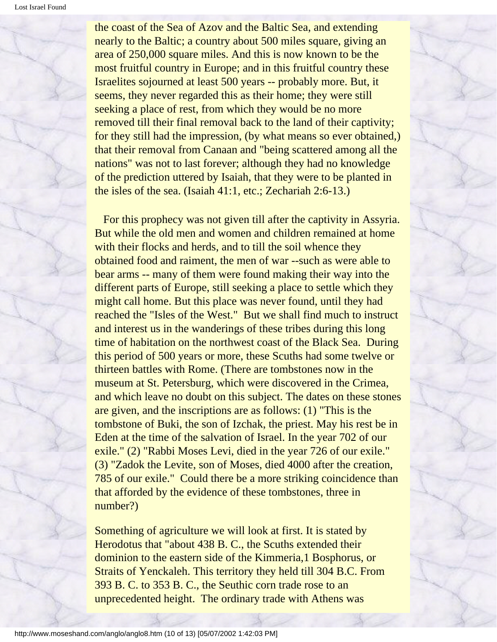the coast of the Sea of Azov and the Baltic Sea, and extending nearly to the Baltic; a country about 500 miles square, giving an area of 250,000 square miles. And this is now known to be the most fruitful country in Europe; and in this fruitful country these Israelites sojourned at least 500 years -- probably more. But, it seems, they never regarded this as their home; they were still seeking a place of rest, from which they would be no more removed till their final removal back to the land of their captivity; for they still had the impression, (by what means so ever obtained,) that their removal from Canaan and "being scattered among all the nations" was not to last forever; although they had no knowledge of the prediction uttered by Isaiah, that they were to be planted in the isles of the sea. (Isaiah 41:1, etc.; Zechariah 2:6-13.)

 For this prophecy was not given till after the captivity in Assyria. But while the old men and women and children remained at home with their flocks and herds, and to till the soil whence they obtained food and raiment, the men of war --such as were able to bear arms -- many of them were found making their way into the different parts of Europe, still seeking a place to settle which they might call home. But this place was never found, until they had reached the "Isles of the West." But we shall find much to instruct and interest us in the wanderings of these tribes during this long time of habitation on the northwest coast of the Black Sea. During this period of 500 years or more, these Scuths had some twelve or thirteen battles with Rome. (There are tombstones now in the museum at St. Petersburg, which were discovered in the Crimea, and which leave no doubt on this subject. The dates on these stones are given, and the inscriptions are as follows: (1) "This is the tombstone of Buki, the son of Izchak, the priest. May his rest be in Eden at the time of the salvation of Israel. In the year 702 of our exile." (2) "Rabbi Moses Levi, died in the year 726 of our exile." (3) "Zadok the Levite, son of Moses, died 4000 after the creation, 785 of our exile." Could there be a more striking coincidence than that afforded by the evidence of these tombstones, three in number?)

Something of agriculture we will look at first. It is stated by Herodotus that "about 438 B. C., the Scuths extended their dominion to the eastern side of the Kimmeria,1 Bosphorus, or Straits of Yenckaleh. This territory they held till 304 B.C. From 393 B. C. to 353 B. C., the Seuthic corn trade rose to an unprecedented height. The ordinary trade with Athens was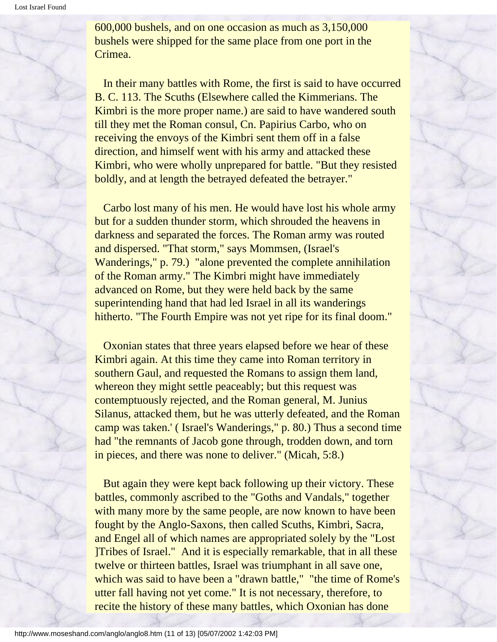600,000 bushels, and on one occasion as much as 3,150,000 bushels were shipped for the same place from one port in the Crimea.

 In their many battles with Rome, the first is said to have occurred B. C. 113. The Scuths (Elsewhere called the Kimmerians. The Kimbri is the more proper name.) are said to have wandered south till they met the Roman consul, Cn. Papirius Carbo, who on receiving the envoys of the Kimbri sent them off in a false direction, and himself went with his army and attacked these Kimbri, who were wholly unprepared for battle. "But they resisted boldly, and at length the betrayed defeated the betrayer."

 Carbo lost many of his men. He would have lost his whole army but for a sudden thunder storm, which shrouded the heavens in darkness and separated the forces. The Roman army was routed and dispersed. "That storm," says Mommsen, (Israel's Wanderings," p. 79.) "alone prevented the complete annihilation of the Roman army." The Kimbri might have immediately advanced on Rome, but they were held back by the same superintending hand that had led Israel in all its wanderings hitherto. "The Fourth Empire was not yet ripe for its final doom."

 Oxonian states that three years elapsed before we hear of these Kimbri again. At this time they came into Roman territory in southern Gaul, and requested the Romans to assign them land, whereon they might settle peaceably; but this request was contemptuously rejected, and the Roman general, M. Junius Silanus, attacked them, but he was utterly defeated, and the Roman camp was taken.' ( Israel's Wanderings," p. 80.) Thus a second time had "the remnants of Jacob gone through, trodden down, and torn in pieces, and there was none to deliver." (Micah, 5:8.)

 But again they were kept back following up their victory. These battles, commonly ascribed to the "Goths and Vandals," together with many more by the same people, are now known to have been fought by the Anglo-Saxons, then called Scuths, Kimbri, Sacra, and Engel all of which names are appropriated solely by the "Lost ]Tribes of Israel." And it is especially remarkable, that in all these twelve or thirteen battles, Israel was triumphant in all save one, which was said to have been a "drawn battle," "the time of Rome's utter fall having not yet come." It is not necessary, therefore, to recite the history of these many battles, which Oxonian has done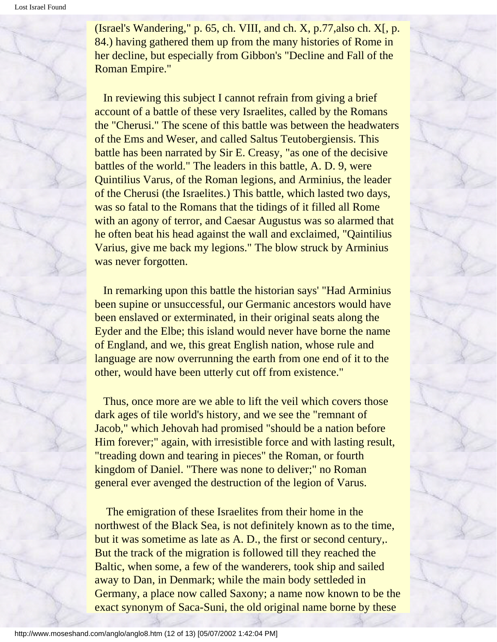(Israel's Wandering,"  $p. 65$ , ch. VIII, and ch. X,  $p.77$ , also ch. X[,  $p.$ 84.) having gathered them up from the many histories of Rome in her decline, but especially from Gibbon's "Decline and Fall of the Roman Empire."

 In reviewing this subject I cannot refrain from giving a brief account of a battle of these very Israelites, called by the Romans the "Cherusi." The scene of this battle was between the headwaters of the Ems and Weser, and called Saltus Teutobergiensis. This battle has been narrated by Sir E. Creasy, "as one of the decisive battles of the world." The leaders in this battle, A. D. 9, were Quintilius Varus, of the Roman legions, and Arminius, the leader of the Cherusi (the Israelites.) This battle, which lasted two days, was so fatal to the Romans that the tidings of it filled all Rome with an agony of terror, and Caesar Augustus was so alarmed that he often beat his head against the wall and exclaimed, "Qaintilius Varius, give me back my legions." The blow struck by Arminius was never forgotten.

 In remarking upon this battle the historian says' "Had Arminius been supine or unsuccessful, our Germanic ancestors would have been enslaved or exterminated, in their original seats along the Eyder and the Elbe; this island would never have borne the name of England, and we, this great English nation, whose rule and language are now overrunning the earth from one end of it to the other, would have been utterly cut off from existence."

Thus, once more are we able to lift the veil which covers those dark ages of tile world's history, and we see the "remnant of Jacob," which Jehovah had promised "should be a nation before Him forever;" again, with irresistible force and with lasting result, "treading down and tearing in pieces" the Roman, or fourth kingdom of Daniel. "There was none to deliver;" no Roman general ever avenged the destruction of the legion of Varus.

 The emigration of these Israelites from their home in the northwest of the Black Sea, is not definitely known as to the time, but it was sometime as late as A. D., the first or second century,. But the track of the migration is followed till they reached the Baltic, when some, a few of the wanderers, took ship and sailed away to Dan, in Denmark; while the main body settleded in Germany, a place now called Saxony; a name now known to be the exact synonym of Saca-Suni, the old original name borne by these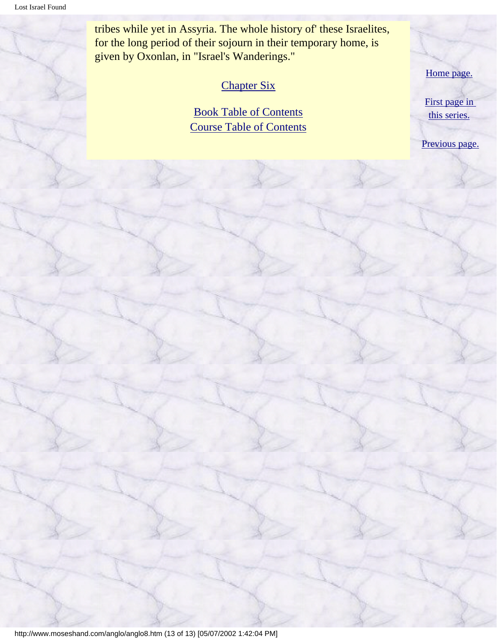tribes while yet in Assyria. The whole history of' these Israelites, for the long period of their sojourn in their temporary home, is given by Oxonlan, in "Israel's Wanderings."

#### [Chapter Six](#page-41-0)

[Book Table of Contents](#page-2-0) [Course Table of Contents](#page-88-0) [Home page.](http://www.moseshand.com/index.html)

[First page in](#page-0-0)  [this series.](#page-0-0)

[Previous page.](#page-21-0)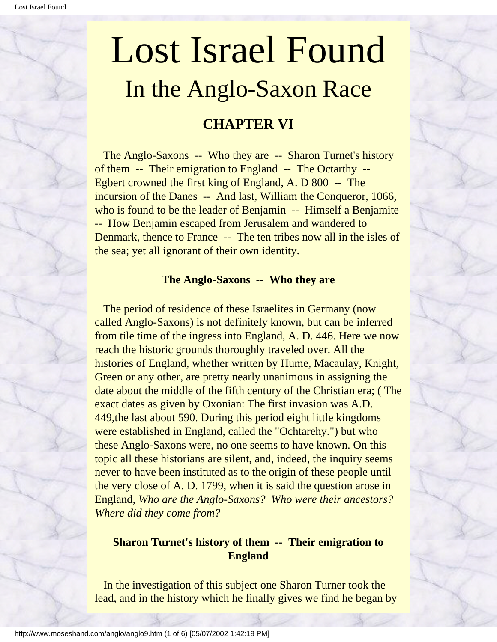## <span id="page-41-0"></span>Lost Israel Found In the Anglo-Saxon Race

#### **CHAPTER VI**

 The Anglo-Saxons -- Who they are -- Sharon Turnet's history of them -- Their emigration to England -- The Octarthy -- Egbert crowned the first king of England, A. D 800 -- The incursion of the Danes -- And last, William the Conqueror, 1066, who is found to be the leader of Benjamin -- Himself a Benjamite -- How Benjamin escaped from Jerusalem and wandered to Denmark, thence to France -- The ten tribes now all in the isles of the sea; yet all ignorant of their own identity.

#### **The Anglo-Saxons -- Who they are**

 The period of residence of these Israelites in Germany (now called Anglo-Saxons) is not definitely known, but can be inferred from tile time of the ingress into England, A. D. 446. Here we now reach the historic grounds thoroughly traveled over. All the histories of England, whether written by Hume, Macaulay, Knight, Green or any other, are pretty nearly unanimous in assigning the date about the middle of the fifth century of the Christian era; ( The exact dates as given by Oxonian: The first invasion was A.D. 449,the last about 590. During this period eight little kingdoms were established in England, called the "Ochtarehy.") but who these Anglo-Saxons were, no one seems to have known. On this topic all these historians are silent, and, indeed, the inquiry seems never to have been instituted as to the origin of these people until the very close of A. D. 1799, when it is said the question arose in England, *Who are the Anglo-Saxons? Who were their ancestors? Where did they come from?*

#### **Sharon Turnet's history of them -- Their emigration to England**

 In the investigation of this subject one Sharon Turner took the lead, and in the history which he finally gives we find he began by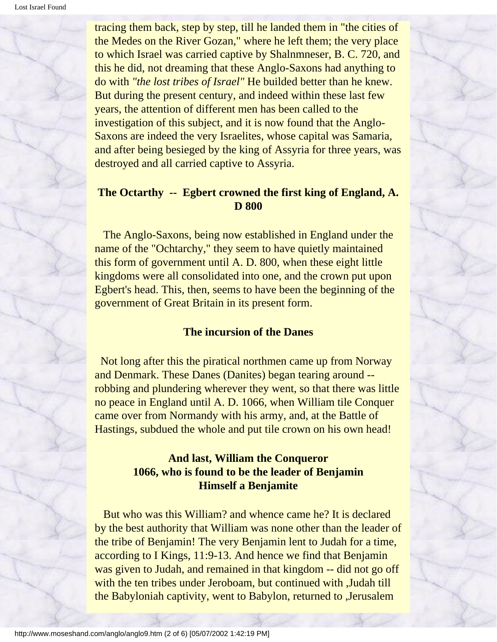tracing them back, step by step, till he landed them in "the cities of the Medes on the River Gozan," where he left them; the very place to which Israel was carried captive by Shalnmneser, B. C. 720, and this he did, not dreaming that these Anglo-Saxons had anything to do with *"the lost tribes of Israel"* He builded better than he knew. But during the present century, and indeed within these last few years, the attention of different men has been called to the investigation of this subject, and it is now found that the Anglo-Saxons are indeed the very Israelites, whose capital was Samaria, and after being besieged by the king of Assyria for three years, was destroyed and all carried captive to Assyria.

#### **The Octarthy -- Egbert crowned the first king of England, A. D 800**

 The Anglo-Saxons, being now established in England under the name of the "Ochtarchy," they seem to have quietly maintained this form of government until A. D. 800, when these eight little kingdoms were all consolidated into one, and the crown put upon Egbert's head. This, then, seems to have been the beginning of the government of Great Britain in its present form.

#### **The incursion of the Danes**

 Not long after this the piratical northmen came up from Norway and Denmark. These Danes (Danites) began tearing around - robbing and plundering wherever they went, so that there was little no peace in England until A. D. 1066, when William tile Conquer came over from Normandy with his army, and, at the Battle of Hastings, subdued the whole and put tile crown on his own head!

#### **And last, William the Conqueror 1066, who is found to be the leader of Benjamin Himself a Benjamite**

 But who was this William? and whence came he? It is declared by the best authority that William was none other than the leader of the tribe of Benjamin! The very Benjamin lent to Judah for a time, according to I Kings, 11:9-13. And hence we find that Benjamin was given to Judah, and remained in that kingdom -- did not go off with the ten tribes under Jeroboam, but continued with ,Judah till the Babyloniah captivity, went to Babylon, returned to ,Jerusalem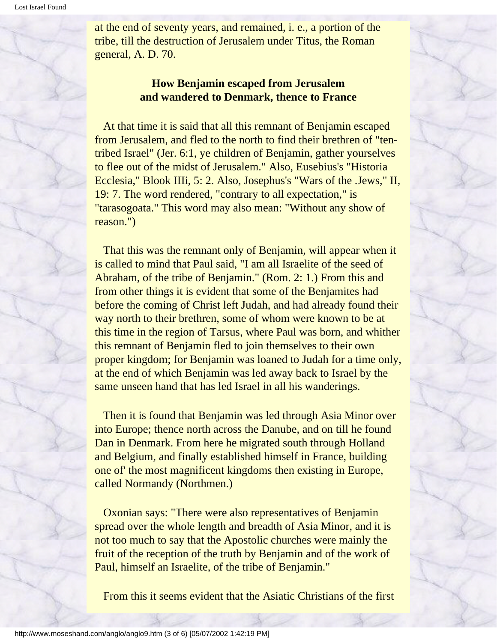at the end of seventy years, and remained, i. e., a portion of the tribe, till the destruction of Jerusalem under Titus, the Roman general, A. D. 70.

#### **How Benjamin escaped from Jerusalem and wandered to Denmark, thence to France**

 At that time it is said that all this remnant of Benjamin escaped from Jerusalem, and fled to the north to find their brethren of "tentribed Israel" (Jer. 6:1, ye children of Benjamin, gather yourselves to flee out of the midst of Jerusalem." Also, Eusebius's "Historia Ecclesia," Blook IIIi, 5: 2. Also, Josephus's "Wars of the .Jews," II, 19: 7. The word rendered, "contrary to all expectation," is "tarasogoata." This word may also mean: "Without any show of reason.")

 That this was the remnant only of Benjamin, will appear when it is called to mind that Paul said, "I am all Israelite of the seed of Abraham, of the tribe of Benjamin." (Rom. 2: 1.) From this and from other things it is evident that some of the Benjamites had before the coming of Christ left Judah, and had already found their way north to their brethren, some of whom were known to be at this time in the region of Tarsus, where Paul was born, and whither this remnant of Benjamin fled to join themselves to their own proper kingdom; for Benjamin was loaned to Judah for a time only, at the end of which Benjamin was led away back to Israel by the same unseen hand that has led Israel in all his wanderings.

 Then it is found that Benjamin was led through Asia Minor over into Europe; thence north across the Danube, and on till he found Dan in Denmark. From here he migrated south through Holland and Belgium, and finally established himself in France, building one of' the most magnificent kingdoms then existing in Europe, called Normandy (Northmen.)

 Oxonian says: "There were also representatives of Benjamin spread over the whole length and breadth of Asia Minor, and it is not too much to say that the Apostolic churches were mainly the fruit of the reception of the truth by Benjamin and of the work of Paul, himself an Israelite, of the tribe of Benjamin."

From this it seems evident that the Asiatic Christians of the first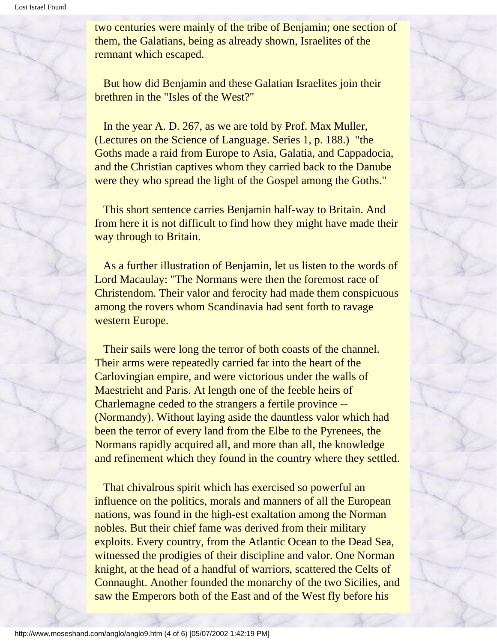two centuries were mainly of the tribe of Benjamin; one section of them, the Galatians, being as already shown, Israelites of the remnant which escaped.

 But how did Benjamin and these Galatian Israelites join their brethren in the "Isles of the West?"

 In the year A. D. 267, as we are told by Prof. Max Muller, (Lectures on the Science of Language. Series 1, p. 188.) "the Goths made a raid from Europe to Asia, Galatia, and Cappadocia, and the Christian captives whom they carried back to the Danube were they who spread the light of the Gospel among the Goths."

 This short sentence carries Benjamin half-way to Britain. And from here it is not difficult to find how they might have made their way through to Britain.

 As a further illustration of Benjamin, let us listen to the words of Lord Macaulay: "The Normans were then the foremost race of Christendom. Their valor and ferocity had made them conspicuous among the rovers whom Scandinavia had sent forth to ravage western Europe.

 Their sails were long the terror of both coasts of the channel. Their arms were repeatedly carried far into the heart of the Carlovingian empire, and were victorious under the walls of Maestrieht and Paris. At length one of the feeble heirs of Charlemagne ceded to the strangers a fertile province -- (Normandy). Without laying aside the dauntless valor which had been the terror of every land from the Elbe to the Pyrenees, the Normans rapidly acquired all, and more than all, the knowledge and refinement which they found in the country where they settled.

 That chivalrous spirit which has exercised so powerful an influence on the politics, morals and manners of all the European nations, was found in the high-est exaltation among the Norman nobles. But their chief fame was derived from their military exploits. Every country, from the Atlantic Ocean to the Dead Sea, witnessed the prodigies of their discipline and valor. One Norman knight, at the head of a handful of warriors, scattered the Celts of Connaught. Another founded the monarchy of the two Sicilies, and saw the Emperors both of the East and of the West fly before his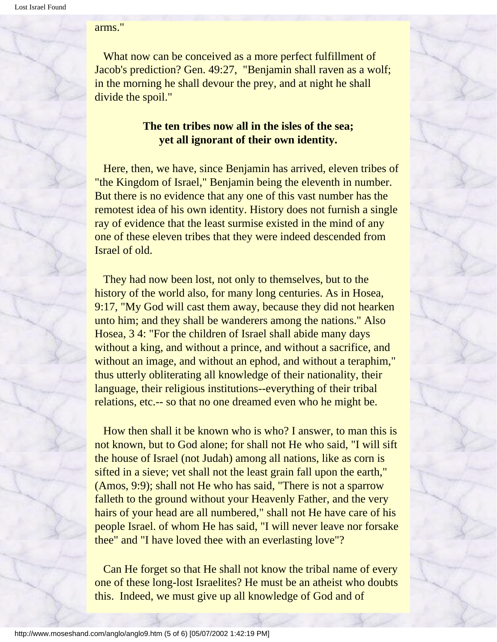arms."

 What now can be conceived as a more perfect fulfillment of Jacob's prediction? Gen. 49:27, "Benjamin shall raven as a wolf; in the morning he shall devour the prey, and at night he shall divide the spoil."

#### **The ten tribes now all in the isles of the sea; yet all ignorant of their own identity.**

 Here, then, we have, since Benjamin has arrived, eleven tribes of "the Kingdom of Israel," Benjamin being the eleventh in number. But there is no evidence that any one of this vast number has the remotest idea of his own identity. History does not furnish a single ray of evidence that the least surmise existed in the mind of any one of these eleven tribes that they were indeed descended from Israel of old.

 They had now been lost, not only to themselves, but to the history of the world also, for many long centuries. As in Hosea, 9:17, "My God will cast them away, because they did not hearken unto him; and they shall be wanderers among the nations." Also Hosea, 3 4: "For the children of Israel shall abide many days without a king, and without a prince, and without a sacrifice, and without an image, and without an ephod, and without a teraphim," thus utterly obliterating all knowledge of their nationality, their language, their religious institutions--everything of their tribal relations, etc.-- so that no one dreamed even who he might be.

 How then shall it be known who is who? I answer, to man this is not known, but to God alone; for shall not He who said, "I will sift the house of Israel (not Judah) among all nations, like as corn is sifted in a sieve; vet shall not the least grain fall upon the earth," (Amos, 9:9); shall not He who has said, "There is not a sparrow falleth to the ground without your Heavenly Father, and the very hairs of your head are all numbered," shall not He have care of his people Israel. of whom He has said, "I will never leave nor forsake thee" and "I have loved thee with an everlasting love"?

 Can He forget so that He shall not know the tribal name of every one of these long-lost Israelites? He must be an atheist who doubts this. Indeed, we must give up all knowledge of God and of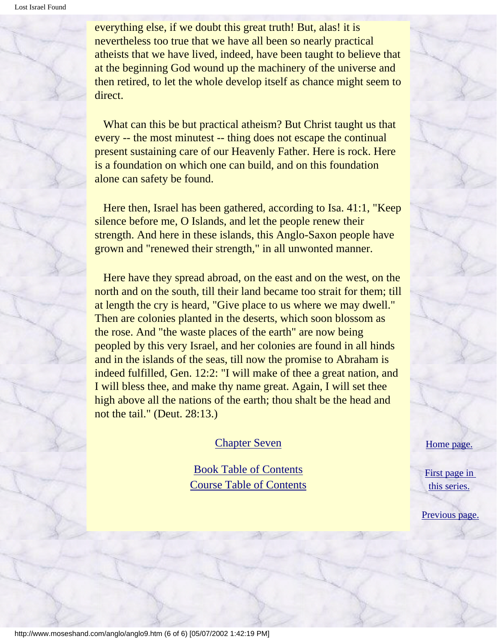everything else, if we doubt this great truth! But, alas! it is nevertheless too true that we have all been so nearly practical atheists that we have lived, indeed, have been taught to believe that at the beginning God wound up the machinery of the universe and then retired, to let the whole develop itself as chance might seem to direct.

 What can this be but practical atheism? But Christ taught us that every -- the most minutest -- thing does not escape the continual present sustaining care of our Heavenly Father. Here is rock. Here is a foundation on which one can build, and on this foundation alone can safety be found.

 Here then, Israel has been gathered, according to Isa. 41:1, "Keep silence before me, O Islands, and let the people renew their strength. And here in these islands, this Anglo-Saxon people have grown and "renewed their strength," in all unwonted manner.

 Here have they spread abroad, on the east and on the west, on the north and on the south, till their land became too strait for them; till at length the cry is heard, "Give place to us where we may dwell." Then are colonies planted in the deserts, which soon blossom as the rose. And "the waste places of the earth" are now being peopled by this very Israel, and her colonies are found in all hinds and in the islands of the seas, till now the promise to Abraham is indeed fulfilled, Gen. 12:2: "I will make of thee a great nation, and I will bless thee, and make thy name great. Again, I will set thee high above all the nations of the earth; thou shalt be the head and not the tail." (Deut. 28:13.)

[Chapter Seven](#page-47-0)

[Book Table of Contents](#page-2-0) [Course Table of Contents](#page-88-0) [Home page.](http://www.moseshand.com/index.html)

[First page in](#page-0-0)  [this series.](#page-0-0)

[Previous page.](#page-28-0)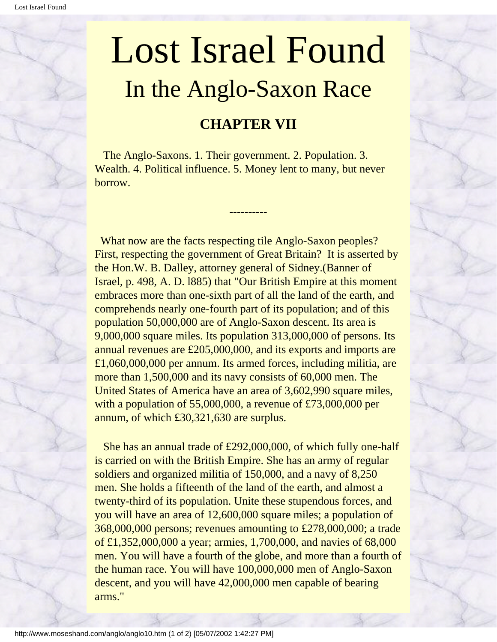## <span id="page-47-0"></span>Lost Israel Found In the Anglo-Saxon Race

#### **CHAPTER VII**

 The Anglo-Saxons. 1. Their government. 2. Population. 3. Wealth. 4. Political influence. 5. Money lent to many, but never borrow.

----------

 What now are the facts respecting tile Anglo-Saxon peoples? First, respecting the government of Great Britain? It is asserted by the Hon.W. B. Dalley, attorney general of Sidney.(Banner of Israel, p. 498, A. D. l885) that "Our British Empire at this moment embraces more than one-sixth part of all the land of the earth, and comprehends nearly one-fourth part of its population; and of this population 50,000,000 are of Anglo-Saxon descent. Its area is 9,000,000 square miles. Its population 313,000,000 of persons. Its annual revenues are £205,000,000, and its exports and imports are £1,060,000,000 per annum. Its armed forces, including militia, are more than 1,500,000 and its navy consists of 60,000 men. The United States of America have an area of 3,602,990 square miles, with a population of 55,000,000, a revenue of £73,000,000 per annum, of which £30,321,630 are surplus.

 She has an annual trade of £292,000,000, of which fully one-half is carried on with the British Empire. She has an army of regular soldiers and organized militia of 150,000, and a navy of 8,250 men. She holds a fifteenth of the land of the earth, and almost a twenty-third of its population. Unite these stupendous forces, and you will have an area of 12,600,000 square miles; a population of 368,000,000 persons; revenues amounting to £278,000,000; a trade of £1,352,000,000 a year; armies, 1,700,000, and navies of 68,000 men. You will have a fourth of the globe, and more than a fourth of the human race. You will have 100,000,000 men of Anglo-Saxon descent, and you will have 42,000,000 men capable of bearing arms."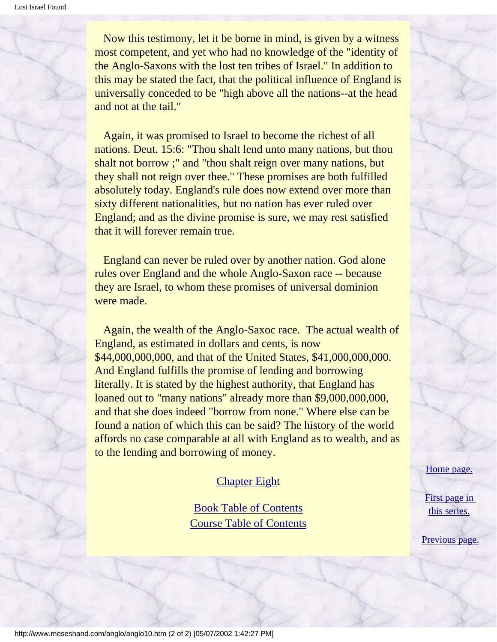Now this testimony, let it be borne in mind, is given by a witness most competent, and yet who had no knowledge of the "identity of the Anglo-Saxons with the lost ten tribes of Israel." In addition to this may be stated the fact, that the political influence of England is universally conceded to be "high above all the nations--at the head and not at the tail."

 Again, it was promised to Israel to become the richest of all nations. Deut. 15:6: "Thou shalt lend unto many nations, but thou shalt not borrow ;" and "thou shalt reign over many nations, but they shall not reign over thee." These promises are both fulfilled absolutely today. England's rule does now extend over more than sixty different nationalities, but no nation has ever ruled over England; and as the divine promise is sure, we may rest satisfied that it will forever remain true.

 England can never be ruled over by another nation. God alone rules over England and the whole Anglo-Saxon race -- because they are Israel, to whom these promises of universal dominion were made.

 Again, the wealth of the Anglo-Saxoc race. The actual wealth of England, as estimated in dollars and cents, is now \$44,000,000,000, and that of the United States, \$41,000,000,000. And England fulfills the promise of lending and borrowing literally. It is stated by the highest authority, that England has loaned out to "many nations" already more than \$9,000,000,000, and that she does indeed "borrow from none." Where else can be found a nation of which this can be said? The history of the world affords no case comparable at all with England as to wealth, and as to the lending and borrowing of money.

#### [Chapter Eigh](#page-49-0)t

[Book Table of Contents](#page-2-0) [Course Table of Contents](#page-88-0) [Home page.](http://www.moseshand.com/index.html)

[First page in](#page-0-0)  [this series.](#page-0-0)

[Previous page.](#page-41-0)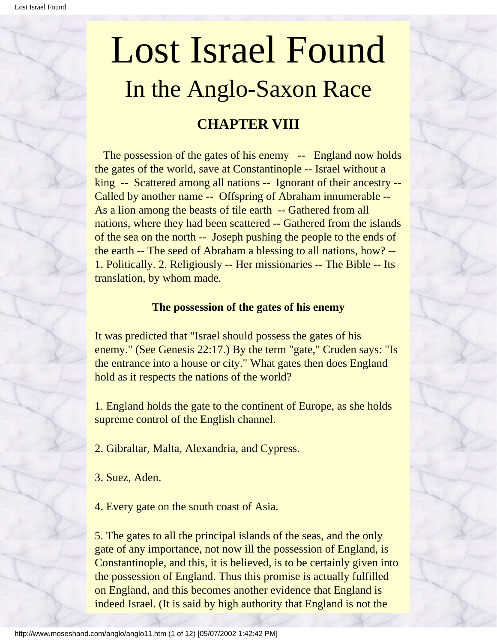# <span id="page-49-0"></span>Lost Israel Found In the Anglo-Saxon Race

#### **CHAPTER VIII**

The possession of the gates of his enemy -- England now holds the gates of the world, save at Constantinople -- Israel without a king -- Scattered among all nations -- Ignorant of their ancestry -- Called by another name -- Offspring of Abraham innumerable -- As a lion among the beasts of tile earth -- Gathered from all nations, where they had been scattered -- Gathered from the islands of the sea on the north -- Joseph pushing the people to the ends of the earth -- The seed of Abraham a blessing to all nations, how? -- 1. Politically. 2. Religiously -- Her missionaries -- The Bible -- Its translation, by whom made.

#### **The possession of the gates of his enemy**

It was predicted that "Israel should possess the gates of his enemy." (See Genesis 22:17.) By the term "gate," Cruden says: "Is the entrance into a house or city." What gates then does England hold as it respects the nations of the world?

1. England holds the gate to the continent of Europe, as she holds supreme control of the English channel.

- 2. Gibraltar, Malta, Alexandria, and Cypress.
- 3. Suez, Aden.
- 4. Every gate on the south coast of Asia.

5. The gates to all the principal islands of the seas, and the only gate of any importance, not now ill the possession of England, is Constantinople, and this, it is believed, is to be certainly given into the possession of England. Thus this promise is actually fulfilled on England, and this becomes another evidence that England is indeed Israel. (It is said by high authority that England is not the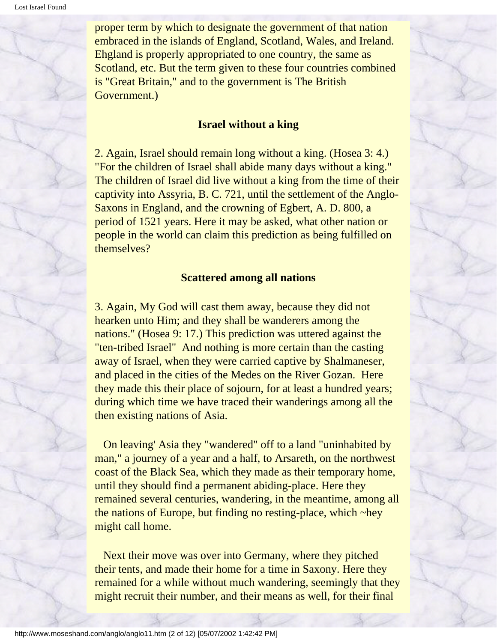proper term by which to designate the government of that nation embraced in the islands of England, Scotland, Wales, and Ireland. Ehgland is properly appropriated to one country, the same as Scotland, etc. But the term given to these four countries combined is "Great Britain," and to the government is The British Government.)

#### **Israel without a king**

2. Again, Israel should remain long without a king. (Hosea 3: 4.) "For the children of Israel shall abide many days without a king." The children of Israel did live without a king from the time of their captivity into Assyria, B. C. 721, until the settlement of the Anglo-Saxons in England, and the crowning of Egbert, A. D. 800, a period of 1521 years. Here it may be asked, what other nation or people in the world can claim this prediction as being fulfilled on themselves?

#### **Scattered among all nations**

3. Again, My God will cast them away, because they did not hearken unto Him; and they shall be wanderers among the nations." (Hosea 9: 17.) This prediction was uttered against the "ten-tribed Israel" And nothing is more certain than the casting away of Israel, when they were carried captive by Shalmaneser, and placed in the cities of the Medes on the River Gozan. Here they made this their place of sojourn, for at least a hundred years; during which time we have traced their wanderings among all the then existing nations of Asia.

 On leaving' Asia they "wandered" off to a land "uninhabited by man," a journey of a year and a half, to Arsareth, on the northwest coast of the Black Sea, which they made as their temporary home, until they should find a permanent abiding-place. Here they remained several centuries, wandering, in the meantime, among all the nations of Europe, but finding no resting-place, which ~hey might call home.

 Next their move was over into Germany, where they pitched their tents, and made their home for a time in Saxony. Here they remained for a while without much wandering, seemingly that they might recruit their number, and their means as well, for their final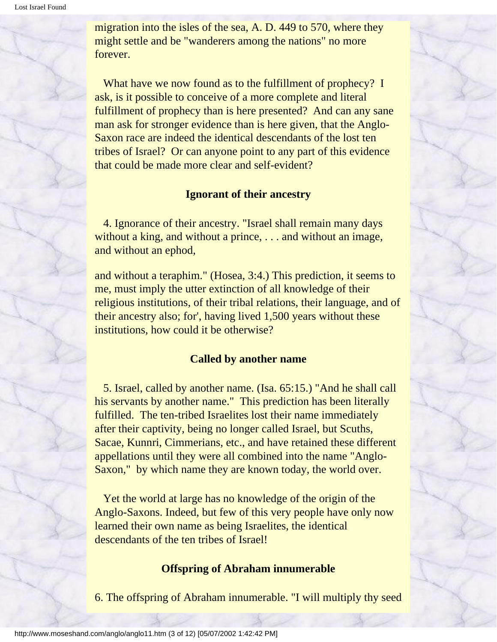migration into the isles of the sea, A. D. 449 to 570, where they might settle and be "wanderers among the nations" no more forever.

What have we now found as to the fulfillment of prophecy? I ask, is it possible to conceive of a more complete and literal fulfillment of prophecy than is here presented? And can any sane man ask for stronger evidence than is here given, that the Anglo-Saxon race are indeed the identical descendants of the lost ten tribes of Israel? Or can anyone point to any part of this evidence that could be made more clear and self-evident?

#### **Ignorant of their ancestry**

 4. Ignorance of their ancestry. "Israel shall remain many days without a king, and without a prince, . . . and without an image, and without an ephod,

and without a teraphim." (Hosea, 3:4.) This prediction, it seems to me, must imply the utter extinction of all knowledge of their religious institutions, of their tribal relations, their language, and of their ancestry also; for', having lived 1,500 years without these institutions, how could it be otherwise?

#### **Called by another name**

 5. Israel, called by another name. (Isa. 65:15.) "And he shall call his servants by another name." This prediction has been literally fulfilled. The ten-tribed Israelites lost their name immediately after their captivity, being no longer called Israel, but Scuths, Sacae, Kunnri, Cimmerians, etc., and have retained these different appellations until they were all combined into the name "Anglo-Saxon," by which name they are known today, the world over.

 Yet the world at large has no knowledge of the origin of the Anglo-Saxons. Indeed, but few of this very people have only now learned their own name as being Israelites, the identical descendants of the ten tribes of Israel!

#### **Offspring of Abraham innumerable**

6. The offspring of Abraham innumerable. "I will multiply thy seed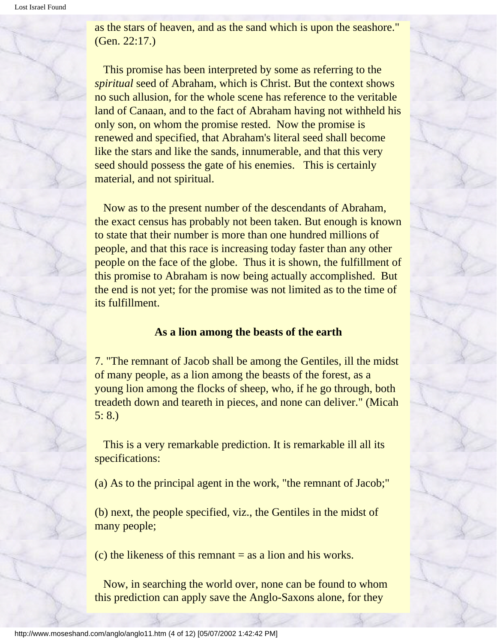as the stars of heaven, and as the sand which is upon the seashore." (Gen. 22:17.)

 This promise has been interpreted by some as referring to the *spiritual* seed of Abraham, which is Christ. But the context shows no such allusion, for the whole scene has reference to the veritable land of Canaan, and to the fact of Abraham having not withheld his only son, on whom the promise rested. Now the promise is renewed and specified, that Abraham's literal seed shall become like the stars and like the sands, innumerable, and that this very seed should possess the gate of his enemies. This is certainly material, and not spiritual.

 Now as to the present number of the descendants of Abraham, the exact census has probably not been taken. But enough is known to state that their number is more than one hundred millions of people, and that this race is increasing today faster than any other people on the face of the globe. Thus it is shown, the fulfillment of this promise to Abraham is now being actually accomplished. But the end is not yet; for the promise was not limited as to the time of its fulfillment.

#### **As a lion among the beasts of the earth**

7. "The remnant of Jacob shall be among the Gentiles, ill the midst of many people, as a lion among the beasts of the forest, as a young lion among the flocks of sheep, who, if he go through, both treadeth down and teareth in pieces, and none can deliver." (Micah 5: 8.)

 This is a very remarkable prediction. It is remarkable ill all its specifications:

(a) As to the principal agent in the work, "the remnant of Jacob;"

(b) next, the people specified, viz., the Gentiles in the midst of many people;

 $(c)$  the likeness of this remnant  $=$  as a lion and his works.

 Now, in searching the world over, none can be found to whom this prediction can apply save the Anglo-Saxons alone, for they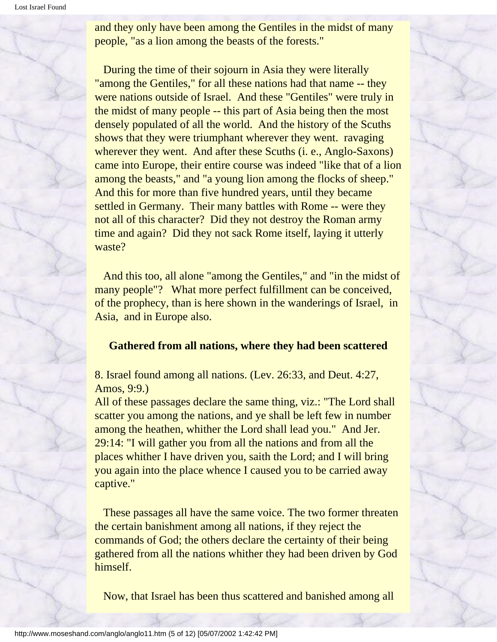and they only have been among the Gentiles in the midst of many people, "as a lion among the beasts of the forests."

 During the time of their sojourn in Asia they were literally "among the Gentiles," for all these nations had that name -- they were nations outside of Israel. And these "Gentiles" were truly in the midst of many people -- this part of Asia being then the most densely populated of all the world. And the history of the Scuths shows that they were triumphant wherever they went. ravaging wherever they went. And after these Scuths (i. e., Anglo-Saxons) came into Europe, their entire course was indeed "like that of a lion among the beasts," and "a young lion among the flocks of sheep." And this for more than five hundred years, until they became settled in Germany. Their many battles with Rome -- were they not all of this character? Did they not destroy the Roman army time and again? Did they not sack Rome itself, laying it utterly waste?

 And this too, all alone "among the Gentiles," and "in the midst of many people"? What more perfect fulfillment can be conceived, of the prophecy, than is here shown in the wanderings of Israel, in Asia, and in Europe also.

#### **Gathered from all nations, where they had been scattered**

#### 8. Israel found among all nations. (Lev. 26:33, and Deut. 4:27, Amos, 9:9.)

All of these passages declare the same thing, viz.: "The Lord shall scatter you among the nations, and ye shall be left few in number among the heathen, whither the Lord shall lead you." And Jer. 29:14: "I will gather you from all the nations and from all the places whither I have driven you, saith the Lord; and I will bring you again into the place whence I caused you to be carried away captive."

 These passages all have the same voice. The two former threaten the certain banishment among all nations, if they reject the commands of God; the others declare the certainty of their being gathered from all the nations whither they had been driven by God himself.

Now, that Israel has been thus scattered and banished among all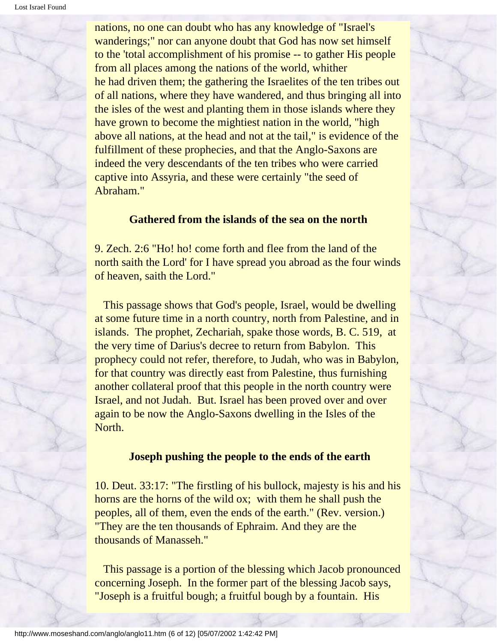nations, no one can doubt who has any knowledge of "Israel's wanderings;" nor can anyone doubt that God has now set himself to the 'total accomplishment of his promise -- to gather His people from all places among the nations of the world, whither he had driven them; the gathering the Israelites of the ten tribes out of all nations, where they have wandered, and thus bringing all into the isles of the west and planting them in those islands where they have grown to become the mightiest nation in the world, "high above all nations, at the head and not at the tail," is evidence of the fulfillment of these prophecies, and that the Anglo-Saxons are indeed the very descendants of the ten tribes who were carried captive into Assyria, and these were certainly "the seed of Abraham."

#### **Gathered from the islands of the sea on the north**

9. Zech. 2:6 "Ho! ho! come forth and flee from the land of the north saith the Lord' for I have spread you abroad as the four winds of heaven, saith the Lord."

 This passage shows that God's people, Israel, would be dwelling at some future time in a north country, north from Palestine, and in islands. The prophet, Zechariah, spake those words, B. C. 519, at the very time of Darius's decree to return from Babylon. This prophecy could not refer, therefore, to Judah, who was in Babylon, for that country was directly east from Palestine, thus furnishing another collateral proof that this people in the north country were Israel, and not Judah. But. Israel has been proved over and over again to be now the Anglo-Saxons dwelling in the Isles of the North.

#### **Joseph pushing the people to the ends of the earth**

10. Deut. 33:17: "The firstling of his bullock, majesty is his and his horns are the horns of the wild ox; with them he shall push the peoples, all of them, even the ends of the earth." (Rev. version.) "They are the ten thousands of Ephraim. And they are the thousands of Manasseh."

 This passage is a portion of the blessing which Jacob pronounced concerning Joseph. In the former part of the blessing Jacob says, "Joseph is a fruitful bough; a fruitful bough by a fountain. His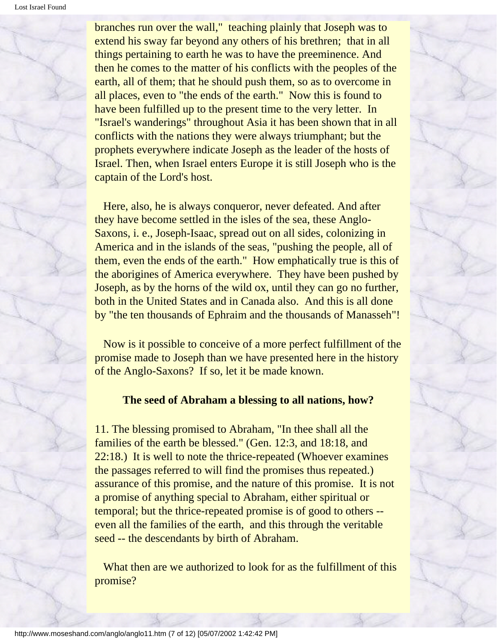branches run over the wall," teaching plainly that Joseph was to extend his sway far beyond any others of his brethren; that in all things pertaining to earth he was to have the preeminence. And then he comes to the matter of his conflicts with the peoples of the earth, all of them; that he should push them, so as to overcome in all places, even to "the ends of the earth." Now this is found to have been fulfilled up to the present time to the very letter. In "Israel's wanderings" throughout Asia it has been shown that in all conflicts with the nations they were always triumphant; but the prophets everywhere indicate Joseph as the leader of the hosts of Israel. Then, when Israel enters Europe it is still Joseph who is the captain of the Lord's host.

 Here, also, he is always conqueror, never defeated. And after they have become settled in the isles of the sea, these Anglo-Saxons, i. e., Joseph-Isaac, spread out on all sides, colonizing in America and in the islands of the seas, "pushing the people, all of them, even the ends of the earth." How emphatically true is this of the aborigines of America everywhere. They have been pushed by Joseph, as by the horns of the wild ox, until they can go no further, both in the United States and in Canada also. And this is all done by "the ten thousands of Ephraim and the thousands of Manasseh"!

 Now is it possible to conceive of a more perfect fulfillment of the promise made to Joseph than we have presented here in the history of the Anglo-Saxons? If so, let it be made known.

#### **The seed of Abraham a blessing to all nations, how?**

11. The blessing promised to Abraham, "In thee shall all the families of the earth be blessed." (Gen. 12:3, and 18:18, and 22:18.) It is well to note the thrice-repeated (Whoever examines the passages referred to will find the promises thus repeated.) assurance of this promise, and the nature of this promise. It is not a promise of anything special to Abraham, either spiritual or temporal; but the thrice-repeated promise is of good to others - even all the families of the earth, and this through the veritable seed -- the descendants by birth of Abraham.

What then are we authorized to look for as the fulfillment of this promise?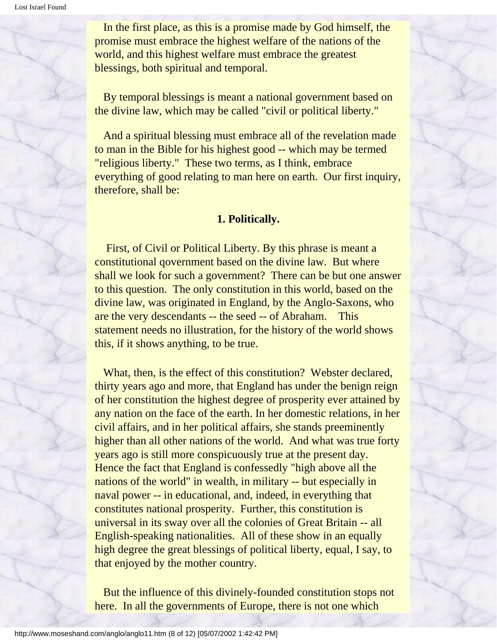Lost Israel Found

 In the first place, as this is a promise made by God himself, the promise must embrace the highest welfare of the nations of the world, and this highest welfare must embrace the greatest blessings, both spiritual and temporal.

 By temporal blessings is meant a national government based on the divine law, which may be called "civil or political liberty."

 And a spiritual blessing must embrace all of the revelation made to man in the Bible for his highest good -- which may be termed "religious liberty." These two terms, as I think, embrace everything of good relating to man here on earth. Our first inquiry, therefore, shall be:

#### **1. Politically.**

 First, of Civil or Political Liberty. By this phrase is meant a constitutional qovernment based on the divine law. But where shall we look for such a government? There can be but one answer to this question. The only constitution in this world, based on the divine law, was originated in England, by the Anglo-Saxons, who are the very descendants -- the seed -- of Abraham. This statement needs no illustration, for the history of the world shows this, if it shows anything, to be true.

 What, then, is the effect of this constitution? Webster declared, thirty years ago and more, that England has under the benign reign of her constitution the highest degree of prosperity ever attained by any nation on the face of the earth. In her domestic relations, in her civil affairs, and in her political affairs, she stands preeminently higher than all other nations of the world. And what was true forty years ago is still more conspicuously true at the present day. Hence the fact that England is confessedly "high above all the nations of the world" in wealth, in military -- but especially in naval power -- in educational, and, indeed, in everything that constitutes national prosperity. Further, this constitution is universal in its sway over all the colonies of Great Britain -- all English-speaking nationalities. All of these show in an equally high degree the great blessings of political liberty, equal, I say, to that enjoyed by the mother country.

 But the influence of this divinely-founded constitution stops not here. In all the governments of Europe, there is not one which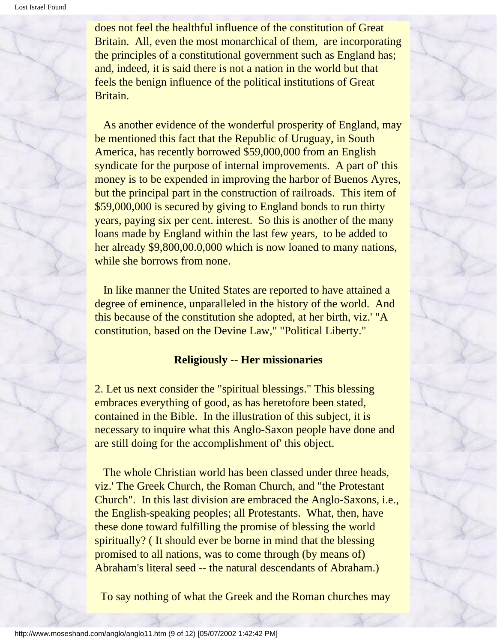does not feel the healthful influence of the constitution of Great Britain. All, even the most monarchical of them, are incorporating the principles of a constitutional government such as England has; and, indeed, it is said there is not a nation in the world but that feels the benign influence of the political institutions of Great Britain.

 As another evidence of the wonderful prosperity of England, may be mentioned this fact that the Republic of Uruguay, in South America, has recently borrowed \$59,000,000 from an English syndicate for the purpose of internal improvements. A part of' this money is to be expended in improving the harbor of Buenos Ayres, but the principal part in the construction of railroads. This item of \$59,000,000 is secured by giving to England bonds to run thirty years, paying six per cent. interest. So this is another of the many loans made by England within the last few years, to be added to her already \$9,800,00.0,000 which is now loaned to many nations, while she borrows from none.

 In like manner the United States are reported to have attained a degree of eminence, unparalleled in the history of the world. And this because of the constitution she adopted, at her birth, viz.' "A constitution, based on the Devine Law," "Political Liberty."

#### **Religiously -- Her missionaries**

2. Let us next consider the "spiritual blessings." This blessing embraces everything of good, as has heretofore been stated, contained in the Bible. In the illustration of this subject, it is necessary to inquire what this Anglo-Saxon people have done and are still doing for the accomplishment of' this object.

 The whole Christian world has been classed under three heads, viz.' The Greek Church, the Roman Church, and "the Protestant Church". In this last division are embraced the Anglo-Saxons, i.e., the English-speaking peoples; all Protestants. What, then, have these done toward fulfilling the promise of blessing the world spiritually? ( It should ever be borne in mind that the blessing promised to all nations, was to come through (by means of) Abraham's literal seed -- the natural descendants of Abraham.)

To say nothing of what the Greek and the Roman churches may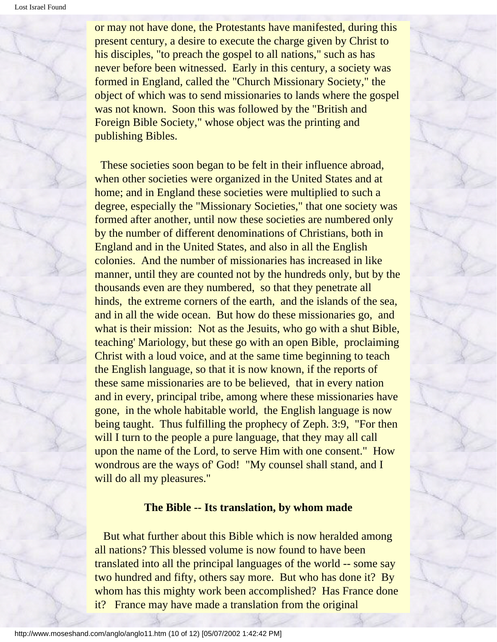or may not have done, the Protestants have manifested, during this present century, a desire to execute the charge given by Christ to his disciples, "to preach the gospel to all nations," such as has never before been witnessed. Early in this century, a society was formed in England, called the "Church Missionary Society," the object of which was to send missionaries to lands where the gospel was not known. Soon this was followed by the "British and Foreign Bible Society," whose object was the printing and publishing Bibles.

 These societies soon began to be felt in their influence abroad, when other societies were organized in the United States and at home; and in England these societies were multiplied to such a degree, especially the "Missionary Societies," that one society was formed after another, until now these societies are numbered only by the number of different denominations of Christians, both in England and in the United States, and also in all the English colonies. And the number of missionaries has increased in like manner, until they are counted not by the hundreds only, but by the thousands even are they numbered, so that they penetrate all hinds, the extreme corners of the earth, and the islands of the sea, and in all the wide ocean. But how do these missionaries go, and what is their mission: Not as the Jesuits, who go with a shut Bible, teaching' Mariology, but these go with an open Bible, proclaiming Christ with a loud voice, and at the same time beginning to teach the English language, so that it is now known, if the reports of these same missionaries are to be believed, that in every nation and in every, principal tribe, among where these missionaries have gone, in the whole habitable world, the English language is now being taught. Thus fulfilling the prophecy of Zeph. 3:9, "For then will I turn to the people a pure language, that they may all call upon the name of the Lord, to serve Him with one consent." How wondrous are the ways of' God! "My counsel shall stand, and I will do all my pleasures."

#### **The Bible -- Its translation, by whom made**

 But what further about this Bible which is now heralded among all nations? This blessed volume is now found to have been translated into all the principal languages of the world -- some say two hundred and fifty, others say more. But who has done it? By whom has this mighty work been accomplished? Has France done it? France may have made a translation from the original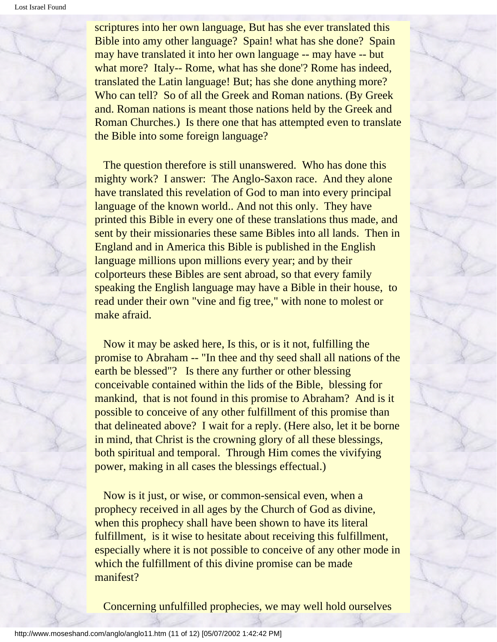scriptures into her own language, But has she ever translated this Bible into amy other language? Spain! what has she done? Spain may have translated it into her own language -- may have -- but what more? Italy-- Rome, what has she done'? Rome has indeed, translated the Latin language! But; has she done anything more? Who can tell? So of all the Greek and Roman nations. (By Greek and. Roman nations is meant those nations held by the Greek and Roman Churches.) Is there one that has attempted even to translate the Bible into some foreign language?

 The question therefore is still unanswered. Who has done this mighty work? I answer: The Anglo-Saxon race. And they alone have translated this revelation of God to man into every principal language of the known world.. And not this only. They have printed this Bible in every one of these translations thus made, and sent by their missionaries these same Bibles into all lands. Then in England and in America this Bible is published in the English language millions upon millions every year; and by their colporteurs these Bibles are sent abroad, so that every family speaking the English language may have a Bible in their house, to read under their own "vine and fig tree," with none to molest or make afraid.

 Now it may be asked here, Is this, or is it not, fulfilling the promise to Abraham -- "In thee and thy seed shall all nations of the earth be blessed"? Is there any further or other blessing conceivable contained within the lids of the Bible, blessing for mankind, that is not found in this promise to Abraham? And is it possible to conceive of any other fulfillment of this promise than that delineated above? I wait for a reply. (Here also, let it be borne in mind, that Christ is the crowning glory of all these blessings, both spiritual and temporal. Through Him comes the vivifying power, making in all cases the blessings effectual.)

 Now is it just, or wise, or common-sensical even, when a prophecy received in all ages by the Church of God as divine, when this prophecy shall have been shown to have its literal fulfillment, is it wise to hesitate about receiving this fulfillment, especially where it is not possible to conceive of any other mode in which the fulfillment of this divine promise can be made manifest?

Concerning unfulfilled prophecies, we may well hold ourselves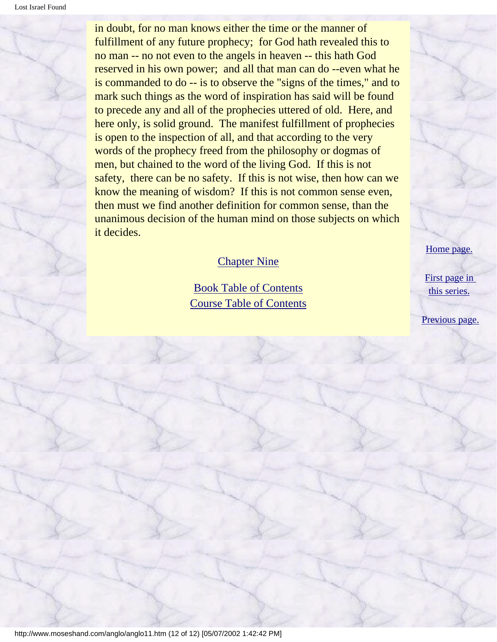in doubt, for no man knows either the time or the manner of fulfillment of any future prophecy; for God hath revealed this to no man -- no not even to the angels in heaven -- this hath God reserved in his own power; and all that man can do --even what he is commanded to do -- is to observe the "signs of the times," and to mark such things as the word of inspiration has said will be found to precede any and all of the prophecies uttered of old. Here, and here only, is solid ground. The manifest fulfillment of prophecies is open to the inspection of all, and that according to the very words of the prophecy freed from the philosophy or dogmas of men, but chained to the word of the living God. If this is not safety, there can be no safety. If this is not wise, then how can we know the meaning of wisdom? If this is not common sense even, then must we find another definition for common sense, than the unanimous decision of the human mind on those subjects on which it decides.

#### [Chapter Nine](#page-61-0)

[Book Table of Contents](#page-2-0) [Course Table of Contents](#page-88-0) [Home page.](http://www.moseshand.com/index.html)

[First page in](#page-0-0)  [this series.](#page-0-0)

[Previous page.](#page-47-0)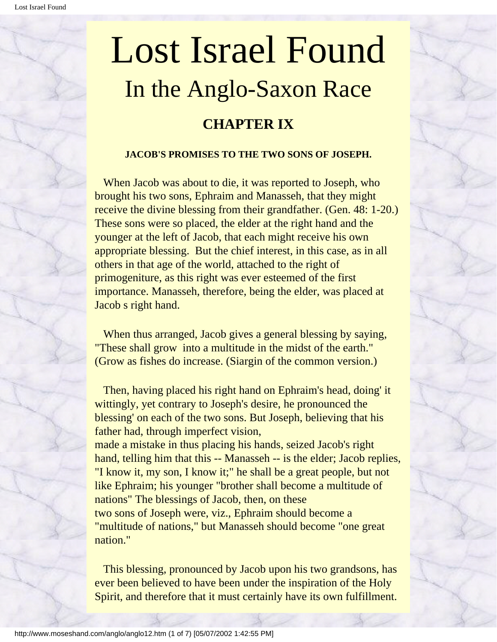## <span id="page-61-0"></span>Lost Israel Found In the Anglo-Saxon Race **CHAPTER IX**

#### **JACOB'S PROMISES TO THE TWO SONS OF JOSEPH.**

When Jacob was about to die, it was reported to Joseph, who brought his two sons, Ephraim and Manasseh, that they might receive the divine blessing from their grandfather. (Gen. 48: 1-20.) These sons were so placed, the elder at the right hand and the younger at the left of Jacob, that each might receive his own appropriate blessing. But the chief interest, in this case, as in all others in that age of the world, attached to the right of primogeniture, as this right was ever esteemed of the first importance. Manasseh, therefore, being the elder, was placed at Jacob s right hand.

When thus arranged, Jacob gives a general blessing by saying, "These shall grow into a multitude in the midst of the earth." (Grow as fishes do increase. (Siargin of the common version.)

 Then, having placed his right hand on Ephraim's head, doing' it wittingly, yet contrary to Joseph's desire, he pronounced the blessing' on each of the two sons. But Joseph, believing that his father had, through imperfect vision,

made a mistake in thus placing his hands, seized Jacob's right hand, telling him that this -- Manasseh -- is the elder; Jacob replies, "I know it, my son, I know it;" he shall be a great people, but not like Ephraim; his younger "brother shall become a multitude of nations" The blessings of Jacob, then, on these two sons of Joseph were, viz., Ephraim should become a "multitude of nations," but Manasseh should become "one great nation."

 This blessing, pronounced by Jacob upon his two grandsons, has ever been believed to have been under the inspiration of the Holy Spirit, and therefore that it must certainly have its own fulfillment.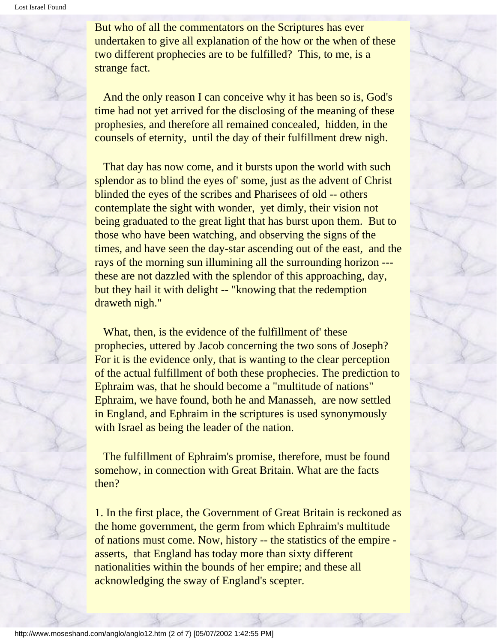But who of all the commentators on the Scriptures has ever undertaken to give all explanation of the how or the when of these two different prophecies are to be fulfilled? This, to me, is a strange fact.

 And the only reason I can conceive why it has been so is, God's time had not yet arrived for the disclosing of the meaning of these prophesies, and therefore all remained concealed, hidden, in the counsels of eternity, until the day of their fulfillment drew nigh.

 That day has now come, and it bursts upon the world with such splendor as to blind the eyes of' some, just as the advent of Christ blinded the eyes of the scribes and Pharisees of old -- others contemplate the sight with wonder, yet dimly, their vision not being graduated to the great light that has burst upon them. But to those who have been watching, and observing the signs of the times, and have seen the day-star ascending out of the east, and the rays of the morning sun illumining all the surrounding horizon -- these are not dazzled with the splendor of this approaching, day, but they hail it with delight -- "knowing that the redemption draweth nigh."

 What, then, is the evidence of the fulfillment of' these prophecies, uttered by Jacob concerning the two sons of Joseph? For it is the evidence only, that is wanting to the clear perception of the actual fulfillment of both these prophecies. The prediction to Ephraim was, that he should become a "multitude of nations" Ephraim, we have found, both he and Manasseh, are now settled in England, and Ephraim in the scriptures is used synonymously with Israel as being the leader of the nation.

 The fulfillment of Ephraim's promise, therefore, must be found somehow, in connection with Great Britain. What are the facts then?

1. In the first place, the Government of Great Britain is reckoned as the home government, the germ from which Ephraim's multitude of nations must come. Now, history -- the statistics of the empire asserts, that England has today more than sixty different nationalities within the bounds of her empire; and these all acknowledging the sway of England's scepter.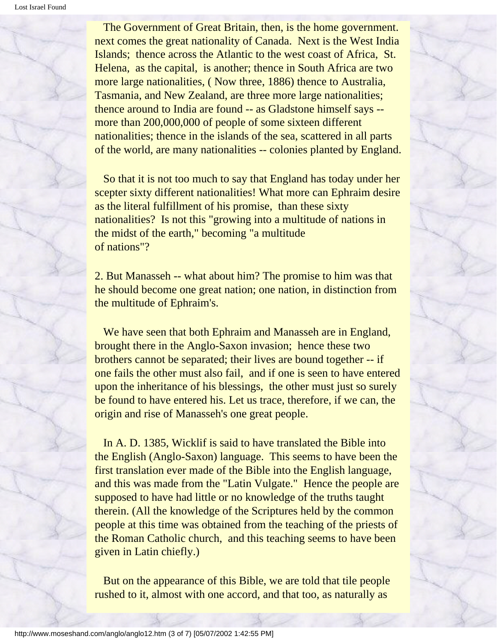Lost Israel Found

 The Government of Great Britain, then, is the home government. next comes the great nationality of Canada. Next is the West India Islands; thence across the Atlantic to the west coast of Africa, St. Helena, as the capital, is another; thence in South Africa are two more large nationalities, ( Now three, 1886) thence to Australia, Tasmania, and New Zealand, are three more large nationalities; thence around to India are found -- as Gladstone himself says - more than 200,000,000 of people of some sixteen different nationalities; thence in the islands of the sea, scattered in all parts of the world, are many nationalities -- colonies planted by England.

 So that it is not too much to say that England has today under her scepter sixty different nationalities! What more can Ephraim desire as the literal fulfillment of his promise, than these sixty nationalities? Is not this "growing into a multitude of nations in the midst of the earth," becoming "a multitude of nations"?

2. But Manasseh -- what about him? The promise to him was that he should become one great nation; one nation, in distinction from the multitude of Ephraim's.

 We have seen that both Ephraim and Manasseh are in England, brought there in the Anglo-Saxon invasion; hence these two brothers cannot be separated; their lives are bound together -- if one fails the other must also fail, and if one is seen to have entered upon the inheritance of his blessings, the other must just so surely be found to have entered his. Let us trace, therefore, if we can, the origin and rise of Manasseh's one great people.

 In A. D. 1385, Wicklif is said to have translated the Bible into the English (Anglo-Saxon) language. This seems to have been the first translation ever made of the Bible into the English language, and this was made from the "Latin Vulgate." Hence the people are supposed to have had little or no knowledge of the truths taught therein. (All the knowledge of the Scriptures held by the common people at this time was obtained from the teaching of the priests of the Roman Catholic church, and this teaching seems to have been given in Latin chiefly.)

 But on the appearance of this Bible, we are told that tile people rushed to it, almost with one accord, and that too, as naturally as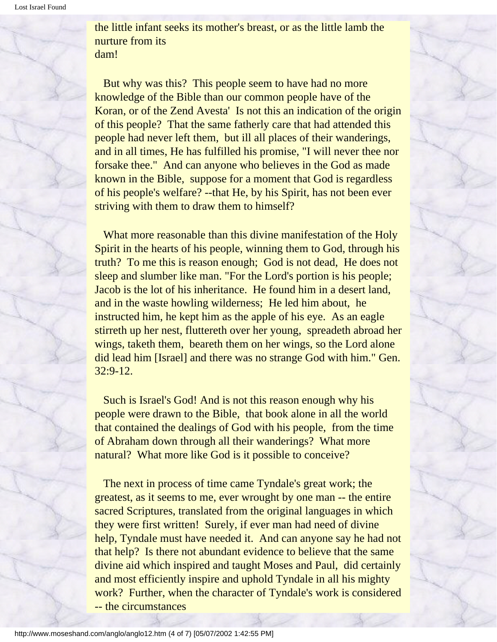the little infant seeks its mother's breast, or as the little lamb the nurture from its dam!

 But why was this? This people seem to have had no more knowledge of the Bible than our common people have of the Koran, or of the Zend Avesta' Is not this an indication of the origin of this people? That the same fatherly care that had attended this people had never left them, but ill all places of their wanderings, and in all times, He has fulfilled his promise, "I will never thee nor forsake thee." And can anyone who believes in the God as made known in the Bible, suppose for a moment that God is regardless of his people's welfare? --that He, by his Spirit, has not been ever striving with them to draw them to himself?

 What more reasonable than this divine manifestation of the Holy Spirit in the hearts of his people, winning them to God, through his truth? To me this is reason enough; God is not dead, He does not sleep and slumber like man. "For the Lord's portion is his people; Jacob is the lot of his inheritance. He found him in a desert land, and in the waste howling wilderness; He led him about, he instructed him, he kept him as the apple of his eye. As an eagle stirreth up her nest, fluttereth over her young, spreadeth abroad her wings, taketh them, beareth them on her wings, so the Lord alone did lead him [Israel] and there was no strange God with him." Gen. 32:9-12.

 Such is Israel's God! And is not this reason enough why his people were drawn to the Bible, that book alone in all the world that contained the dealings of God with his people, from the time of Abraham down through all their wanderings? What more natural? What more like God is it possible to conceive?

 The next in process of time came Tyndale's great work; the greatest, as it seems to me, ever wrought by one man -- the entire sacred Scriptures, translated from the original languages in which they were first written! Surely, if ever man had need of divine help, Tyndale must have needed it. And can anyone say he had not that help? Is there not abundant evidence to believe that the same divine aid which inspired and taught Moses and Paul, did certainly and most efficiently inspire and uphold Tyndale in all his mighty work? Further, when the character of Tyndale's work is considered -- the circumstances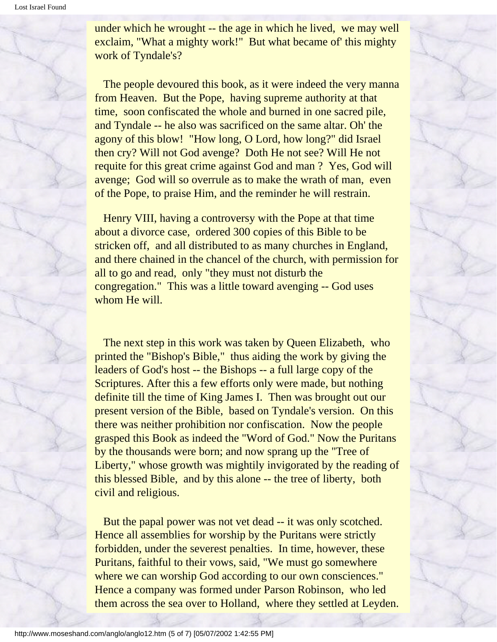under which he wrought -- the age in which he lived, we may well exclaim, "What a mighty work!" But what became of' this mighty work of Tyndale's?

 The people devoured this book, as it were indeed the very manna from Heaven. But the Pope, having supreme authority at that time, soon confiscated the whole and burned in one sacred pile, and Tyndale -- he also was sacrificed on the same altar. Oh' the agony of this blow! "How long, O Lord, how long?" did Israel then cry? Will not God avenge? Doth He not see? Will He not requite for this great crime against God and man ? Yes, God will avenge; God will so overrule as to make the wrath of man, even of the Pope, to praise Him, and the reminder he will restrain.

 Henry VIII, having a controversy with the Pope at that time about a divorce case, ordered 300 copies of this Bible to be stricken off, and all distributed to as many churches in England, and there chained in the chancel of the church, with permission for all to go and read, only "they must not disturb the congregation." This was a little toward avenging -- God uses whom He will.

 The next step in this work was taken by Queen Elizabeth, who printed the "Bishop's Bible," thus aiding the work by giving the leaders of God's host -- the Bishops -- a full large copy of the Scriptures. After this a few efforts only were made, but nothing definite till the time of King James I. Then was brought out our present version of the Bible, based on Tyndale's version. On this there was neither prohibition nor confiscation. Now the people grasped this Book as indeed the "Word of God." Now the Puritans by the thousands were born; and now sprang up the "Tree of Liberty," whose growth was mightily invigorated by the reading of this blessed Bible, and by this alone -- the tree of liberty, both civil and religious.

 But the papal power was not vet dead -- it was only scotched. Hence all assemblies for worship by the Puritans were strictly forbidden, under the severest penalties. In time, however, these Puritans, faithful to their vows, said, "We must go somewhere where we can worship God according to our own consciences." Hence a company was formed under Parson Robinson, who led them across the sea over to Holland, where they settled at Leyden.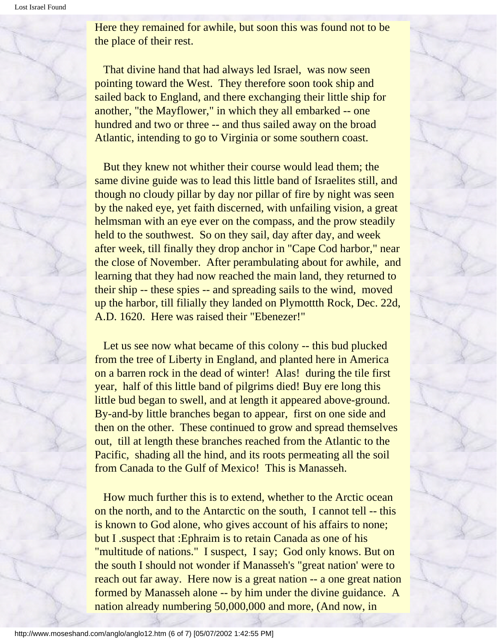Here they remained for awhile, but soon this was found not to be the place of their rest.

 That divine hand that had always led Israel, was now seen pointing toward the West. They therefore soon took ship and sailed back to England, and there exchanging their little ship for another, "the Mayflower," in which they all embarked -- one hundred and two or three -- and thus sailed away on the broad Atlantic, intending to go to Virginia or some southern coast.

 But they knew not whither their course would lead them; the same divine guide was to lead this little band of Israelites still, and though no cloudy pillar by day nor pillar of fire by night was seen by the naked eye, yet faith discerned, with unfailing vision, a great helmsman with an eye ever on the compass, and the prow steadily held to the southwest. So on they sail, day after day, and week after week, till finally they drop anchor in "Cape Cod harbor," near the close of November. After perambulating about for awhile, and learning that they had now reached the main land, they returned to their ship -- these spies -- and spreading sails to the wind, moved up the harbor, till filially they landed on Plymottth Rock, Dec. 22d, A.D. 1620. Here was raised their "Ebenezer!"

 Let us see now what became of this colony -- this bud plucked from the tree of Liberty in England, and planted here in America on a barren rock in the dead of winter! Alas! during the tile first year, half of this little band of pilgrims died! Buy ere long this little bud began to swell, and at length it appeared above-ground. By-and-by little branches began to appear, first on one side and then on the other. These continued to grow and spread themselves out, till at length these branches reached from the Atlantic to the Pacific, shading all the hind, and its roots permeating all the soil from Canada to the Gulf of Mexico! This is Manasseh.

 How much further this is to extend, whether to the Arctic ocean on the north, and to the Antarctic on the south, I cannot tell -- this is known to God alone, who gives account of his affairs to none; but I .suspect that :Ephraim is to retain Canada as one of his "multitude of nations." I suspect, I say; God only knows. But on the south I should not wonder if Manasseh's "great nation' were to reach out far away. Here now is a great nation -- a one great nation formed by Manasseh alone -- by him under the divine guidance. A nation already numbering 50,000,000 and more, (And now, in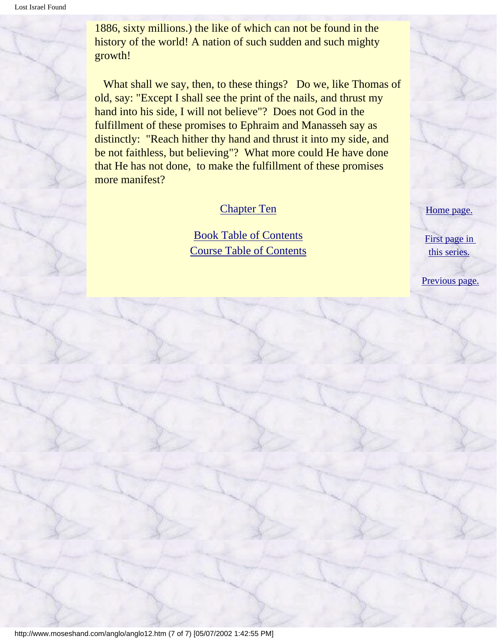1886, sixty millions.) the like of which can not be found in the history of the world! A nation of such sudden and such mighty growth!

 What shall we say, then, to these things? Do we, like Thomas of old, say: "Except I shall see the print of the nails, and thrust my hand into his side, I will not believe"? Does not God in the fulfillment of these promises to Ephraim and Manasseh say as distinctly: "Reach hither thy hand and thrust it into my side, and be not faithless, but believing"? What more could He have done that He has not done, to make the fulfillment of these promises more manifest?

#### [Chapter Ten](#page-68-0)

[Book Table of Contents](#page-2-0) [Course Table of Contents](#page-88-0) [Home page.](http://www.moseshand.com/index.html)

[First page in](#page-0-0)  [this series.](#page-0-0)

[Previous page.](#page-49-0)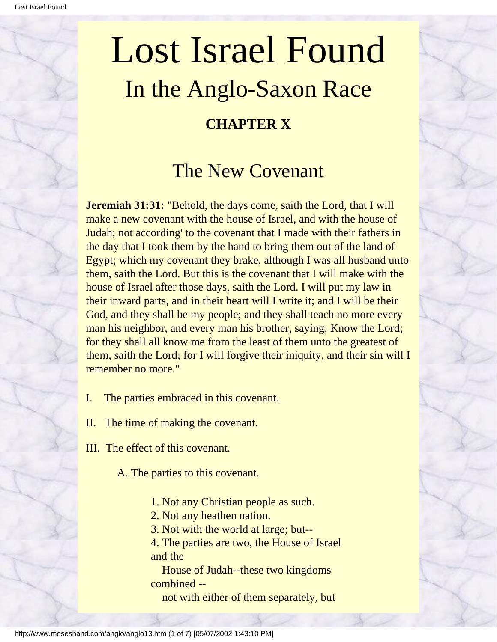### <span id="page-68-0"></span>Lost Israel Found In the Anglo-Saxon Race **CHAPTER X**

### The New Covenant

**Jeremiah 31:31:** "Behold, the days come, saith the Lord, that I will make a new covenant with the house of Israel, and with the house of Judah; not according' to the covenant that I made with their fathers in the day that I took them by the hand to bring them out of the land of Egypt; which my covenant they brake, although I was all husband unto them, saith the Lord. But this is the covenant that I will make with the house of Israel after those days, saith the Lord. I will put my law in their inward parts, and in their heart will I write it; and I will be their God, and they shall be my people; and they shall teach no more every man his neighbor, and every man his brother, saying: Know the Lord; for they shall all know me from the least of them unto the greatest of them, saith the Lord; for I will forgive their iniquity, and their sin will I remember no more."

- I. The parties embraced in this covenant.
- II. The time of making the covenant.
- III. The effect of this covenant.

A. The parties to this covenant.

- 1. Not any Christian people as such.
- 2. Not any heathen nation.
- 3. Not with the world at large; but--

4. The parties are two, the House of Israel and the

 House of Judah--these two kingdoms combined --

not with either of them separately, but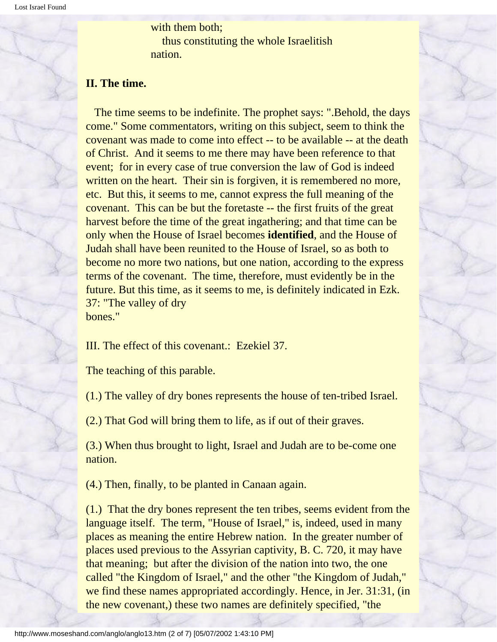with them both; thus constituting the whole Israelitish nation.

#### **II. The time.**

 The time seems to be indefinite. The prophet says: ".Behold, the days come." Some commentators, writing on this subject, seem to think the covenant was made to come into effect -- to be available -- at the death of Christ. And it seems to me there may have been reference to that event; for in every case of true conversion the law of God is indeed written on the heart. Their sin is forgiven, it is remembered no more, etc. But this, it seems to me, cannot express the full meaning of the covenant. This can be but the foretaste -- the first fruits of the great harvest before the time of the great ingathering; and that time can be only when the House of Israel becomes **identified**, and the House of Judah shall have been reunited to the House of Israel, so as both to become no more two nations, but one nation, according to the express terms of the covenant. The time, therefore, must evidently be in the future. But this time, as it seems to me, is definitely indicated in Ezk. 37: "The valley of dry bones."

III. The effect of this covenant.: Ezekiel 37.

The teaching of this parable.

(1.) The valley of dry bones represents the house of ten-tribed Israel.

(2.) That God will bring them to life, as if out of their graves.

(3.) When thus brought to light, Israel and Judah are to be-come one nation.

(4.) Then, finally, to be planted in Canaan again.

(1.) That the dry bones represent the ten tribes, seems evident from the language itself. The term, "House of Israel," is, indeed, used in many places as meaning the entire Hebrew nation. In the greater number of places used previous to the Assyrian captivity, B. C. 720, it may have that meaning; but after the division of the nation into two, the one called "the Kingdom of Israel," and the other "the Kingdom of Judah," we find these names appropriated accordingly. Hence, in Jer. 31:31, (in the new covenant,) these two names are definitely specified, "the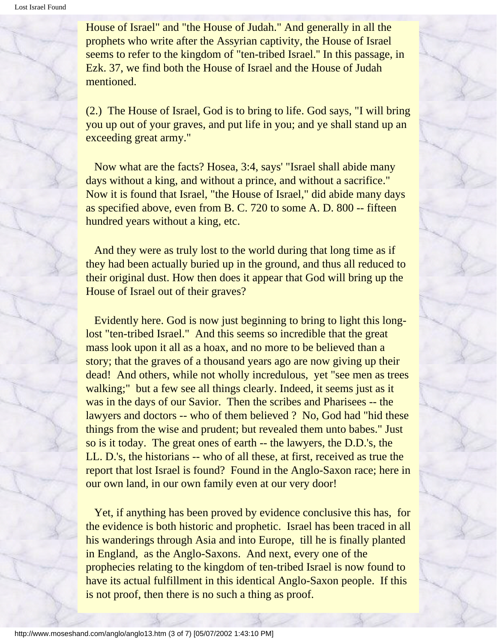House of Israel" and "the House of Judah." And generally in all the prophets who write after the Assyrian captivity, the House of Israel seems to refer to the kingdom of "ten-tribed Israel.'' In this passage, in Ezk. 37, we find both the House of Israel and the House of Judah mentioned.

(2.) The House of Israel, God is to bring to life. God says, "I will bring you up out of your graves, and put life in you; and ye shall stand up an exceeding great army."

 Now what are the facts? Hosea, 3:4, says' "Israel shall abide many days without a king, and without a prince, and without a sacrifice." Now it is found that Israel, "the House of Israel," did abide many days as specified above, even from B. C. 720 to some A. D. 800 -- fifteen hundred years without a king, etc.

 And they were as truly lost to the world during that long time as if they had been actually buried up in the ground, and thus all reduced to their original dust. How then does it appear that God will bring up the House of Israel out of their graves?

 Evidently here. God is now just beginning to bring to light this longlost "ten-tribed Israel." And this seems so incredible that the great mass look upon it all as a hoax, and no more to be believed than a story; that the graves of a thousand years ago are now giving up their dead! And others, while not wholly incredulous, yet "see men as trees walking;" but a few see all things clearly. Indeed, it seems just as it was in the days of our Savior. Then the scribes and Pharisees -- the lawyers and doctors -- who of them believed ? No, God had "hid these things from the wise and prudent; but revealed them unto babes." Just so is it today. The great ones of earth -- the lawyers, the D.D.'s, the LL. D.'s, the historians -- who of all these, at first, received as true the report that lost Israel is found? Found in the Anglo-Saxon race; here in our own land, in our own family even at our very door!

 Yet, if anything has been proved by evidence conclusive this has, for the evidence is both historic and prophetic. Israel has been traced in all his wanderings through Asia and into Europe, till he is finally planted in England, as the Anglo-Saxons. And next, every one of the prophecies relating to the kingdom of ten-tribed Israel is now found to have its actual fulfillment in this identical Anglo-Saxon people. If this is not proof, then there is no such a thing as proof.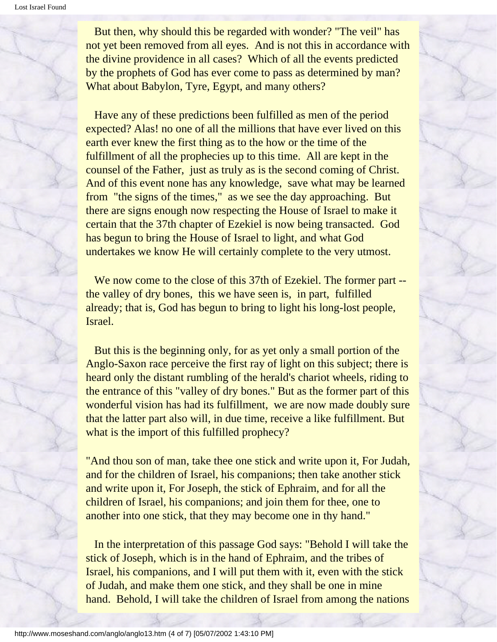But then, why should this be regarded with wonder? "The veil" has not yet been removed from all eyes. And is not this in accordance with the divine providence in all cases? Which of all the events predicted by the prophets of God has ever come to pass as determined by man? What about Babylon, Tyre, Egypt, and many others?

 Have any of these predictions been fulfilled as men of the period expected? Alas! no one of all the millions that have ever lived on this earth ever knew the first thing as to the how or the time of the fulfillment of all the prophecies up to this time. All are kept in the counsel of the Father, just as truly as is the second coming of Christ. And of this event none has any knowledge, save what may be learned from "the signs of the times," as we see the day approaching. But there are signs enough now respecting the House of Israel to make it certain that the 37th chapter of Ezekiel is now being transacted. God has begun to bring the House of Israel to light, and what God undertakes we know He will certainly complete to the very utmost.

We now come to the close of this 37th of Ezekiel. The former part -the valley of dry bones, this we have seen is, in part, fulfilled already; that is, God has begun to bring to light his long-lost people, Israel.

 But this is the beginning only, for as yet only a small portion of the Anglo-Saxon race perceive the first ray of light on this subject; there is heard only the distant rumbling of the herald's chariot wheels, riding to the entrance of this "valley of dry bones." But as the former part of this wonderful vision has had its fulfillment, we are now made doubly sure that the latter part also will, in due time, receive a like fulfillment. But what is the import of this fulfilled prophecy?

"And thou son of man, take thee one stick and write upon it, For Judah, and for the children of Israel, his companions; then take another stick and write upon it, For Joseph, the stick of Ephraim, and for all the children of Israel, his companions; and join them for thee, one to another into one stick, that they may become one in thy hand."

 In the interpretation of this passage God says: "Behold I will take the stick of Joseph, which is in the hand of Ephraim, and the tribes of Israel, his companions, and I will put them with it, even with the stick of Judah, and make them one stick, and they shall be one in mine hand. Behold, I will take the children of Israel from among the nations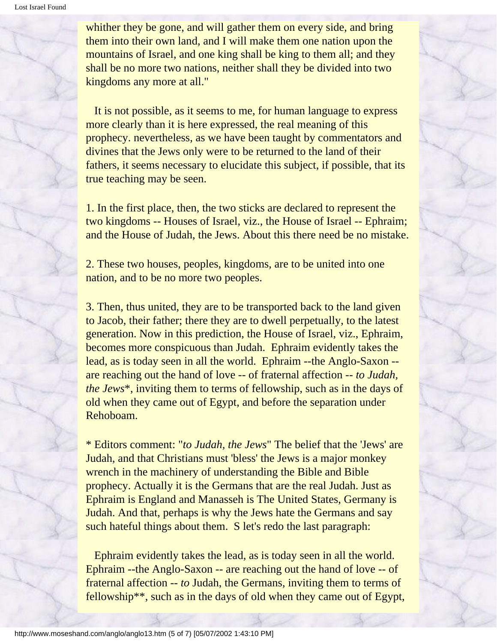whither they be gone, and will gather them on every side, and bring them into their own land, and I will make them one nation upon the mountains of Israel, and one king shall be king to them all; and they shall be no more two nations, neither shall they be divided into two kingdoms any more at all."

 It is not possible, as it seems to me, for human language to express more clearly than it is here expressed, the real meaning of this prophecy. nevertheless, as we have been taught by commentators and divines that the Jews only were to be returned to the land of their fathers, it seems necessary to elucidate this subject, if possible, that its true teaching may be seen.

1. In the first place, then, the two sticks are declared to represent the two kingdoms -- Houses of Israel, viz., the House of Israel -- Ephraim; and the House of Judah, the Jews. About this there need be no mistake.

2. These two houses, peoples, kingdoms, are to be united into one nation, and to be no more two peoples.

3. Then, thus united, they are to be transported back to the land given to Jacob, their father; there they are to dwell perpetually, to the latest generation. Now in this prediction, the House of Israel, viz., Ephraim, becomes more conspicuous than Judah. Ephraim evidently takes the lead, as is today seen in all the world. Ephraim --the Anglo-Saxon - are reaching out the hand of love -- of fraternal affection -- *to Judah, the Jews*\*, inviting them to terms of fellowship, such as in the days of old when they came out of Egypt, and before the separation under Rehoboam.

\* Editors comment: "*to Judah, the Jews*" The belief that the 'Jews' are Judah, and that Christians must 'bless' the Jews is a major monkey wrench in the machinery of understanding the Bible and Bible prophecy. Actually it is the Germans that are the real Judah. Just as Ephraim is England and Manasseh is The United States, Germany is Judah. And that, perhaps is why the Jews hate the Germans and say such hateful things about them. S let's redo the last paragraph:

 Ephraim evidently takes the lead, as is today seen in all the world. Ephraim --the Anglo-Saxon -- are reaching out the hand of love -- of fraternal affection -- *to* Judah, the Germans, inviting them to terms of fellowship\*\*, such as in the days of old when they came out of Egypt,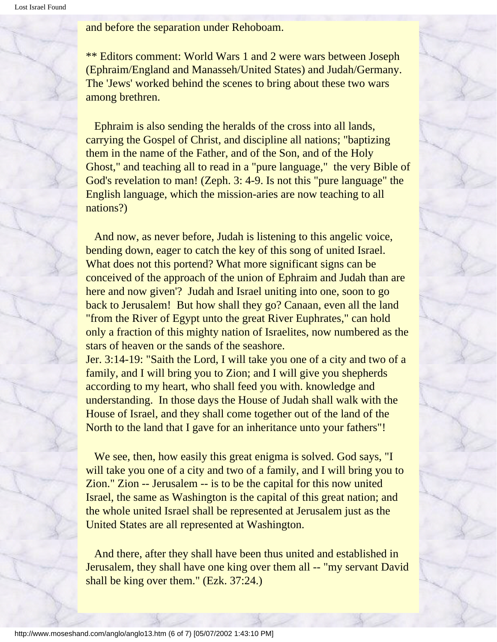and before the separation under Rehoboam.

\*\* Editors comment: World Wars 1 and 2 were wars between Joseph (Ephraim/England and Manasseh/United States) and Judah/Germany. The 'Jews' worked behind the scenes to bring about these two wars among brethren.

 Ephraim is also sending the heralds of the cross into all lands, carrying the Gospel of Christ, and discipline all nations; "baptizing them in the name of the Father, and of the Son, and of the Holy Ghost," and teaching all to read in a "pure language," the very Bible of God's revelation to man! (Zeph. 3: 4-9. Is not this "pure language" the English language, which the mission-aries are now teaching to all nations?)

 And now, as never before, Judah is listening to this angelic voice, bending down, eager to catch the key of this song of united Israel. What does not this portend? What more significant signs can be conceived of the approach of the union of Ephraim and Judah than are here and now given'? Judah and Israel uniting into one, soon to go back to Jerusalem! But how shall they go? Canaan, even all the land "from the River of Egypt unto the great River Euphrates," can hold only a fraction of this mighty nation of Israelites, now numbered as the stars of heaven or the sands of the seashore.

Jer. 3:14-19: "Saith the Lord, I will take you one of a city and two of a family, and I will bring you to Zion; and I will give you shepherds according to my heart, who shall feed you with. knowledge and understanding. In those days the House of Judah shall walk with the House of Israel, and they shall come together out of the land of the North to the land that I gave for an inheritance unto your fathers"!

We see, then, how easily this great enigma is solved. God says, "I will take you one of a city and two of a family, and I will bring you to Zion." Zion -- Jerusalem -- is to be the capital for this now united Israel, the same as Washington is the capital of this great nation; and the whole united Israel shall be represented at Jerusalem just as the United States are all represented at Washington.

 And there, after they shall have been thus united and established in Jerusalem, they shall have one king over them all -- "my servant David shall be king over them." (Ezk. 37:24.)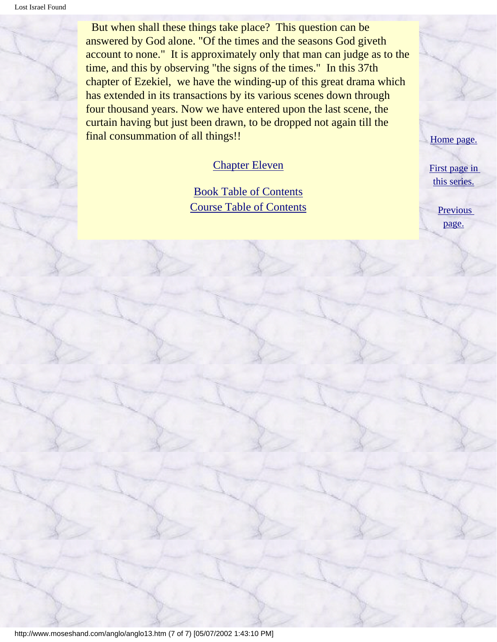But when shall these things take place? This question can be answered by God alone. "Of the times and the seasons God giveth account to none." It is approximately only that man can judge as to the time, and this by observing "the signs of the times." In this 37th chapter of Ezekiel, we have the winding-up of this great drama which has extended in its transactions by its various scenes down through four thousand years. Now we have entered upon the last scene, the curtain having but just been drawn, to be dropped not again till the final consummation of all things!!

#### [Chapter Eleven](#page-75-0)

[Book Table of Contents](#page-2-0) [Course Table of Contents](#page-88-0) [Home page.](http://www.moseshand.com/index.html)

[First page in](#page-0-0) [this series.](#page-0-0)

> [Previous](#page-61-0)  [page.](#page-61-0)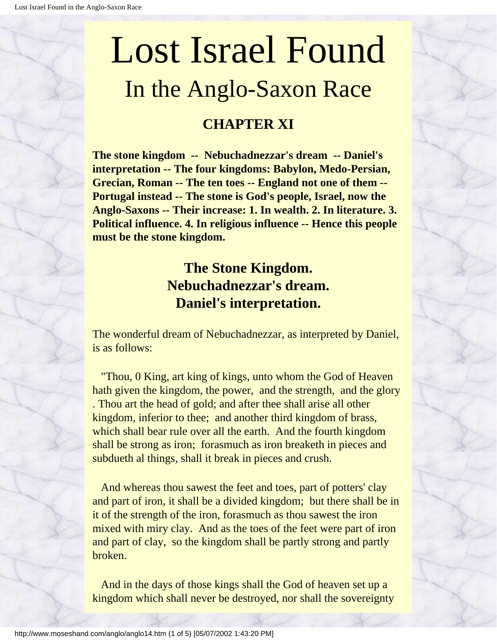# <span id="page-75-0"></span>Lost Israel Found In the Anglo-Saxon Race

# **CHAPTER XI**

**The stone kingdom -- Nebuchadnezzar's dream -- Daniel's interpretation -- The four kingdoms: Babylon, Medo-Persian, Grecian, Roman -- The ten toes -- England not one of them -- Portugal instead -- The stone is God's people, Israel, now the Anglo-Saxons -- Their increase: 1. In wealth. 2. In literature. 3. Political influence. 4. In religious influence -- Hence this people must be the stone kingdom.**

# **The Stone Kingdom. Nebuchadnezzar's dream. Daniel's interpretation.**

The wonderful dream of Nebuchadnezzar, as interpreted by Daniel, is as follows:

 "Thou, 0 King, art king of kings, unto whom the God of Heaven hath given the kingdom, the power, and the strength, and the glory . Thou art the head of gold; and after thee shall arise all other kingdom, inferior to thee; and another third kingdom of brass, which shall bear rule over all the earth. And the fourth kingdom shall be strong as iron; forasmuch as iron breaketh in pieces and subdueth al things, shall it break in pieces and crush.

 And whereas thou sawest the feet and toes, part of potters' clay and part of iron, it shall be a divided kingdom; but there shall be in it of the strength of the iron, forasmuch as thou sawest the iron mixed with miry clay. And as the toes of the feet were part of iron and part of clay, so the kingdom shall be partly strong and partly broken.

 And in the days of those kings shall the God of heaven set up a kingdom which shall never be destroyed, nor shall the sovereignty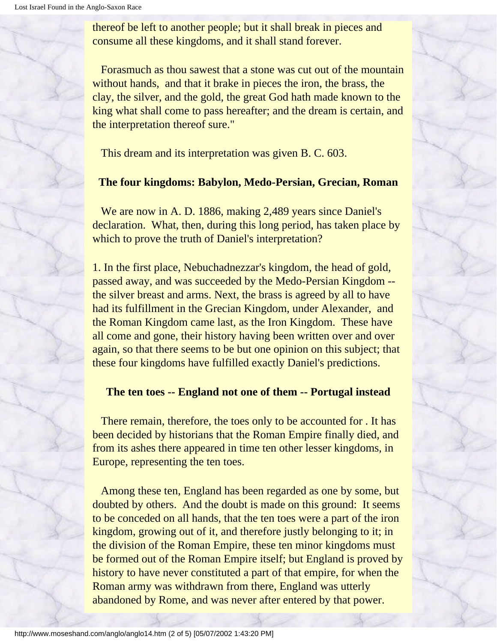thereof be left to another people; but it shall break in pieces and consume all these kingdoms, and it shall stand forever.

 Forasmuch as thou sawest that a stone was cut out of the mountain without hands, and that it brake in pieces the iron, the brass, the clay, the silver, and the gold, the great God hath made known to the king what shall come to pass hereafter; and the dream is certain, and the interpretation thereof sure."

This dream and its interpretation was given B. C. 603.

#### **The four kingdoms: Babylon, Medo-Persian, Grecian, Roman**

 We are now in A. D. 1886, making 2,489 years since Daniel's declaration. What, then, during this long period, has taken place by which to prove the truth of Daniel's interpretation?

1. In the first place, Nebuchadnezzar's kingdom, the head of gold, passed away, and was succeeded by the Medo-Persian Kingdom - the silver breast and arms. Next, the brass is agreed by all to have had its fulfillment in the Grecian Kingdom, under Alexander, and the Roman Kingdom came last, as the Iron Kingdom. These have all come and gone, their history having been written over and over again, so that there seems to be but one opinion on this subject; that these four kingdoms have fulfilled exactly Daniel's predictions.

#### **The ten toes -- England not one of them -- Portugal instead**

 There remain, therefore, the toes only to be accounted for . It has been decided by historians that the Roman Empire finally died, and from its ashes there appeared in time ten other lesser kingdoms, in Europe, representing the ten toes.

 Among these ten, England has been regarded as one by some, but doubted by others. And the doubt is made on this ground: It seems to be conceded on all hands, that the ten toes were a part of the iron kingdom, growing out of it, and therefore justly belonging to it; in the division of the Roman Empire, these ten minor kingdoms must be formed out of the Roman Empire itself; but England is proved by history to have never constituted a part of that empire, for when the Roman army was withdrawn from there, England was utterly abandoned by Rome, and was never after entered by that power.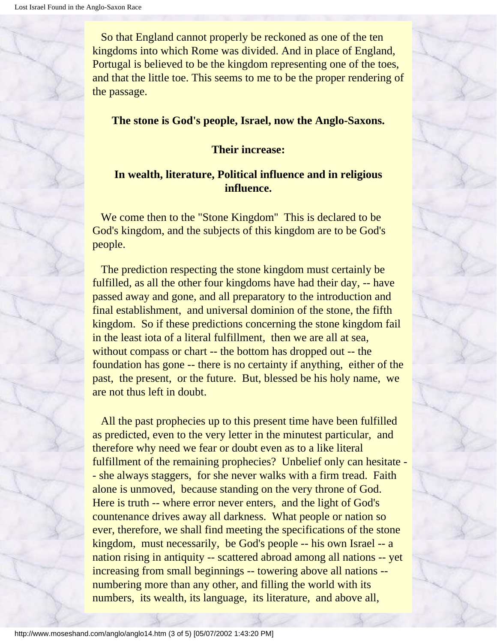So that England cannot properly be reckoned as one of the ten kingdoms into which Rome was divided. And in place of England, Portugal is believed to be the kingdom representing one of the toes, and that the little toe. This seems to me to be the proper rendering of the passage.

#### **The stone is God's people, Israel, now the Anglo-Saxons.**

#### **Their increase:**

#### **In wealth, literature, Political influence and in religious influence.**

 We come then to the "Stone Kingdom'' This is declared to be God's kingdom, and the subjects of this kingdom are to be God's people.

 The prediction respecting the stone kingdom must certainly be fulfilled, as all the other four kingdoms have had their day, -- have passed away and gone, and all preparatory to the introduction and final establishment, and universal dominion of the stone, the fifth kingdom. So if these predictions concerning the stone kingdom fail in the least iota of a literal fulfillment, then we are all at sea, without compass or chart -- the bottom has dropped out -- the foundation has gone -- there is no certainty if anything, either of the past, the present, or the future. But, blessed be his holy name, we are not thus left in doubt.

 All the past prophecies up to this present time have been fulfilled as predicted, even to the very letter in the minutest particular, and therefore why need we fear or doubt even as to a like literal fulfillment of the remaining prophecies? Unbelief only can hesitate - - she always staggers, for she never walks with a firm tread. Faith alone is unmoved, because standing on the very throne of God. Here is truth -- where error never enters, and the light of God's countenance drives away all darkness. What people or nation so ever, therefore, we shall find meeting the specifications of the stone kingdom, must necessarily, be God's people -- his own Israel -- a nation rising in antiquity -- scattered abroad among all nations -- yet increasing from small beginnings -- towering above all nations - numbering more than any other, and filling the world with its numbers, its wealth, its language, its literature, and above all,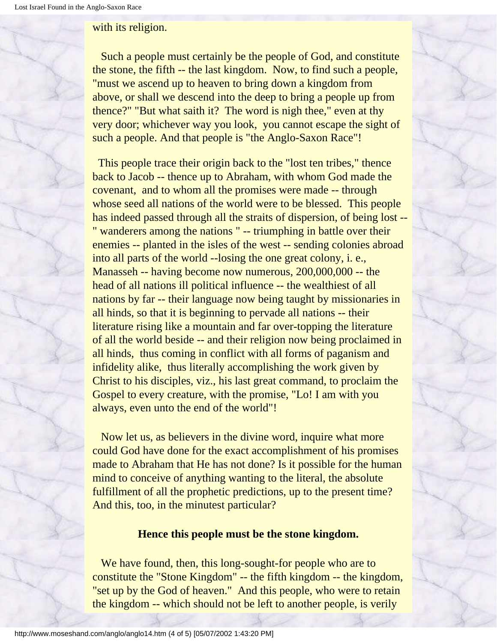#### with its religion.

 Such a people must certainly be the people of God, and constitute the stone, the fifth -- the last kingdom. Now, to find such a people, "must we ascend up to heaven to bring down a kingdom from above, or shall we descend into the deep to bring a people up from thence?" "But what saith it? The word is nigh thee," even at thy very door; whichever way you look, you cannot escape the sight of such a people. And that people is "the Anglo-Saxon Race"!

This people trace their origin back to the "lost ten tribes," thence back to Jacob -- thence up to Abraham, with whom God made the covenant, and to whom all the promises were made -- through whose seed all nations of the world were to be blessed. This people has indeed passed through all the straits of dispersion, of being lost -- " wanderers among the nations " -- triumphing in battle over their enemies -- planted in the isles of the west -- sending colonies abroad into all parts of the world --losing the one great colony, i. e., Manasseh -- having become now numerous, 200,000,000 -- the head of all nations ill political influence -- the wealthiest of all nations by far -- their language now being taught by missionaries in all hinds, so that it is beginning to pervade all nations -- their literature rising like a mountain and far over-topping the literature of all the world beside -- and their religion now being proclaimed in all hinds, thus coming in conflict with all forms of paganism and infidelity alike, thus literally accomplishing the work given by Christ to his disciples, viz., his last great command, to proclaim the Gospel to every creature, with the promise, "Lo! I am with you always, even unto the end of the world"!

 Now let us, as believers in the divine word, inquire what more could God have done for the exact accomplishment of his promises made to Abraham that He has not done? Is it possible for the human mind to conceive of anything wanting to the literal, the absolute fulfillment of all the prophetic predictions, up to the present time? And this, too, in the minutest particular?

#### **Hence this people must be the stone kingdom.**

We have found, then, this long-sought-for people who are to constitute the "Stone Kingdom" -- the fifth kingdom -- the kingdom, "set up by the God of heaven." And this people, who were to retain the kingdom -- which should not be left to another people, is verily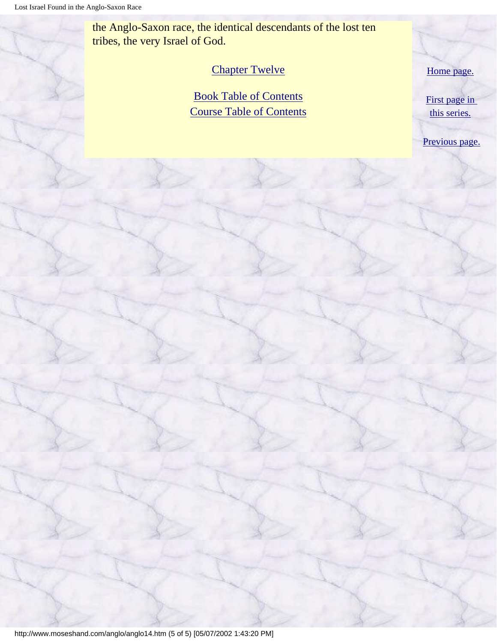the Anglo-Saxon race, the identical descendants of the lost ten tribes, the very Israel of God.

#### [Chapter Twelve](#page-80-0)

[Book Table of Contents](#page-2-0) [Course Table of Contents](#page-88-0) [Home page.](http://www.moseshand.com/index.html)

[First page in](#page-0-0) [this series.](#page-0-0)

[Previous page.](#page-68-0)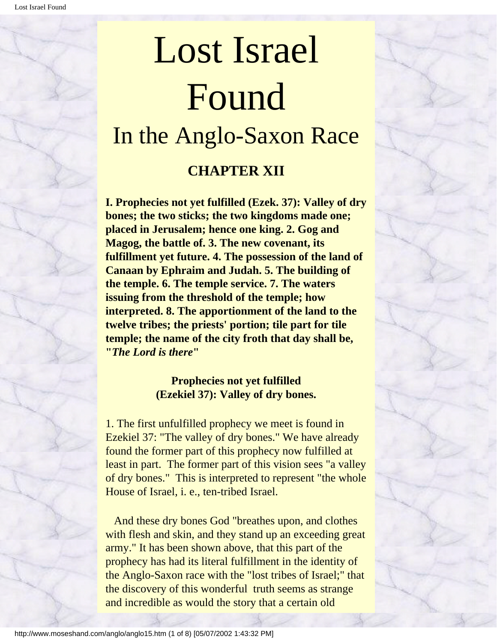# <span id="page-80-0"></span>Lost Israel Found In the Anglo-Saxon Race **CHAPTER XII**

**I. Prophecies not yet fulfilled (Ezek. 37): Valley of dry bones; the two sticks; the two kingdoms made one; placed in Jerusalem; hence one king. 2. Gog and Magog, the battle of. 3. The new covenant, its fulfillment yet future. 4. The possession of the land of Canaan by Ephraim and Judah. 5. The building of the temple. 6. The temple service. 7. The waters issuing from the threshold of the temple; how interpreted. 8. The apportionment of the land to the twelve tribes; the priests' portion; tile part for tile temple; the name of the city froth that day shall be, "***The Lord is there***"**

#### **Prophecies not yet fulfilled (Ezekiel 37): Valley of dry bones.**

1. The first unfulfilled prophecy we meet is found in Ezekiel 37: "The valley of dry bones." We have already found the former part of this prophecy now fulfilled at least in part. The former part of this vision sees "a valley of dry bones." This is interpreted to represent "the whole House of Israel, i. e., ten-tribed Israel.

 And these dry bones God "breathes upon, and clothes with flesh and skin, and they stand up an exceeding great army." It has been shown above, that this part of the prophecy has had its literal fulfillment in the identity of the Anglo-Saxon race with the "lost tribes of Israel;" that the discovery of this wonderful truth seems as strange and incredible as would the story that a certain old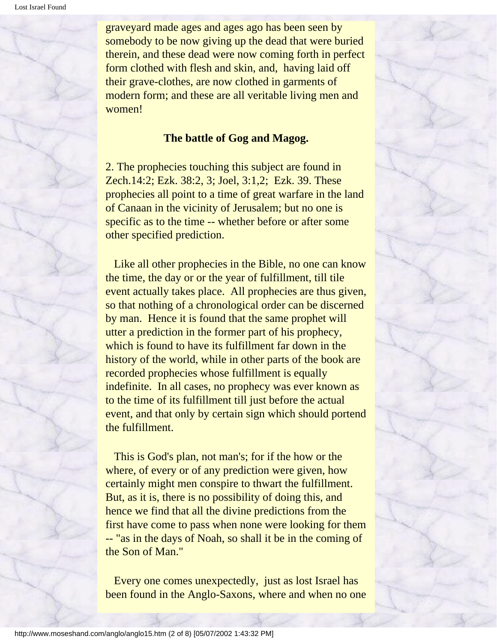graveyard made ages and ages ago has been seen by somebody to be now giving up the dead that were buried therein, and these dead were now coming forth in perfect form clothed with flesh and skin, and, having laid off their grave-clothes, are now clothed in garments of modern form; and these are all veritable living men and women!

#### **The battle of Gog and Magog.**

2. The prophecies touching this subject are found in Zech.14:2; Ezk. 38:2, 3; Joel, 3:1,2; Ezk. 39. These prophecies all point to a time of great warfare in the land of Canaan in the vicinity of Jerusalem; but no one is specific as to the time -- whether before or after some other specified prediction.

Like all other prophecies in the Bible, no one can know the time, the day or or the year of fulfillment, till tile event actually takes place. All prophecies are thus given, so that nothing of a chronological order can be discerned by man. Hence it is found that the same prophet will utter a prediction in the former part of his prophecy, which is found to have its fulfillment far down in the history of the world, while in other parts of the book are recorded prophecies whose fulfillment is equally indefinite. In all cases, no prophecy was ever known as to the time of its fulfillment till just before the actual event, and that only by certain sign which should portend the fulfillment.

 This is God's plan, not man's; for if the how or the where, of every or of any prediction were given, how certainly might men conspire to thwart the fulfillment. But, as it is, there is no possibility of doing this, and hence we find that all the divine predictions from the first have come to pass when none were looking for them -- "as in the days of Noah, so shall it be in the coming of the Son of Man."

 Every one comes unexpectedly, just as lost Israel has been found in the Anglo-Saxons, where and when no one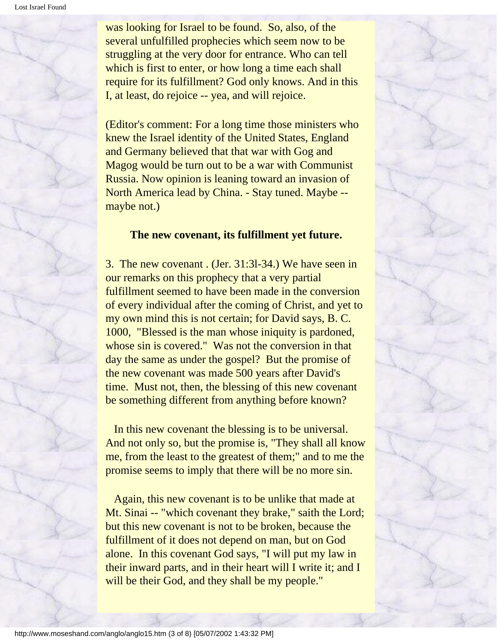was looking for Israel to be found. So, also, of the several unfulfilled prophecies which seem now to be struggling at the very door for entrance. Who can tell which is first to enter, or how long a time each shall require for its fulfillment? God only knows. And in this I, at least, do rejoice -- yea, and will rejoice.

(Editor's comment: For a long time those ministers who knew the Israel identity of the United States, England and Germany believed that that war with Gog and Magog would be turn out to be a war with Communist Russia. Now opinion is leaning toward an invasion of North America lead by China. - Stay tuned. Maybe - maybe not.)

#### **The new covenant, its fulfillment yet future.**

3.The new covenant . (Jer. 31:3l-34.) We have seen in our remarks on this prophecy that a very partial fulfillment seemed to have been made in the conversion of every individual after the coming of Christ, and yet to my own mind this is not certain; for David says, B. C. 1000, "Blessed is the man whose iniquity is pardoned, whose sin is covered." Was not the conversion in that day the same as under the gospel? But the promise of the new covenant was made 500 years after David's time. Must not, then, the blessing of this new covenant be something different from anything before known?

 In this new covenant the blessing is to be universal. And not only so, but the promise is, "They shall all know me, from the least to the greatest of them;" and to me the promise seems to imply that there will be no more sin.

 Again, this new covenant is to be unlike that made at Mt. Sinai -- "which covenant they brake," saith the Lord; but this new covenant is not to be broken, because the fulfillment of it does not depend on man, but on God alone. In this covenant God says, "I will put my law in their inward parts, and in their heart will I write it; and I will be their God, and they shall be my people."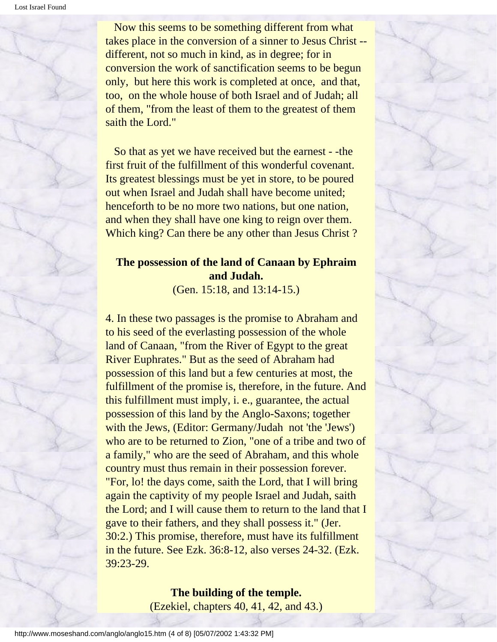Now this seems to be something different from what takes place in the conversion of a sinner to Jesus Christ - different, not so much in kind, as in degree; for in conversion the work of sanctification seems to be begun only, but here this work is completed at once, and that, too, on the whole house of both Israel and of Judah; all of them, "from the least of them to the greatest of them saith the Lord."

 So that as yet we have received but the earnest - -the first fruit of the fulfillment of this wonderful covenant. Its greatest blessings must be yet in store, to be poured out when Israel and Judah shall have become united; henceforth to be no more two nations, but one nation, and when they shall have one king to reign over them. Which king? Can there be any other than Jesus Christ?

#### **The possession of the land of Canaan by Ephraim and Judah.**

(Gen. 15:18, and 13:14-15.)

4. In these two passages is the promise to Abraham and to his seed of the everlasting possession of the whole land of Canaan, "from the River of Egypt to the great River Euphrates." But as the seed of Abraham had possession of this land but a few centuries at most, the fulfillment of the promise is, therefore, in the future. And this fulfillment must imply, i. e., guarantee, the actual possession of this land by the Anglo-Saxons; together with the Jews, (Editor: Germany/Judah not 'the 'Jews') who are to be returned to Zion, "one of a tribe and two of a family," who are the seed of Abraham, and this whole country must thus remain in their possession forever. "For, lo! the days come, saith the Lord, that I will bring again the captivity of my people Israel and Judah, saith the Lord; and I will cause them to return to the land that I gave to their fathers, and they shall possess it." (Jer. 30:2.) This promise, therefore, must have its fulfillment in the future. See Ezk. 36:8-12, also verses 24-32. (Ezk. 39:23-29.

#### **The building of the temple.** (Ezekiel, chapters 40, 41, 42, and 43.)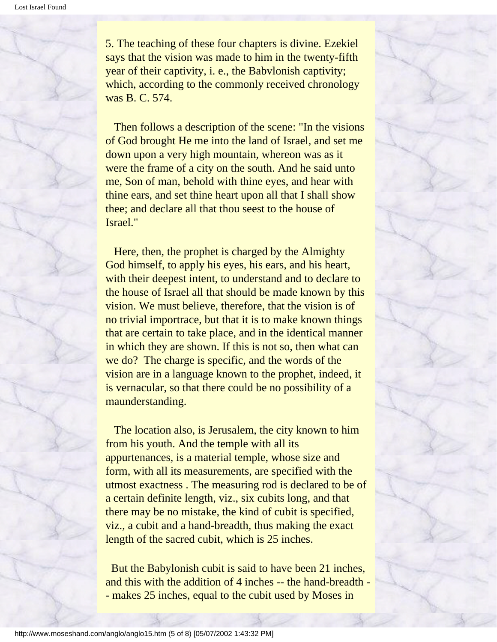5. The teaching of these four chapters is divine. Ezekiel says that the vision was made to him in the twenty-fifth year of their captivity, i. e., the Babvlonish captivity; which, according to the commonly received chronology was B. C. 574.

 Then follows a description of the scene: "In the visions of God brought He me into the land of Israel, and set me down upon a very high mountain, whereon was as it were the frame of a city on the south. And he said unto me, Son of man, behold with thine eyes, and hear with thine ears, and set thine heart upon all that I shall show thee; and declare all that thou seest to the house of Israel."

 Here, then, the prophet is charged by the Almighty God himself, to apply his eyes, his ears, and his heart, with their deepest intent, to understand and to declare to the house of Israel all that should be made known by this vision. We must believe, therefore, that the vision is of no trivial importrace, but that it is to make known things that are certain to take place, and in the identical manner in which they are shown. If this is not so, then what can we do? The charge is specific, and the words of the vision are in a language known to the prophet, indeed, it is vernacular, so that there could be no possibility of a maunderstanding.

 The location also, is Jerusalem, the city known to him from his youth. And the temple with all its appurtenances, is a material temple, whose size and form, with all its measurements, are specified with the utmost exactness . The measuring rod is declared to be of a certain definite length, viz., six cubits long, and that there may be no mistake, the kind of cubit is specified, viz., a cubit and a hand-breadth, thus making the exact length of the sacred cubit, which is 25 inches.

 But the Babylonish cubit is said to have been 21 inches, and this with the addition of 4 inches -- the hand-breadth - - makes 25 inches, equal to the cubit used by Moses in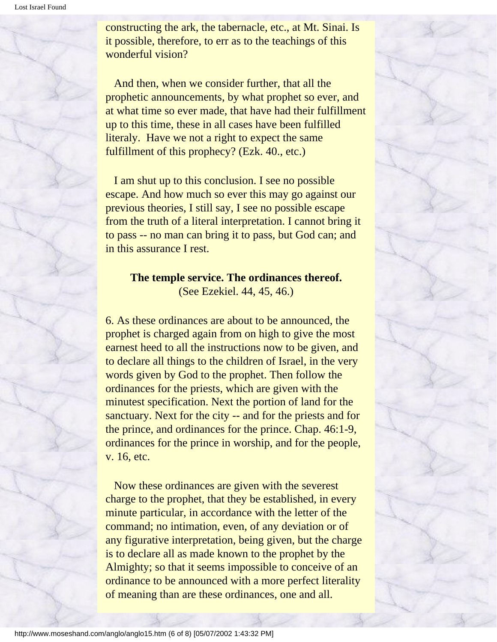constructing the ark, the tabernacle, etc., at Mt. Sinai. Is it possible, therefore, to err as to the teachings of this wonderful vision?

 And then, when we consider further, that all the prophetic announcements, by what prophet so ever, and at what time so ever made, that have had their fulfillment up to this time, these in all cases have been fulfilled literaly. Have we not a right to expect the same fulfillment of this prophecy? (Ezk. 40., etc.)

 I am shut up to this conclusion. I see no possible escape. And how much so ever this may go against our previous theories, I still say, I see no possible escape from the truth of a literal interpretation. I cannot bring it to pass -- no man can bring it to pass, but God can; and in this assurance I rest.

## **The temple service. The ordinances thereof.**

(See Ezekiel. 44, 45, 46.)

6. As these ordinances are about to be announced, the prophet is charged again from on high to give the most earnest heed to all the instructions now to be given, and to declare all things to the children of Israel, in the very words given by God to the prophet. Then follow the ordinances for the priests, which are given with the minutest specification. Next the portion of land for the sanctuary. Next for the city -- and for the priests and for the prince, and ordinances for the prince. Chap. 46:1-9, ordinances for the prince in worship, and for the people, v. 16, etc.

 Now these ordinances are given with the severest charge to the prophet, that they be established, in every minute particular, in accordance with the letter of the command; no intimation, even, of any deviation or of any figurative interpretation, being given, but the charge is to declare all as made known to the prophet by the Almighty; so that it seems impossible to conceive of an ordinance to be announced with a more perfect literality of meaning than are these ordinances, one and all.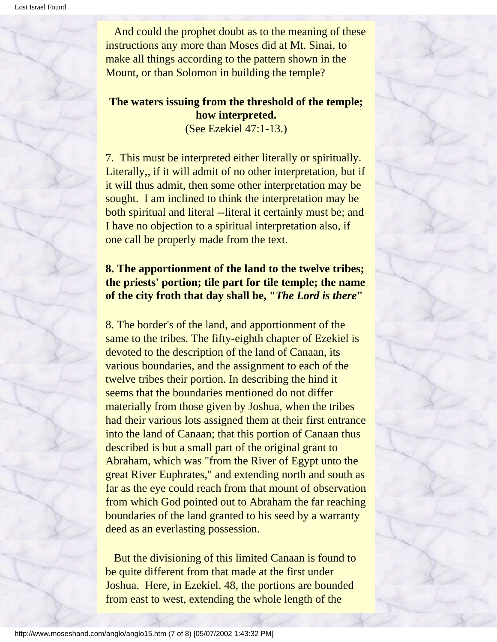And could the prophet doubt as to the meaning of these instructions any more than Moses did at Mt. Sinai, to make all things according to the pattern shown in the Mount, or than Solomon in building the temple?

#### **The waters issuing from the threshold of the temple; how interpreted.** (See Ezekiel 47:1-13.)

7. This must be interpreted either literally or spiritually. Literally,, if it will admit of no other interpretation, but if it will thus admit, then some other interpretation may be sought. I am inclined to think the interpretation may be both spiritual and literal --literal it certainly must be; and I have no objection to a spiritual interpretation also, if one call be properly made from the text.

#### **8. The apportionment of the land to the twelve tribes; the priests' portion; tile part for tile temple; the name of the city froth that day shall be, "***The Lord is there***"**

8. The border's of the land, and apportionment of the same to the tribes. The fifty-eighth chapter of Ezekiel is devoted to the description of the land of Canaan, its various boundaries, and the assignment to each of the twelve tribes their portion. In describing the hind it seems that the boundaries mentioned do not differ materially from those given by Joshua, when the tribes had their various lots assigned them at their first entrance into the land of Canaan; that this portion of Canaan thus described is but a small part of the original grant to Abraham, which was "from the River of Egypt unto the great River Euphrates," and extending north and south as far as the eye could reach from that mount of observation from which God pointed out to Abraham the far reaching boundaries of the land granted to his seed by a warranty deed as an everlasting possession.

 But the divisioning of this limited Canaan is found to be quite different from that made at the first under Joshua. Here, in Ezekiel. 48, the portions are bounded from east to west, extending the whole length of the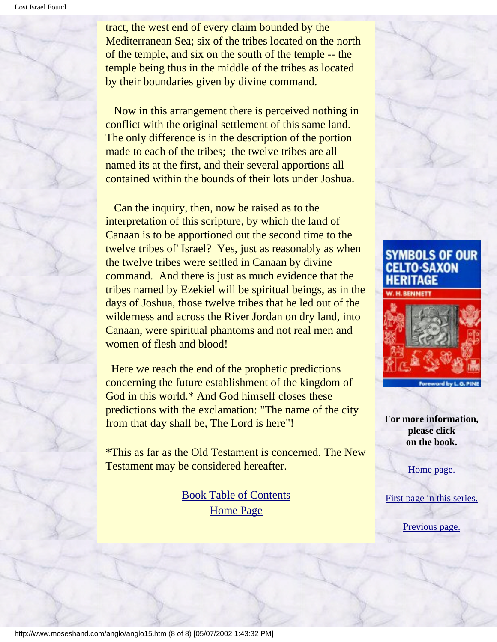Lost Israel Found

tract, the west end of every claim bounded by the Mediterranean Sea; six of the tribes located on the north of the temple, and six on the south of the temple -- the temple being thus in the middle of the tribes as located by their boundaries given by divine command.

 Now in this arrangement there is perceived nothing in conflict with the original settlement of this same land. The only difference is in the description of the portion made to each of the tribes; the twelve tribes are all named its at the first, and their several apportions all contained within the bounds of their lots under Joshua.

 Can the inquiry, then, now be raised as to the interpretation of this scripture, by which the land of Canaan is to be apportioned out the second time to the twelve tribes of' Israel? Yes, just as reasonably as when the twelve tribes were settled in Canaan by divine command. And there is just as much evidence that the tribes named by Ezekiel will be spiritual beings, as in the days of Joshua, those twelve tribes that he led out of the wilderness and across the River Jordan on dry land, into Canaan, were spiritual phantoms and not real men and women of flesh and blood!

 Here we reach the end of the prophetic predictions concerning the future establishment of the kingdom of God in this world.\* And God himself closes these predictions with the exclamation: "The name of the city from that day shall be, The Lord is here"!

\*This as far as the Old Testament is concerned. The New Testament may be considered hereafter.

> [Book Table of Contents](#page-2-0) [Home Page](http://www.moseshand.com/index.html)





**For more information, please click on the book.**

[Home page.](http://www.moseshand.com/index.html)

[First page in this series.](#page-0-0)

[Previous page.](#page-75-0)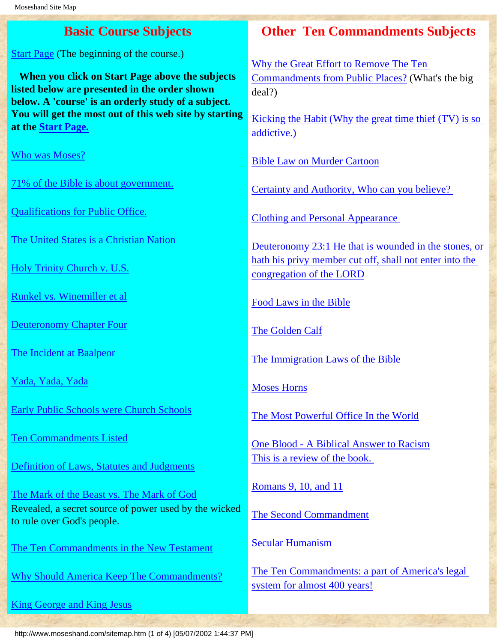<span id="page-88-0"></span>[Start Page](http://www.moseshand.com/questions/start.htm) (The beginning of the course.)

 **When you click on Start Page above the subjects listed below are presented in the order shown below. A 'course' is an orderly study of a subject. You will get the most out of this web site by starting at the [Start Page.](http://www.moseshand.com/questions/start.htm)**

[Who was Moses?](http://www.moseshand.com/questions/p3a.htm)

[71% of the Bible is about government.](http://www.moseshand.com/questions/p4a.htm)

[Qualifications for Public Office.](http://www.moseshand.com/questions/p6.htm)

[The United States is a Christian Nation](http://www.moseshand.com/questions/p10a.htm)

[Holy Trinity Church v. U.S.](http://www.moseshand.com/questions/p11x.htm)

[Runkel vs. Winemiller et al](http://www.moseshand.com/questions/p12a.htm)

[Deuteronomy Chapter Four](http://www.moseshand.com/questions/p14.htm)

[The Incident at Baalpeor](http://www.moseshand.com/questions/p15.htm)

[Yada, Yada, Yada](http://www.moseshand.com/questions/p17ax.htm)

[Early Public Schools were Church Schools](http://www.moseshand.com/questions/p18a.htm)

[Ten Commandments Listed](http://www.moseshand.com/questions/p19a.htm)

[Definition of Laws, Statutes and Judgments](http://www.moseshand.com/questions/p20.htm)

[The Mark of the Beast vs. The Mark of God](http://www.moseshand.com/questions/p23a.htm) Revealed, a secret source of power used by the wicked to rule over God's people.

[The Ten Commandments in the New Testament](http://www.moseshand.com/questions/p24a.htm)

[Why Should America Keep The Commandments?](http://www.moseshand.com/questions/p27a.htm)

[King George and King Jesus](http://www.moseshand.com/studies/kjvkg.htm)

# **Basic Course Subjects Other Ten Commandments Subjects**

[Why the Great Effort to Remove The Ten](http://www.moseshand.com/studies/Posting.htm)  [Commandments from Public Places?](http://www.moseshand.com/studies/Posting.htm) (What's the big deal?)

[Kicking the Habit \(Why the great time thief \(TV\) is so](http://www.moseshand.com/media/kick.htm) [addictive.\)](http://www.moseshand.com/media/kick.htm)

[Bible Law on Murder Cartoon](http://www.moseshand.com/studies/lawmurder.htm)

[Certainty and Authority, Who can you believe?](http://www.moseshand.com/studies/findpast.htm)

[Clothing and Personal Appearance](http://www.moseshand.com/studies/clothing.htm) 

[Deuteronomy 23:1 He that is wounded in the stones, or](http://www.moseshand.com/studies/congoflord.htm)  [hath his privy member cut off, shall not enter into the](http://www.moseshand.com/studies/congoflord.htm) [congregation of the LORD](http://www.moseshand.com/studies/congoflord.htm)

[Food Laws in the Bible](http://www.moseshand.com/studies/food.htm)

[The Golden Calf](http://home.neo.rr.com/moseshand/index.html)

[The Immigration Laws of the Bible](http://www.moseshand.com/studies/hallstrom.htm)

[Moses Horns](http://www.moseshand.com/studies/moses.htm)

[The Most Powerful Office In the World](http://www.moseshand.com/buildup/mostpowerful.htm)

[One Blood - A Biblical Answer to Racism](http://www.moseshand.com/studies/faq2.htm) [This is a review of the book.](http://www.moseshand.com/studies/faq2.htm) 

[Romans 9, 10, and 11](http://www.moseshand.com/paul/romans.htm)

[The Second Commandment](http://www.moseshand.com/studies/statutes.htm)

[Secular Humanism](http://www.moseshand.com/studies/humanism1.htm)

[The Ten Commandments: a part of America's legal](http://www.moseshand.com/studies/db400yrs.htm)  [system for almost 400 years!](http://www.moseshand.com/studies/db400yrs.htm)

http://www.moseshand.com/sitemap.htm (1 of 4) [05/07/2002 1:44:37 PM]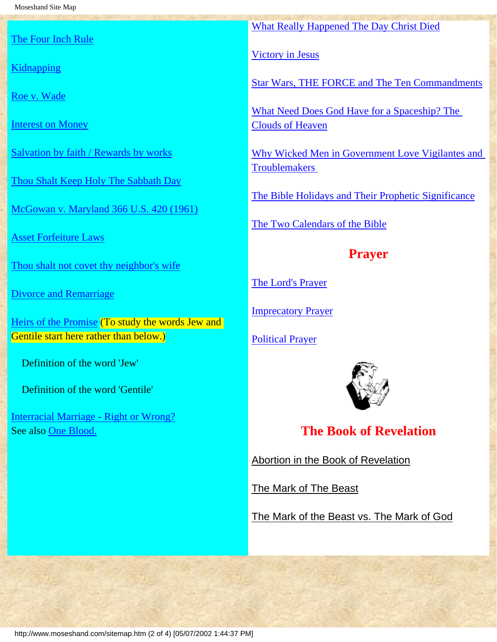[The Four Inch Rule](http://www.moseshand.com/questions/p38a.htm)

**[Kidnapping](http://www.moseshand.com/questions/p41.htm)** 

[Roe v. Wade](http://www.moseshand.com/questions/p43a.htm)

[Interest on Money](http://www.moseshand.com/questions/p46x.htm)

[Salvation by faith / Rewards by works](http://www.moseshand.com/questions/p49.htm)

[Thou Shalt Keep Holy The Sabbath Day](http://www.moseshand.com/studies/sab1.htm)

[McGowan v. Maryland 366 U.S. 420 \(1961\)](http://www.moseshand.com/questions/p51ax.htm)

[Asset Forfeiture Laws](http://www.moseshand.com/questions/p56.htm)

[Thou shalt not covet thy neighbor's wife](http://www.moseshand.com/questions/p57a.htm)

[Divorce and Remarriage](http://www.moseshand.com/questions/p60a.htm)

[Heirs of the Promise](http://www.moseshand.com/jng/heirsP1.htm) (To study the words Jew and Gentile start here rather than below.)

Definition of the word 'Jew'

Definition of the word 'Gentile'

[Interracial Marriage - Right or Wrong?](http://www.moseshand.com/jng/Ezra.htm) See also [One Blood.](http://www.moseshand.com/studies/faq2.htm)

[What Really Happened The Day Christ Died](http://www.moseshand.com/studies/crucifiction.htm)

[Victory in Jesus](http://www.moseshand.com/studies/victory.htm)

[Star Wars, THE FORCE and The Ten Commandments](http://www.moseshand.com/studies/The_Force.htm)

[What Need Does God Have for a Spaceship? The](http://www.moseshand.com/studies/clouds.htm) [Clouds of Heaven](http://www.moseshand.com/studies/clouds.htm)

[Why Wicked Men in Government Love Vigilantes and](http://www.moseshand.com/studies/whywicked.htm)  **[Troublemakers](http://www.moseshand.com/studies/whywicked.htm)** 

[The Bible Holidays and Their Prophetic Significance](http://www.moseshand.com/holidays/holidays.htm)

[The Two Calendars of the Bible](http://www.moseshand.com/2cal/2cal1.htm)

### **Prayer**

[The Lord's Prayer](http://www.moseshand.com/buildup/Lords_prayer.htm)

**[Imprecatory Prayer](http://www.moseshand.com/buildup/prayer.htm)** 

[Political Prayer](http://www.moseshand.com/buildup/political.htm)



**The Book of Revelation**

[Abortion in the Book of Revelation](http://www.moseshand.com/studies/deliverer1.htm)

[The Mark of The Beast](http://www.moseshand.com/studies/markofbeast.htm)

[The Mark of the Beast vs. The Mark of God](http://www.moseshand.com/questions/p23a.htm)

http://www.moseshand.com/sitemap.htm (2 of 4) [05/07/2002 1:44:37 PM]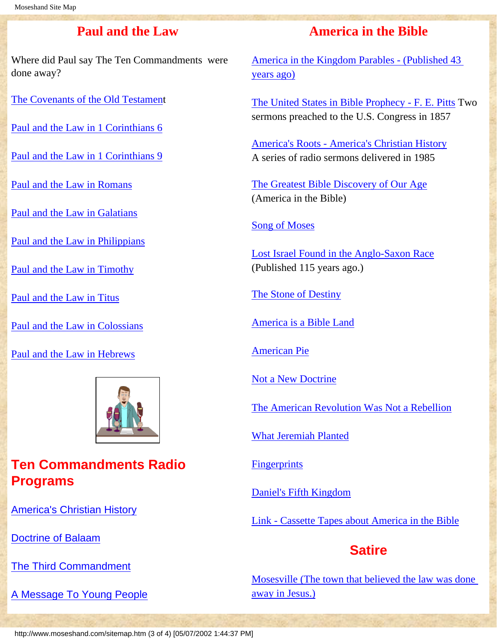#### **Paul and the Law**

Where did Paul say The Ten Commandments were done away?

[The Covenants of the Old Testament](http://www.moseshand.com/paul/Paul.htm)

[Paul and the Law in 1 Corinthians 6](http://www.moseshand.com/studies/corinthians.htm)

[Paul and the Law in 1 Corinthians 9](http://www.moseshand.com/studies/corint9.htm)

[Paul and the Law in Romans](http://www.moseshand.com/paul/romans1.htm)

[Paul and the Law in Galatians](http://www.moseshand.com/paul/galations.htm)

[Paul and the Law in Philippians](http://www.moseshand.com/studies/Philippians3.htm)

[Paul and the Law in Timothy](http://www.moseshand.com/paul/Timothy1.htm)

[Paul and the Law in Titus](http://www.moseshand.com/studies/titus.htm)

[Paul and the Law in Colossians](http://www.moseshand.com/studies/Colossians.htm)

[Paul and the Law in Hebrews](http://www.moseshand.com/paul/hebrews.htm)



# **Ten Commandments Radio Programs**

[America's Christian History](http://www.moseshand.com/media/radio1.htm)

[Doctrine of Balaam](http://www.moseshand.com/media/radio2.htm)

[The Third Commandment](http://www.moseshand.com/media/radio3.htm)

[A Message To Young People](http://www.moseshand.com/media/radio4.htm)

#### **America in the Bible**

[America in the Kingdom Parables - \(Published 43](http://www.moseshand.com/parables/parables1.htm) [years ago\)](http://www.moseshand.com/parables/parables1.htm)

[The United States in Bible Prophecy - F. E. Pitts](http://www.moseshand.com/studies/pitts.htm) Two sermons preached to the U.S. Congress in 1857

[America's Roots - America's Christian History](http://www.moseshand.com/studies/roots.htm) A series of radio sermons delivered in 1985

[The Greatest Bible Discovery of Our Age](http://www.moseshand.com/studies/chgbdooa.htm) (America in the Bible)

#### [Song of Moses](http://www.moseshand.com/studies/song1.htm)

[Lost Israel Found in the Anglo-Saxon Race](#page-0-0) (Published 115 years ago.)

[The Stone of Destiny](http://www.moseshand.com/studies/destiny.htm)

[America is a Bible Land](http://www.moseshand.com/studies/bibleland.htm)

[American Pie](http://www.moseshand.com/studies/ampie.htm)

[Not a New Doctrine](http://www.moseshand.com/studies/notnew.htm)

[The American Revolution Was Not a Rebellion](http://home.neo.rr.com/moseshand/Studies/rebellion.htm)

[What Jeremiah Planted](http://www.moseshand.com/studies/planted.htm)

**[Fingerprints](http://www.moseshand.com/studies/fingerprints.htm)** 

[Daniel's Fifth Kingdom](http://www.moseshand.com/studies/daniel.htm)

[Link - Cassette Tapes about America in the Bible](http://www.moseshand.com/studies/cassettes.htm)

### **Satire**

[Mosesville \(The town that believed the law was done](http://www.moseshand.com/studies/Mosesville.htm)  [away in Jesus.\)](http://www.moseshand.com/studies/Mosesville.htm)

http://www.moseshand.com/sitemap.htm (3 of 4) [05/07/2002 1:44:37 PM]